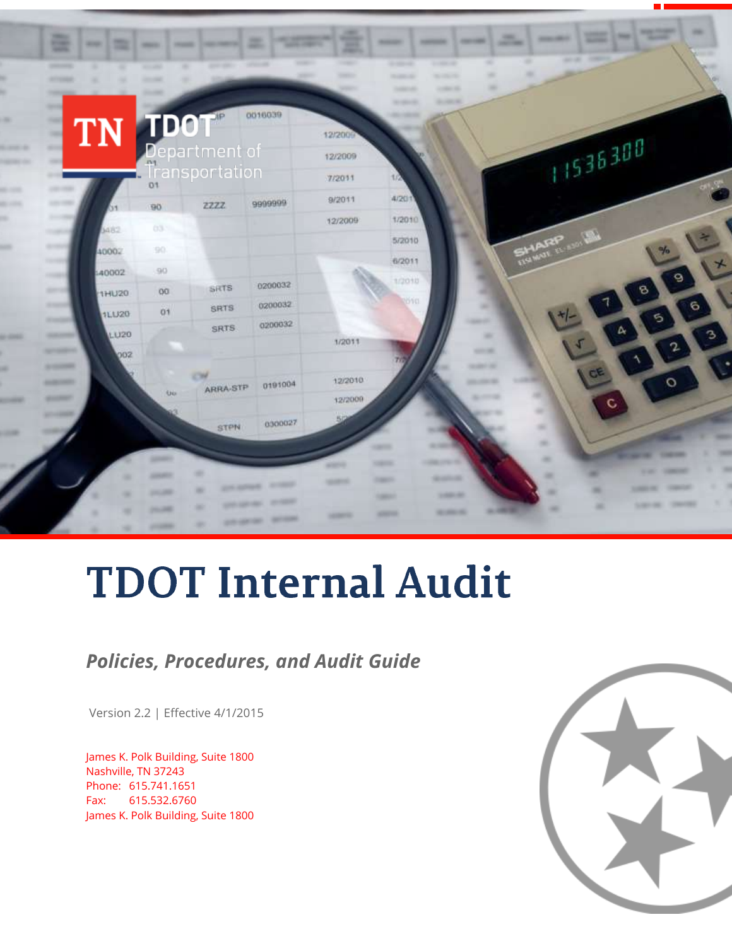

# **TDOT Internal Audit**

### *Policies, Procedures, and Audit Guide*

Version 2.2 | Effective 4/1/2015

James K. Polk Building, Suite 1800 Nashville, TN 37243 Phone: 615.741.1651 Fax: 615.532.6760 James K. Polk Building, Suite 1800

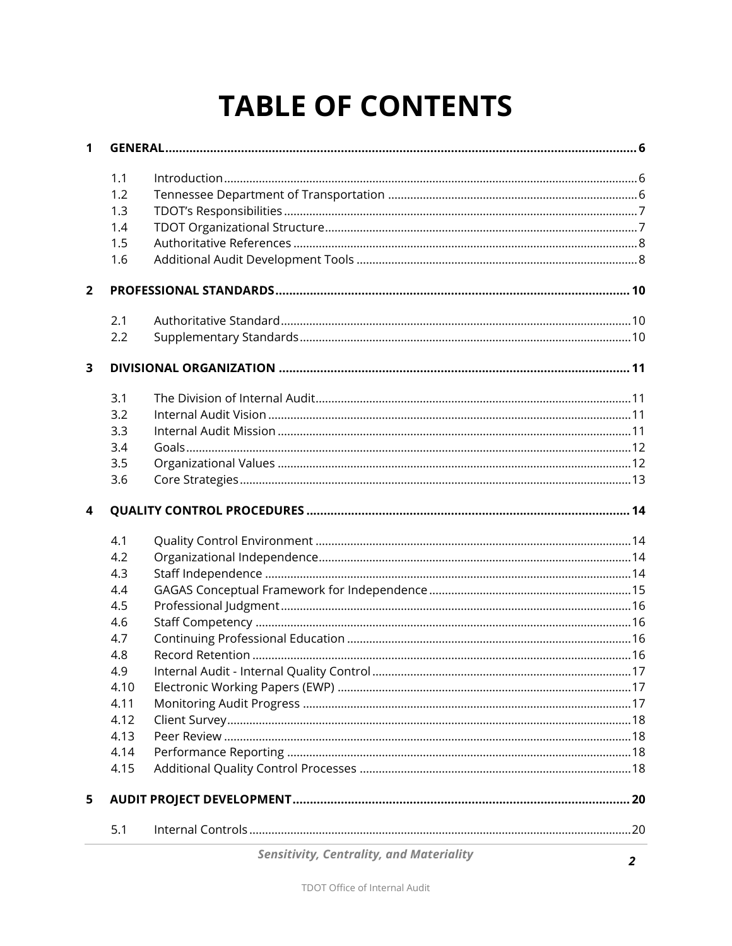# **TABLE OF CONTENTS**

| 1                       |      |  |  |  |
|-------------------------|------|--|--|--|
|                         | 1.1  |  |  |  |
|                         | 1.2  |  |  |  |
|                         | 1.3  |  |  |  |
|                         | 1.4  |  |  |  |
|                         | 1.5  |  |  |  |
|                         | 1.6  |  |  |  |
| $\overline{2}$          |      |  |  |  |
|                         | 2.1  |  |  |  |
|                         | 2.2  |  |  |  |
| 3                       |      |  |  |  |
|                         | 3.1  |  |  |  |
|                         | 3.2  |  |  |  |
|                         | 3.3  |  |  |  |
|                         | 3.4  |  |  |  |
|                         | 3.5  |  |  |  |
|                         | 3.6  |  |  |  |
| $\overline{\mathbf{4}}$ |      |  |  |  |
|                         | 4.1  |  |  |  |
|                         | 4.2  |  |  |  |
|                         | 4.3  |  |  |  |
|                         | 4.4  |  |  |  |
|                         | 4.5  |  |  |  |
|                         | 4.6  |  |  |  |
|                         | 4.7  |  |  |  |
|                         | 4.8  |  |  |  |
|                         | 4.9  |  |  |  |
|                         | 4.10 |  |  |  |
|                         | 4.11 |  |  |  |
|                         | 4.12 |  |  |  |
|                         | 4.13 |  |  |  |
|                         | 4.14 |  |  |  |
|                         | 4.15 |  |  |  |
| 5                       |      |  |  |  |
|                         | 5.1  |  |  |  |
|                         |      |  |  |  |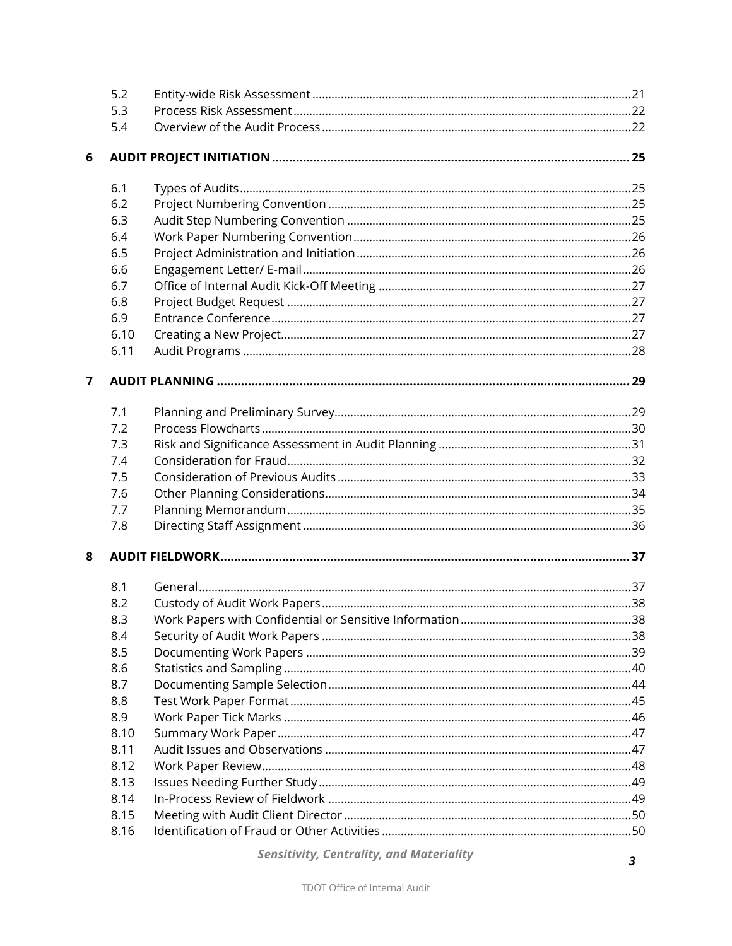|                | 5.2  |  |
|----------------|------|--|
|                | 5.3  |  |
|                | 5.4  |  |
| 6              |      |  |
|                | 6.1  |  |
|                | 6.2  |  |
|                | 6.3  |  |
|                | 6.4  |  |
|                | 6.5  |  |
|                | 6.6  |  |
|                | 6.7  |  |
|                | 6.8  |  |
|                | 6.9  |  |
|                | 6.10 |  |
|                | 6.11 |  |
| $\overline{7}$ |      |  |
|                | 7.1  |  |
|                | 7.2  |  |
|                | 7.3  |  |
|                | 7.4  |  |
|                | 7.5  |  |
|                | 7.6  |  |
|                | 7.7  |  |
|                | 7.8  |  |
| 8              |      |  |
|                | 8.1  |  |
|                | 8.2  |  |
|                | 8.3  |  |
|                | 8.4  |  |
|                | 8.5  |  |
|                | 8.6  |  |
|                | 8.7  |  |
|                | 8.8  |  |
|                | 8.9  |  |
|                | 8.10 |  |
|                | 8.11 |  |
|                | 8.12 |  |
|                | 8.13 |  |
|                | 8.14 |  |
|                | 8.15 |  |
|                | 8.16 |  |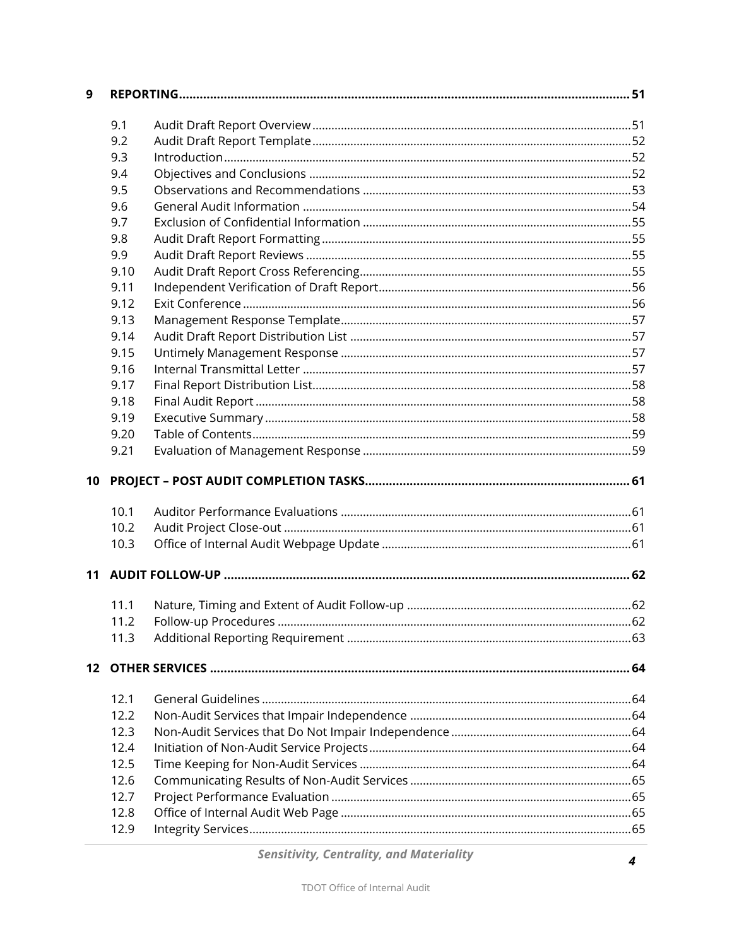| $\mathbf{9}$ |      |  |
|--------------|------|--|
|              | 9.1  |  |
|              | 9.2  |  |
|              | 9.3  |  |
|              | 9.4  |  |
|              | 9.5  |  |
|              | 9.6  |  |
|              | 9.7  |  |
|              | 9.8  |  |
|              | 9.9  |  |
|              | 9.10 |  |
|              | 9.11 |  |
|              | 9.12 |  |
|              | 9.13 |  |
|              | 9.14 |  |
|              | 9.15 |  |
|              | 9.16 |  |
|              | 9.17 |  |
|              | 9.18 |  |
|              | 9.19 |  |
|              | 9.20 |  |
|              | 9.21 |  |
|              |      |  |
| 10           |      |  |
|              | 10.1 |  |
|              | 10.2 |  |
|              | 10.3 |  |
|              |      |  |
|              | 11.1 |  |
|              | 11.2 |  |
|              | 11.3 |  |
|              |      |  |
|              | 12.1 |  |
|              | 12.2 |  |
|              | 12.3 |  |
|              | 12.4 |  |
|              | 12.5 |  |
|              | 12.6 |  |
|              | 12.7 |  |
|              | 12.8 |  |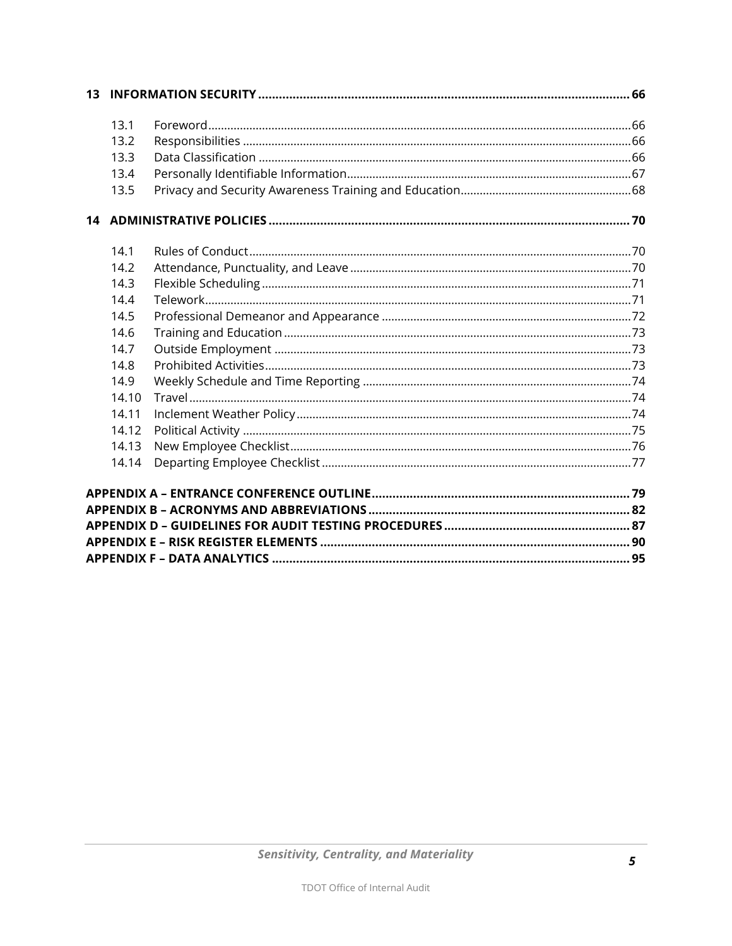| 13.1  |  |
|-------|--|
| 13.2  |  |
| 13.3  |  |
| 13.4  |  |
| 13.5  |  |
|       |  |
| 14.1  |  |
| 14.2  |  |
| 14.3  |  |
| 14.4  |  |
| 14.5  |  |
| 14.6  |  |
| 14.7  |  |
| 14.8  |  |
| 14.9  |  |
| 14.10 |  |
| 14.11 |  |
| 14.12 |  |
| 14.13 |  |
| 14.14 |  |
|       |  |
|       |  |
|       |  |
|       |  |
|       |  |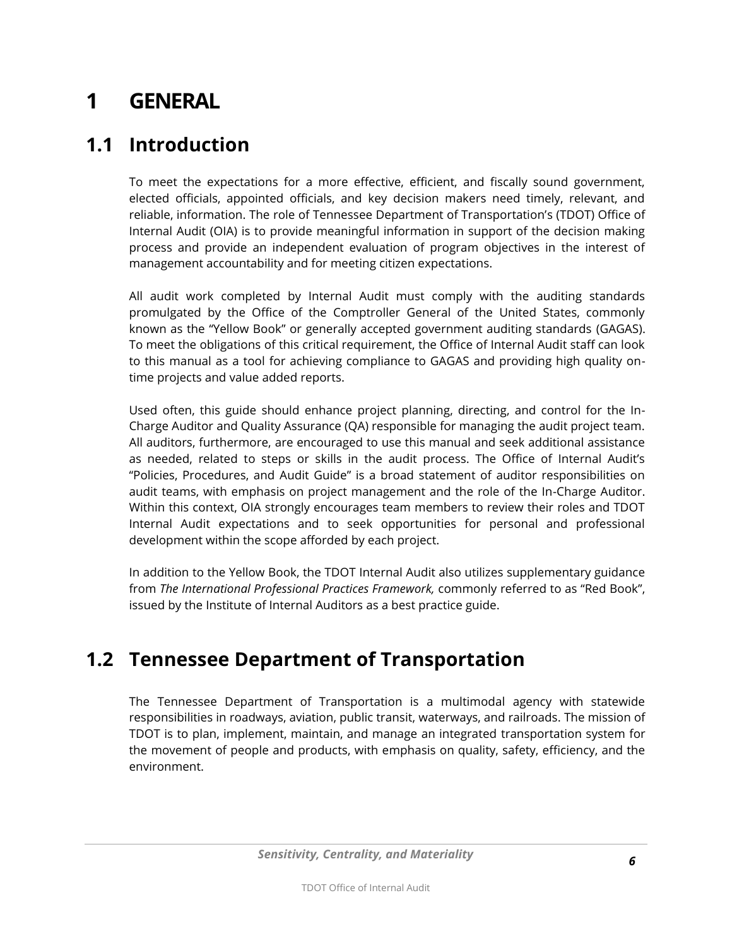# <span id="page-5-0"></span>**1 GENERAL**

#### <span id="page-5-1"></span>**1.1 Introduction**

To meet the expectations for a more effective, efficient, and fiscally sound government, elected officials, appointed officials, and key decision makers need timely, relevant, and reliable, information. The role of Tennessee Department of Transportation's (TDOT) Office of Internal Audit (OIA) is to provide meaningful information in support of the decision making process and provide an independent evaluation of program objectives in the interest of management accountability and for meeting citizen expectations.

All audit work completed by Internal Audit must comply with the auditing standards promulgated by the Office of the Comptroller General of the United States, commonly known as the "Yellow Book" or generally accepted government auditing standards (GAGAS). To meet the obligations of this critical requirement, the Office of Internal Audit staff can look to this manual as a tool for achieving compliance to GAGAS and providing high quality ontime projects and value added reports.

Used often, this guide should enhance project planning, directing, and control for the In-Charge Auditor and Quality Assurance (QA) responsible for managing the audit project team. All auditors, furthermore, are encouraged to use this manual and seek additional assistance as needed, related to steps or skills in the audit process. The Office of Internal Audit's "Policies, Procedures, and Audit Guide" is a broad statement of auditor responsibilities on audit teams, with emphasis on project management and the role of the In-Charge Auditor. Within this context, OIA strongly encourages team members to review their roles and TDOT Internal Audit expectations and to seek opportunities for personal and professional development within the scope afforded by each project.

In addition to the Yellow Book, the TDOT Internal Audit also utilizes supplementary guidance from *The International Professional Practices Framework,* commonly referred to as "Red Book", issued by the Institute of Internal Auditors as a best practice guide.

#### <span id="page-5-2"></span>**1.2 Tennessee Department of Transportation**

The Tennessee Department of Transportation is a multimodal agency with statewide responsibilities in [roadways,](http://en.wikipedia.org/wiki/Roadways) [aviation,](http://en.wikipedia.org/wiki/Aviation) [public transit,](http://en.wikipedia.org/wiki/Public_transit) [waterways,](http://en.wikipedia.org/wiki/Waterway) and [railroads.](http://en.wikipedia.org/wiki/Railroad) The mission of TDOT is to plan, implement, maintain, and manage an integrated [transportation system](http://en.wikipedia.org/wiki/Transportation_system) for the movement of people and products, with emphasis on quality, safety, efficiency, and the environment.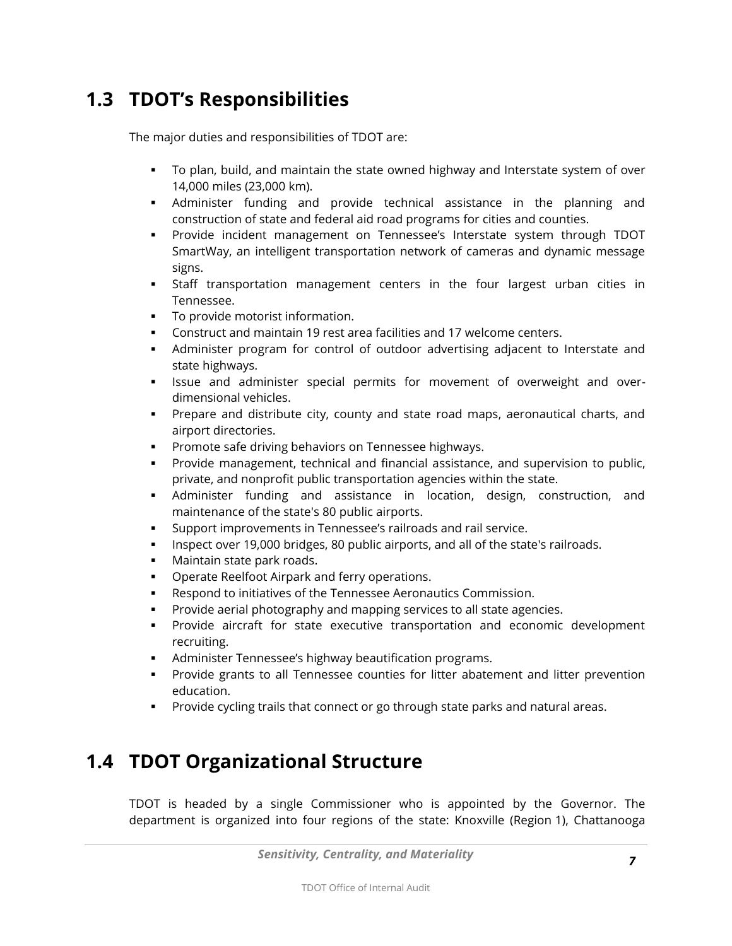### <span id="page-6-0"></span>**1.3 TDOT's Responsibilities**

The major duties and responsibilities of TDOT are:

- To plan, build, and maintain the [state owned highway and Interstate system](http://en.wikipedia.org/wiki/List_of_state_routes_in_Tennessee) of over 14,000 miles (23,000 km).
- Administer funding and provide technical assistance in the planning and construction of state and federal aid road programs for cities and counties.
- Provide incident management on Tennessee's Interstate system through TDOT SmartWay, an intelligent transportation network of cameras and dynamic message signs.
- Staff transportation management centers in the four largest urban cities in Tennessee.
- To provide motorist information.
- Construct and maintain 19 rest area facilities and 17 welcome centers.
- Administer program for control of outdoor advertising adjacent to Interstate and state highways.
- **Issue and administer special permits for movement of overweight and over**dimensional vehicles.
- Prepare and distribute city, county and state road maps, aeronautical charts, and airport directories.
- Promote safe driving behaviors on Tennessee highways.
- Provide management, technical and financial assistance, and supervision to public, private, and nonprofit public transportation agencies within the state.
- Administer funding and assistance in location, design, construction, and maintenance of the state's 80 public airports.
- Support improvements in Tennessee's railroads and rail service.
- Inspect over 19,000 bridges, 80 public airports, and all of the state's railroads.
- **Maintain state park roads.**
- **Operate Reelfoot Airpark and ferry operations.**
- Respond to initiatives of the Tennessee Aeronautics Commission.
- Provide aerial photography and mapping services to all state agencies.
- Provide aircraft for state executive transportation and economic development recruiting.
- Administer Tennessee's highway beautification programs.
- **Provide grants to all Tennessee counties for litter abatement and litter prevention** education.
- **Provide cycling trails that connect or go through state parks and natural areas.**

### <span id="page-6-1"></span>**1.4 TDOT Organizational Structure**

TDOT is headed by a single Commissioner who is appointed by the [Governor.](http://en.wikipedia.org/wiki/Governor_(Tennessee)) The department is organized into four regions of the state: Knoxville (Region 1), Chattanooga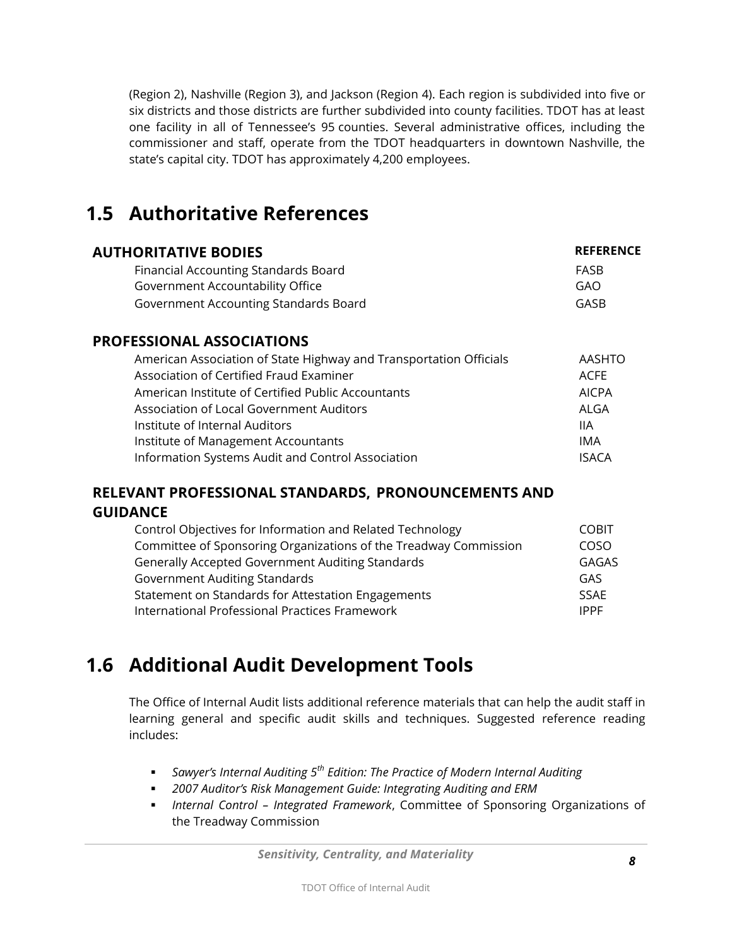(Region 2), Nashville (Region 3), and Jackson (Region 4). Each region is subdivided into five or six districts and those districts are further subdivided into county facilities. TDOT has at least one facility in all of Tennessee's 95 counties. Several administrative offices, including the commissioner and staff, operate from the TDOT headquarters in downtown Nashville, the state's capital city. TDOT has approximately 4,200 employees.

### <span id="page-7-0"></span>**1.5 Authoritative References**

| <b>AUTHORITATIVE BODIES</b>           | <b>REFERENCE</b> |  |
|---------------------------------------|------------------|--|
| Financial Accounting Standards Board  | FASB             |  |
| Government Accountability Office      | GAO              |  |
| Government Accounting Standards Board | GASB             |  |
|                                       |                  |  |

#### **PROFESSIONAL ASSOCIATIONS**

| American Association of State Highway and Transportation Officials | AASHTO       |
|--------------------------------------------------------------------|--------------|
| Association of Certified Fraud Examiner                            | <b>ACFE</b>  |
| American Institute of Certified Public Accountants                 | <b>AICPA</b> |
| Association of Local Government Auditors                           | ALGA         |
| Institute of Internal Auditors                                     | 1IA          |
| Institute of Management Accountants                                | IMA          |
| Information Systems Audit and Control Association                  | <b>ISACA</b> |

#### **RELEVANT PROFESSIONAL STANDARDS, PRONOUNCEMENTS AND GUIDANCE**

| Control Objectives for Information and Related Technology        |              |
|------------------------------------------------------------------|--------------|
| Committee of Sponsoring Organizations of the Treadway Commission | COSO         |
| <b>Generally Accepted Government Auditing Standards</b>          | <b>GAGAS</b> |
| <b>Government Auditing Standards</b>                             | GAS          |
| Statement on Standards for Attestation Engagements               | <b>SSAF</b>  |
| International Professional Practices Framework                   | <b>IPPF</b>  |

### <span id="page-7-1"></span>**1.6 Additional Audit Development Tools**

The Office of Internal Audit lists additional reference materials that can help the audit staff in learning general and specific audit skills and techniques. Suggested reference reading includes:

- *Sawyer's Internal Auditing 5th Edition: The Practice of Modern Internal Auditing*
- *2007 Auditor's Risk Management Guide: Integrating Auditing and ERM*
- *Internal Control – Integrated Framework*, Committee of Sponsoring Organizations of the Treadway Commission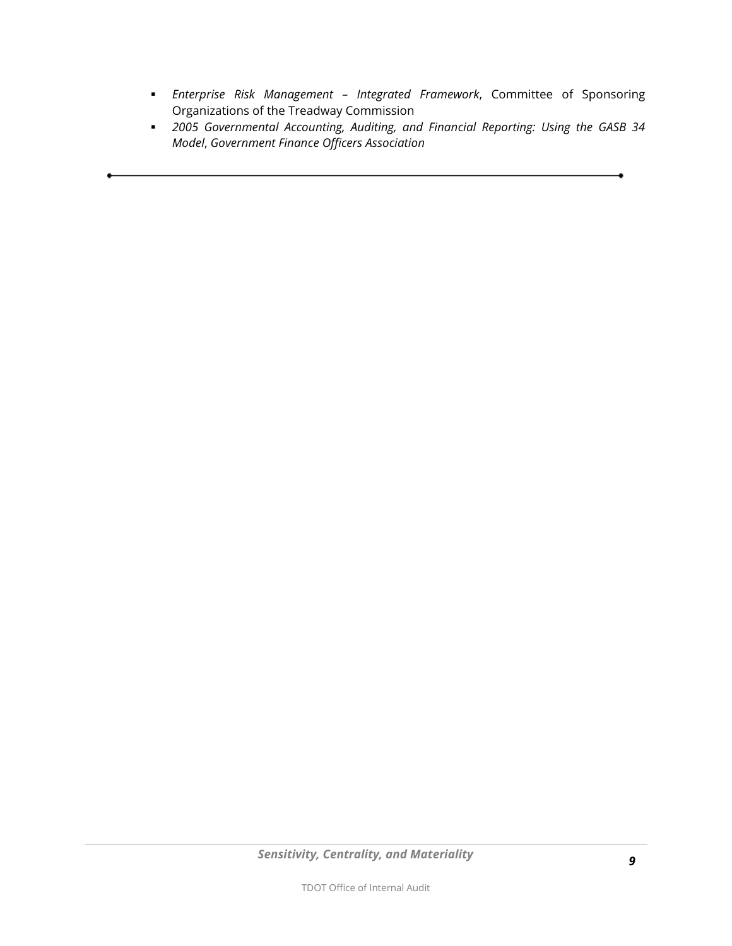- *Enterprise Risk Management – Integrated Framework*, Committee of Sponsoring Organizations of the Treadway Commission
- *2005 Governmental Accounting, Auditing, and Financial Reporting: Using the GASB 34 Model*, *Government Finance Officers Association*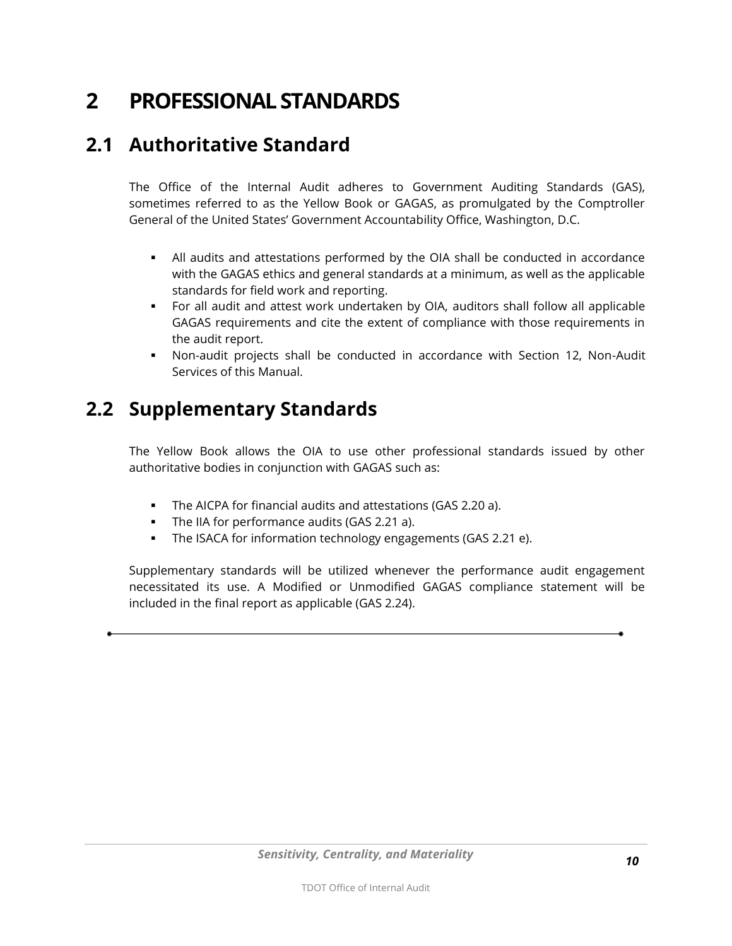# <span id="page-9-0"></span>**2 PROFESSIONAL STANDARDS**

#### <span id="page-9-1"></span>**2.1 Authoritative Standard**

The Office of the Internal Audit adheres to Government Auditing Standards (GAS), sometimes referred to as the Yellow Book or GAGAS, as promulgated by the Comptroller General of the United States' Government Accountability Office, Washington, D.C.

- All audits and attestations performed by the OIA shall be conducted in accordance with the GAGAS ethics and general standards at a minimum, as well as the applicable standards for field work and reporting.
- For all audit and attest work undertaken by OIA, auditors shall follow all applicable GAGAS requirements and cite the extent of compliance with those requirements in the audit report.
- Non-audit projects shall be conducted in accordance with Section 12, Non-Audit Services of this Manual.

#### <span id="page-9-2"></span>**2.2 Supplementary Standards**

The Yellow Book allows the OIA to use other professional standards issued by other authoritative bodies in conjunction with GAGAS such as:

- The AICPA for financial audits and attestations (GAS 2.20 a).
- The IIA for performance audits (GAS 2.21 a).
- **The ISACA for information technology engagements (GAS 2.21 e).**

Supplementary standards will be utilized whenever the performance audit engagement necessitated its use. A Modified or Unmodified GAGAS compliance statement will be included in the final report as applicable (GAS 2.24).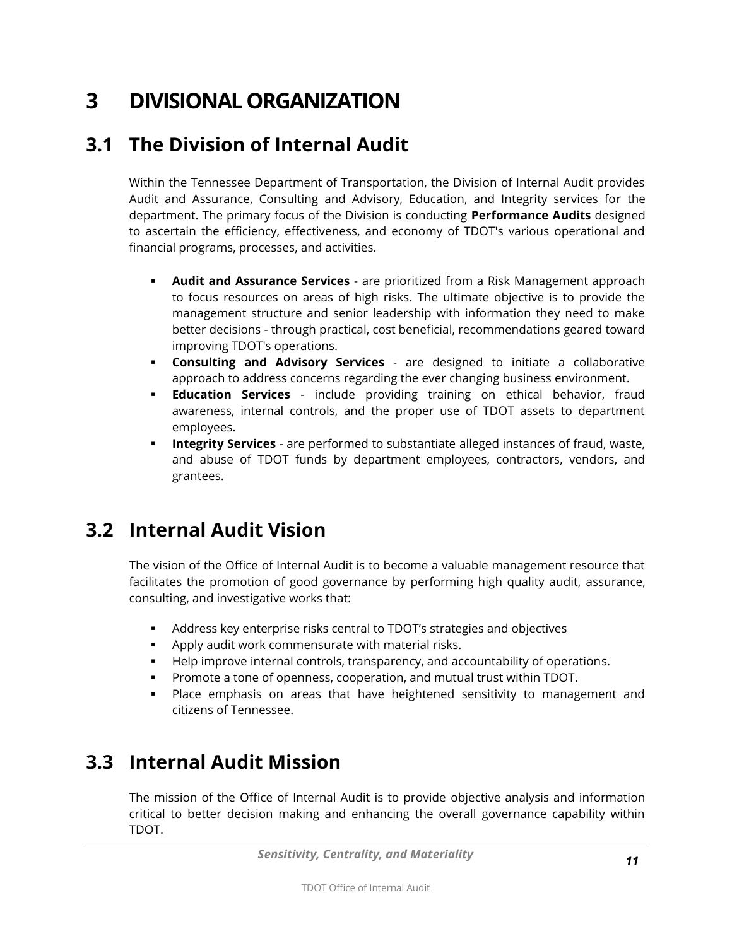# <span id="page-10-0"></span>**3 DIVISIONAL ORGANIZATION**

#### <span id="page-10-1"></span>**3.1 The Division of Internal Audit**

Within the Tennessee Department of Transportation, the Division of Internal Audit provides Audit and Assurance, Consulting and Advisory, Education, and Integrity services for the department. The primary focus of the Division is conducting **Performance Audits** designed to ascertain the efficiency, effectiveness, and economy of TDOT's various operational and financial programs, processes, and activities.

- **Audit and Assurance Services** are prioritized from a Risk Management approach to focus resources on areas of high risks. The ultimate objective is to provide the management structure and senior leadership with information they need to make better decisions - through practical, cost beneficial, recommendations geared toward improving TDOT's operations.
- **Consulting and Advisory Services** are designed to initiate a collaborative approach to address concerns regarding the ever changing business environment.
- **Education Services** include providing training on ethical behavior, fraud awareness, internal controls, and the proper use of TDOT assets to department employees.
- **Integrity Services** are performed to substantiate alleged instances of fraud, waste, and abuse of TDOT funds by department employees, contractors, vendors, and grantees.

#### <span id="page-10-2"></span>**3.2 Internal Audit Vision**

The vision of the Office of Internal Audit is to become a valuable management resource that facilitates the promotion of good governance by performing high quality audit, assurance, consulting, and investigative works that:

- Address key enterprise risks central to TDOT's strategies and objectives
- Apply audit work commensurate with material risks.
- Help improve internal controls, transparency, and accountability of operations.
- Promote a tone of openness, cooperation, and mutual trust within TDOT.
- **Place emphasis on areas that have heightened sensitivity to management and** citizens of Tennessee.

#### <span id="page-10-3"></span>**3.3 Internal Audit Mission**

The mission of the Office of Internal Audit is to provide objective analysis and information critical to better decision making and enhancing the overall governance capability within TDOT.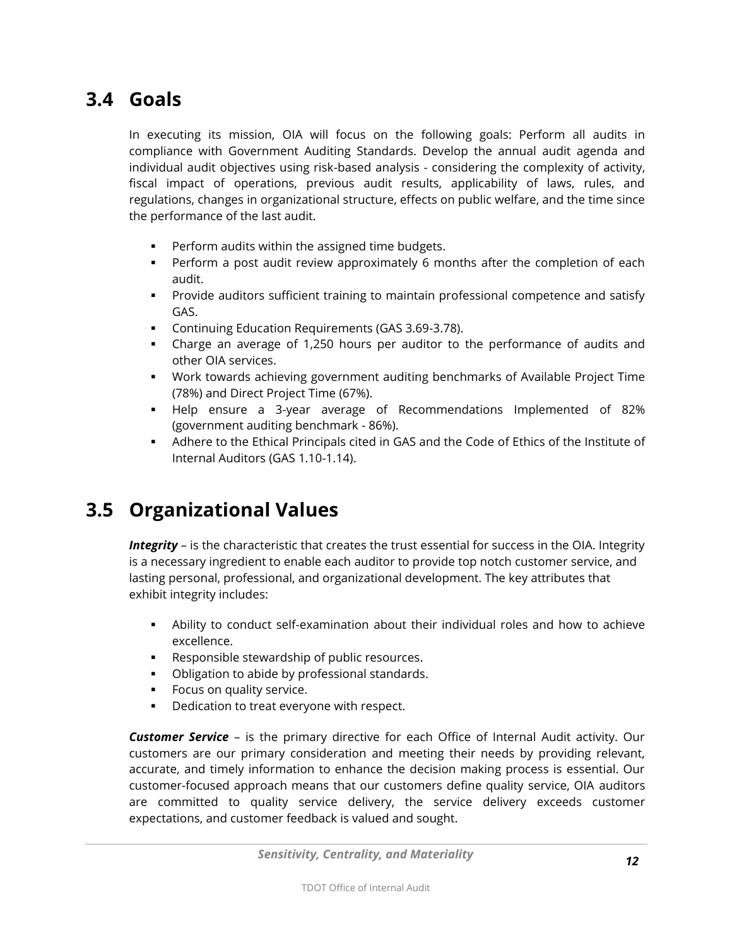#### <span id="page-11-0"></span>**3.4 Goals**

In executing its mission, OIA will focus on the following goals: Perform all audits in compliance with Government Auditing Standards. Develop the annual audit agenda and individual audit objectives using risk-based analysis - considering the complexity of activity, fiscal impact of operations, previous audit results, applicability of laws, rules, and regulations, changes in organizational structure, effects on public welfare, and the time since the performance of the last audit.

- Perform audits within the assigned time budgets.
- Perform a post audit review approximately 6 months after the completion of each audit.
- **Provide auditors sufficient training to maintain professional competence and satisfy** GAS.
- Continuing Education Requirements (GAS 3.69-3.78).
- Charge an average of 1,250 hours per auditor to the performance of audits and other OIA services.
- Work towards achieving government auditing benchmarks of Available Project Time (78%) and Direct Project Time (67%).
- Help ensure a 3-year average of Recommendations Implemented of 82% (government auditing benchmark - 86%).
- Adhere to the Ethical Principals cited in GAS and the Code of Ethics of the Institute of Internal Auditors (GAS 1.10-1.14).

### <span id="page-11-1"></span>**3.5 Organizational Values**

*Integrity* – is the characteristic that creates the trust essential for success in the OIA. Integrity is a necessary ingredient to enable each auditor to provide top notch customer service, and lasting personal, professional, and organizational development. The key attributes that exhibit integrity includes:

- Ability to conduct self-examination about their individual roles and how to achieve excellence.
- **Responsible stewardship of public resources.**
- **•** Obligation to abide by professional standards.
- **Focus on quality service.**
- **•** Dedication to treat everyone with respect.

*Customer Service* – is the primary directive for each Office of Internal Audit activity. Our customers are our primary consideration and meeting their needs by providing relevant, accurate, and timely information to enhance the decision making process is essential. Our customer-focused approach means that our customers define quality service, OIA auditors are committed to quality service delivery, the service delivery exceeds customer expectations, and customer feedback is valued and sought.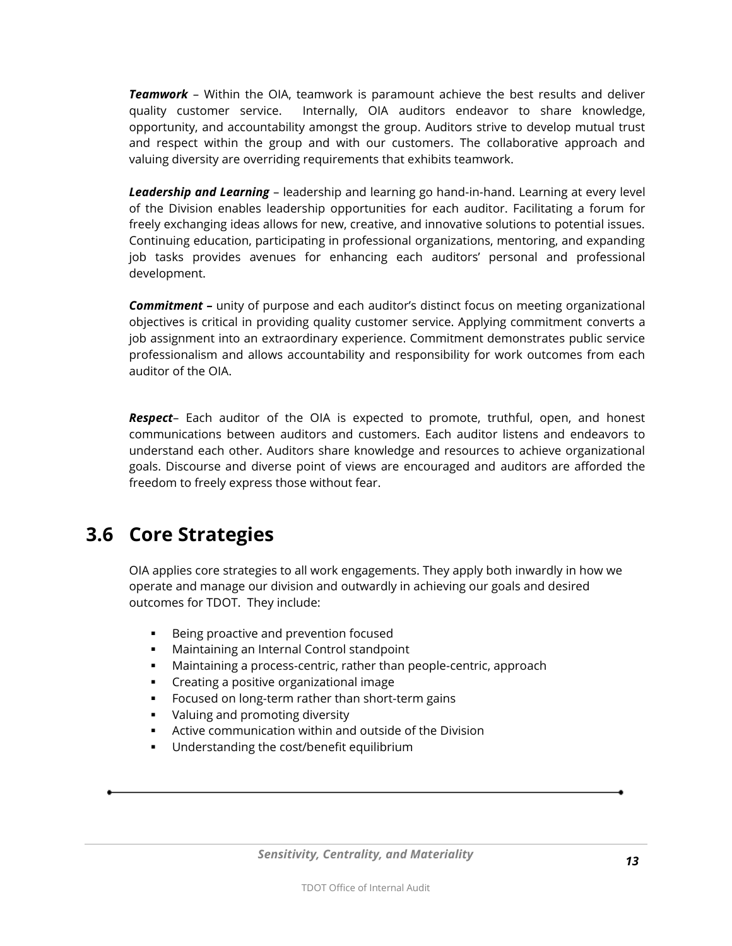*Teamwork* – Within the OIA, teamwork is paramount achieve the best results and deliver quality customer service. Internally, OIA auditors endeavor to share knowledge, opportunity, and accountability amongst the group. Auditors strive to develop mutual trust and respect within the group and with our customers. The collaborative approach and valuing diversity are overriding requirements that exhibits teamwork.

*Leadership and Learning* – leadership and learning go hand-in-hand. Learning at every level of the Division enables leadership opportunities for each auditor. Facilitating a forum for freely exchanging ideas allows for new, creative, and innovative solutions to potential issues. Continuing education, participating in professional organizations, mentoring, and expanding job tasks provides avenues for enhancing each auditors' personal and professional development.

*Commitment –* unity of purpose and each auditor's distinct focus on meeting organizational objectives is critical in providing quality customer service. Applying commitment converts a job assignment into an extraordinary experience. Commitment demonstrates public service professionalism and allows accountability and responsibility for work outcomes from each auditor of the OIA.

*Respect*– Each auditor of the OIA is expected to promote, truthful, open, and honest communications between auditors and customers. Each auditor listens and endeavors to understand each other. Auditors share knowledge and resources to achieve organizational goals. Discourse and diverse point of views are encouraged and auditors are afforded the freedom to freely express those without fear.

#### <span id="page-12-0"></span>**3.6 Core Strategies**

OIA applies core strategies to all work engagements. They apply both inwardly in how we operate and manage our division and outwardly in achieving our goals and desired outcomes for TDOT. They include:

- **Being proactive and prevention focused**
- **Maintaining an Internal Control standpoint**
- Maintaining a process-centric, rather than people-centric, approach
- **•** Creating a positive organizational image
- **FICULTER** Focused on long-term rather than short-term gains
- **•** Valuing and promoting diversity
- Active communication within and outside of the Division
- **Understanding the cost/benefit equilibrium**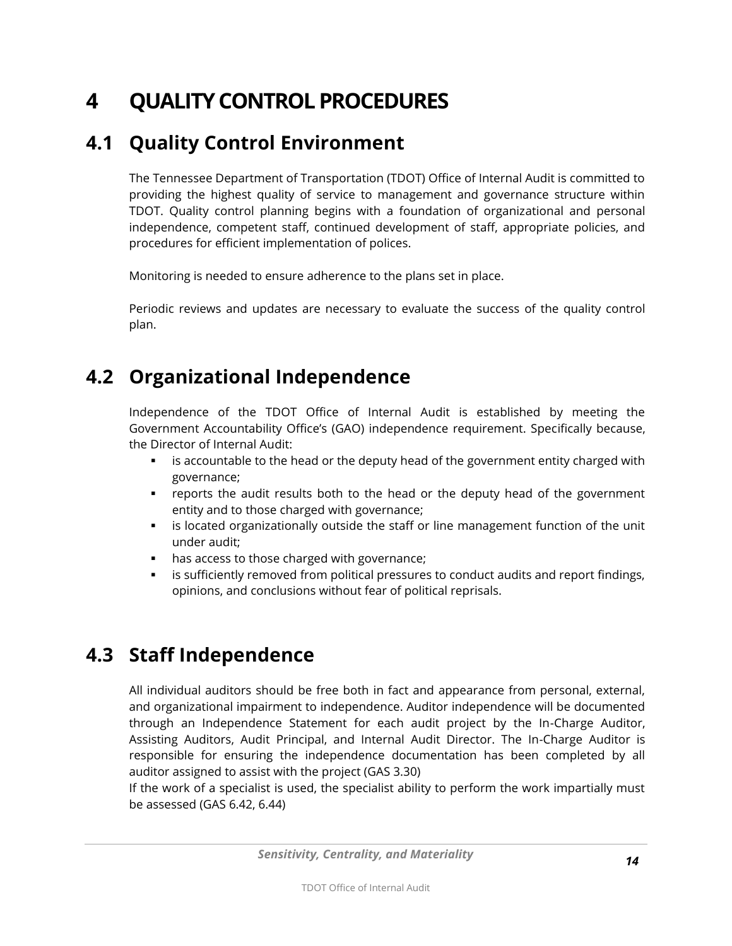# <span id="page-13-0"></span>**4 QUALITY CONTROL PROCEDURES**

#### <span id="page-13-1"></span>**4.1 Quality Control Environment**

The Tennessee Department of Transportation (TDOT) Office of Internal Audit is committed to providing the highest quality of service to management and governance structure within TDOT. Quality control planning begins with a foundation of organizational and personal independence, competent staff, continued development of staff, appropriate policies, and procedures for efficient implementation of polices.

Monitoring is needed to ensure adherence to the plans set in place.

Periodic reviews and updates are necessary to evaluate the success of the quality control plan.

### <span id="page-13-2"></span>**4.2 Organizational Independence**

Independence of the TDOT Office of Internal Audit is established by meeting the Government Accountability Office's (GAO) independence requirement. Specifically because, the Director of Internal Audit:

- is accountable to the head or the deputy head of the government entity charged with governance;
- reports the audit results both to the head or the deputy head of the government entity and to those charged with governance;
- **EXED** is located organizationally outside the staff or line management function of the unit under audit;
- has access to those charged with governance;
- **Example 1** is sufficiently removed from political pressures to conduct audits and report findings, opinions, and conclusions without fear of political reprisals.

### <span id="page-13-3"></span>**4.3 Staff Independence**

All individual auditors should be free both in fact and appearance from personal, external, and organizational impairment to independence. Auditor independence will be documented through an Independence Statement for each audit project by the In-Charge Auditor, Assisting Auditors, Audit Principal, and Internal Audit Director. The In-Charge Auditor is responsible for ensuring the independence documentation has been completed by all auditor assigned to assist with the project (GAS 3.30)

If the work of a specialist is used, the specialist ability to perform the work impartially must be assessed (GAS 6.42, 6.44)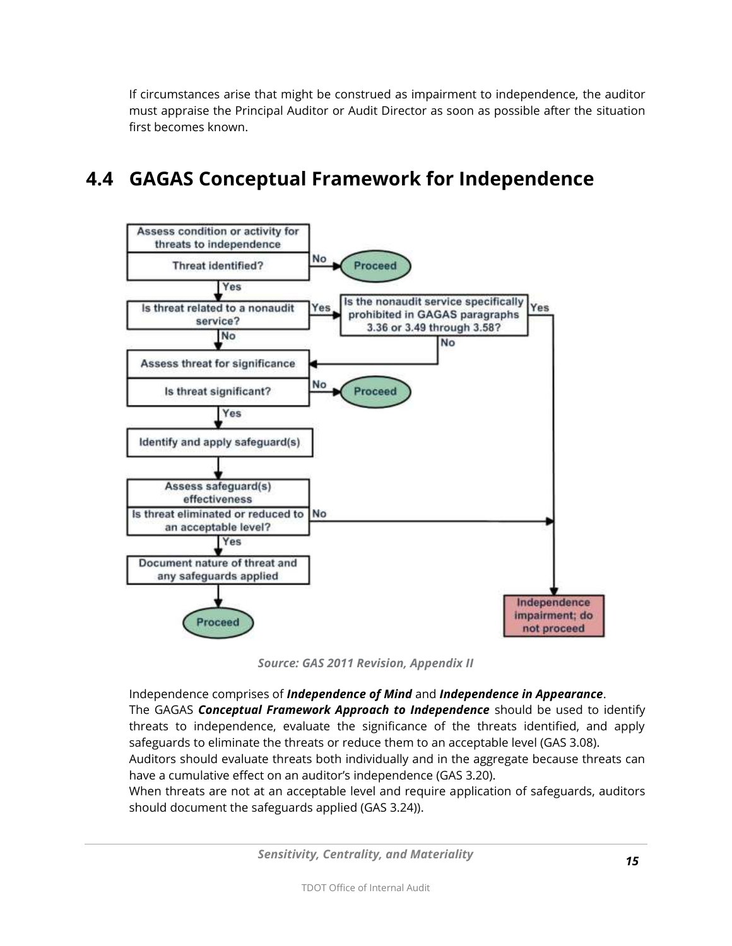If circumstances arise that might be construed as impairment to independence, the auditor must appraise the Principal Auditor or Audit Director as soon as possible after the situation first becomes known.

### <span id="page-14-0"></span>**4.4 GAGAS Conceptual Framework for Independence**



*Source: GAS 2011 Revision, Appendix II*

Independence comprises of *Independence of Mind* and *Independence in Appearance*. The GAGAS *Conceptual Framework Approach to Independence* should be used to identify threats to independence, evaluate the significance of the threats identified, and apply safeguards to eliminate the threats or reduce them to an acceptable level (GAS 3.08).

Auditors should evaluate threats both individually and in the aggregate because threats can have a cumulative effect on an auditor's independence (GAS 3.20).

When threats are not at an acceptable level and require application of safeguards, auditors should document the safeguards applied (GAS 3.24)).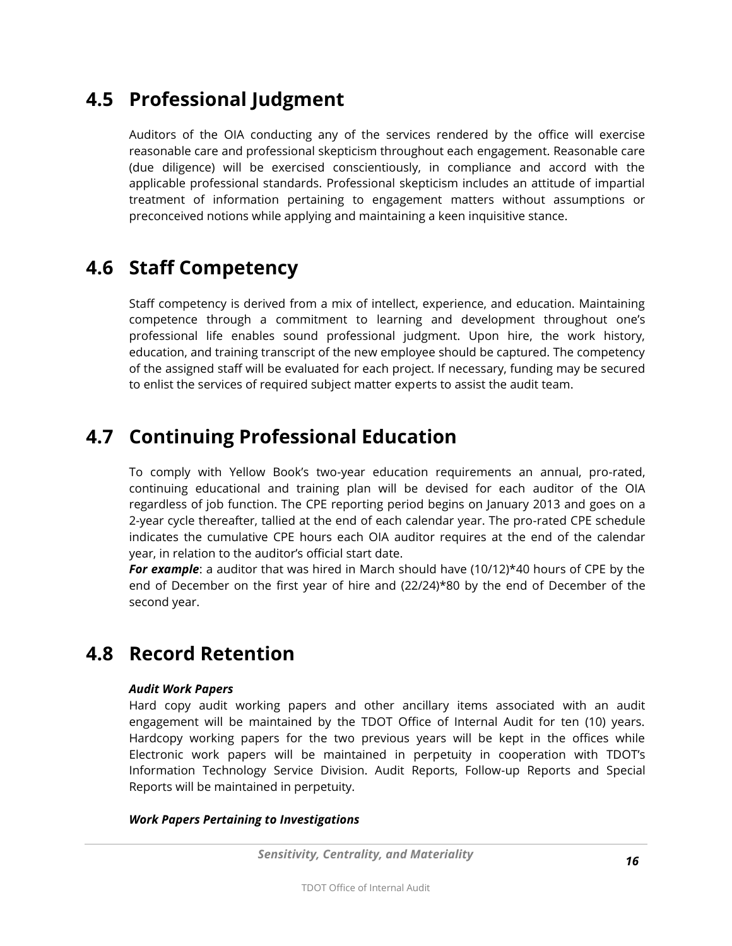#### <span id="page-15-0"></span>**4.5 Professional Judgment**

Auditors of the OIA conducting any of the services rendered by the office will exercise reasonable care and professional skepticism throughout each engagement. Reasonable care (due diligence) will be exercised conscientiously, in compliance and accord with the applicable professional standards. Professional skepticism includes an attitude of impartial treatment of information pertaining to engagement matters without assumptions or preconceived notions while applying and maintaining a keen inquisitive stance.

#### <span id="page-15-1"></span>**4.6 Staff Competency**

Staff competency is derived from a mix of intellect, experience, and education. Maintaining competence through a commitment to learning and development throughout one's professional life enables sound professional judgment. Upon hire, the work history, education, and training transcript of the new employee should be captured. The competency of the assigned staff will be evaluated for each project. If necessary, funding may be secured to enlist the services of required subject matter experts to assist the audit team.

#### <span id="page-15-2"></span>**4.7 Continuing Professional Education**

To comply with Yellow Book's two-year education requirements an annual, pro-rated, continuing educational and training plan will be devised for each auditor of the OIA regardless of job function. The CPE reporting period begins on January 2013 and goes on a 2-year cycle thereafter, tallied at the end of each calendar year. The pro-rated CPE schedule indicates the cumulative CPE hours each OIA auditor requires at the end of the calendar year, in relation to the auditor's official start date.

*For example*: a auditor that was hired in March should have (10/12)\*40 hours of CPE by the end of December on the first year of hire and (22/24)\*80 by the end of December of the second year.

#### <span id="page-15-3"></span>**4.8 Record Retention**

#### *Audit Work Papers*

Hard copy audit working papers and other ancillary items associated with an audit engagement will be maintained by the TDOT Office of Internal Audit for ten (10) years. Hardcopy working papers for the two previous years will be kept in the offices while Electronic work papers will be maintained in perpetuity in cooperation with TDOT's Information Technology Service Division. Audit Reports, Follow-up Reports and Special Reports will be maintained in perpetuity.

#### *Work Papers Pertaining to Investigations*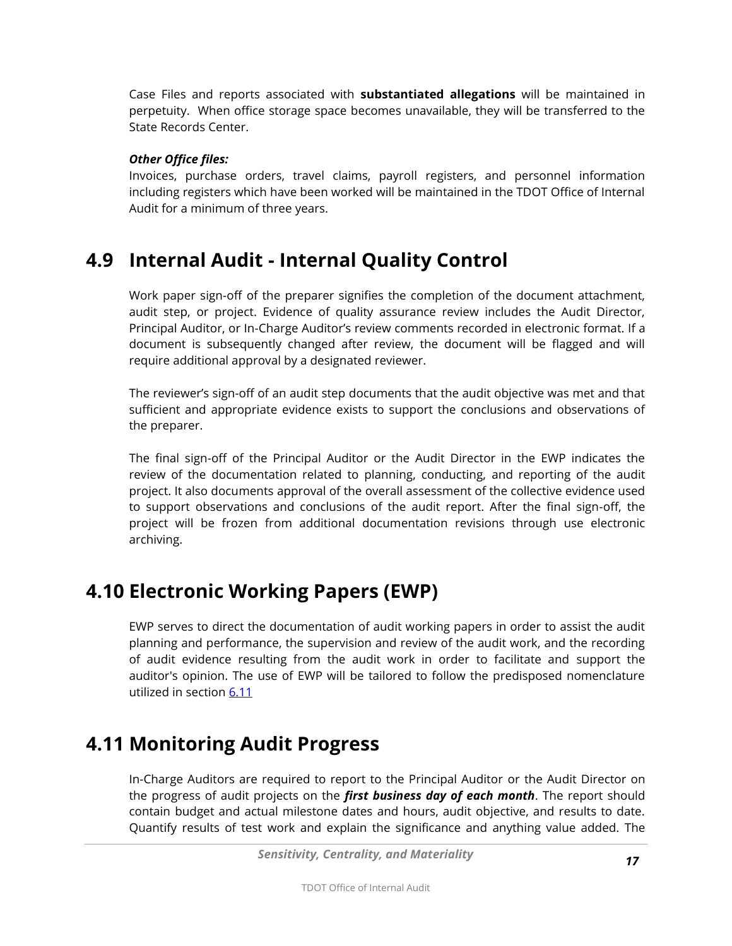Case Files and reports associated with **substantiated allegations** will be maintained in perpetuity. When office storage space becomes unavailable, they will be transferred to the State Records Center.

#### *Other Office files:*

Invoices, purchase orders, travel claims, payroll registers, and personnel information including registers which have been worked will be maintained in the TDOT Office of Internal Audit for a minimum of three years.

#### <span id="page-16-0"></span>**4.9 Internal Audit - Internal Quality Control**

Work paper sign-off of the preparer signifies the completion of the document attachment, audit step, or project. Evidence of quality assurance review includes the Audit Director, Principal Auditor, or In-Charge Auditor's review comments recorded in electronic format. If a document is subsequently changed after review, the document will be flagged and will require additional approval by a designated reviewer.

The reviewer's sign-off of an audit step documents that the audit objective was met and that sufficient and appropriate evidence exists to support the conclusions and observations of the preparer.

The final sign-off of the Principal Auditor or the Audit Director in the EWP indicates the review of the documentation related to planning, conducting, and reporting of the audit project. It also documents approval of the overall assessment of the collective evidence used to support observations and conclusions of the audit report. After the final sign-off, the project will be frozen from additional documentation revisions through use electronic archiving.

#### <span id="page-16-1"></span>**4.10 Electronic Working Papers (EWP)**

EWP serves to direct the documentation of audit working papers in order to assist the audit planning and performance, the supervision and review of the audit work, and the recording of audit evidence resulting from the audit work in order to facilitate and support the auditor's opinion. The use of EWP will be tailored to follow the predisposed nomenclature utilized in section [6.11](#page-27-0)

#### <span id="page-16-2"></span>**4.11 Monitoring Audit Progress**

In-Charge Auditors are required to report to the Principal Auditor or the Audit Director on the progress of audit projects on the *first business day of each month*. The report should contain budget and actual milestone dates and hours, audit objective, and results to date. Quantify results of test work and explain the significance and anything value added. The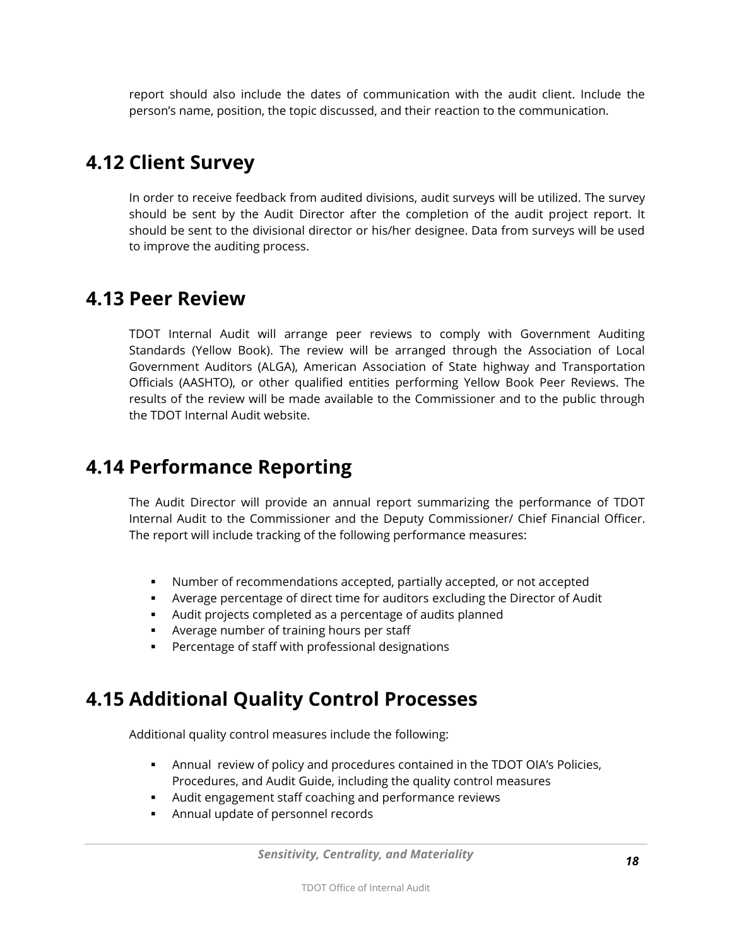report should also include the dates of communication with the audit client. Include the person's name, position, the topic discussed, and their reaction to the communication.

#### <span id="page-17-0"></span>**4.12 Client Survey**

In order to receive feedback from audited divisions, audit surveys will be utilized. The survey should be sent by the Audit Director after the completion of the audit project report. It should be sent to the divisional director or his/her designee. Data from surveys will be used to improve the auditing process.

#### <span id="page-17-1"></span>**4.13 Peer Review**

TDOT Internal Audit will arrange peer reviews to comply with Government Auditing Standards (Yellow Book). The review will be arranged through the Association of Local Government Auditors (ALGA), American Association of State highway and Transportation Officials (AASHTO), or other qualified entities performing Yellow Book Peer Reviews. The results of the review will be made available to the Commissioner and to the public through the TDOT Internal Audit website.

#### <span id="page-17-2"></span>**4.14 Performance Reporting**

The Audit Director will provide an annual report summarizing the performance of TDOT Internal Audit to the Commissioner and the Deputy Commissioner/ Chief Financial Officer. The report will include tracking of the following performance measures:

- Number of recommendations accepted, partially accepted, or not accepted
- Average percentage of direct time for auditors excluding the Director of Audit
- Audit projects completed as a percentage of audits planned
- Average number of training hours per staff
- **Percentage of staff with professional designations**

### <span id="page-17-3"></span>**4.15 Additional Quality Control Processes**

Additional quality control measures include the following:

- Annual review of policy and procedures contained in the TDOT OIA's Policies, Procedures, and Audit Guide, including the quality control measures
- Audit engagement staff coaching and performance reviews
- Annual update of personnel records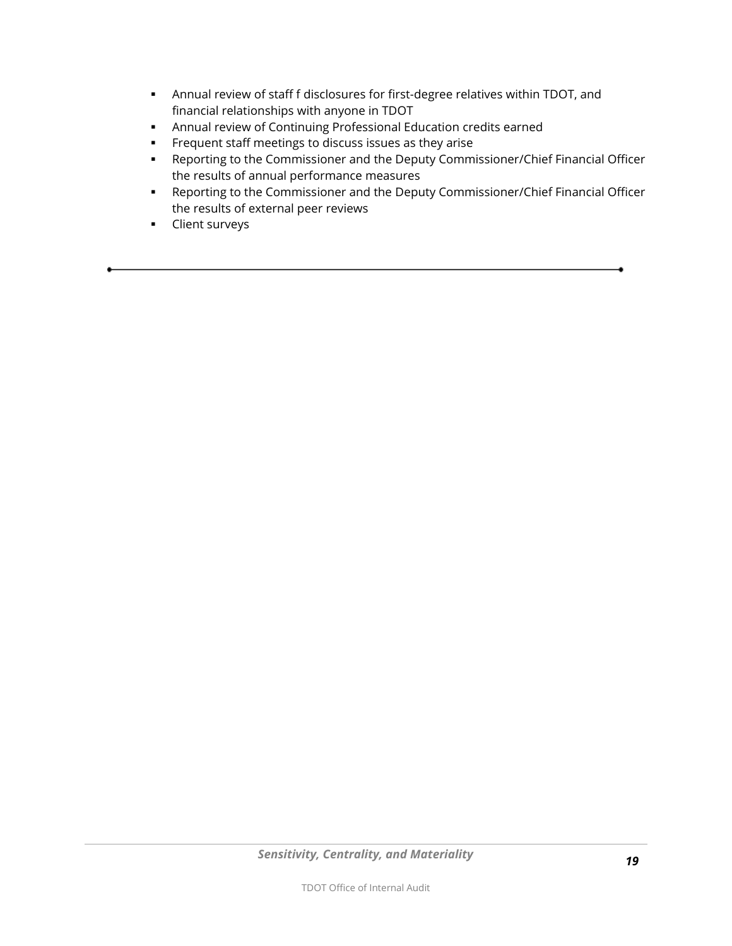- Annual review of staff f disclosures for first-degree relatives within TDOT, and financial relationships with anyone in TDOT
- Annual review of Continuing Professional Education credits earned
- **Frequent staff meetings to discuss issues as they arise**
- Reporting to the Commissioner and the Deputy Commissioner/Chief Financial Officer the results of annual performance measures
- Reporting to the Commissioner and the Deputy Commissioner/Chief Financial Officer the results of external peer reviews
- **-** Client surveys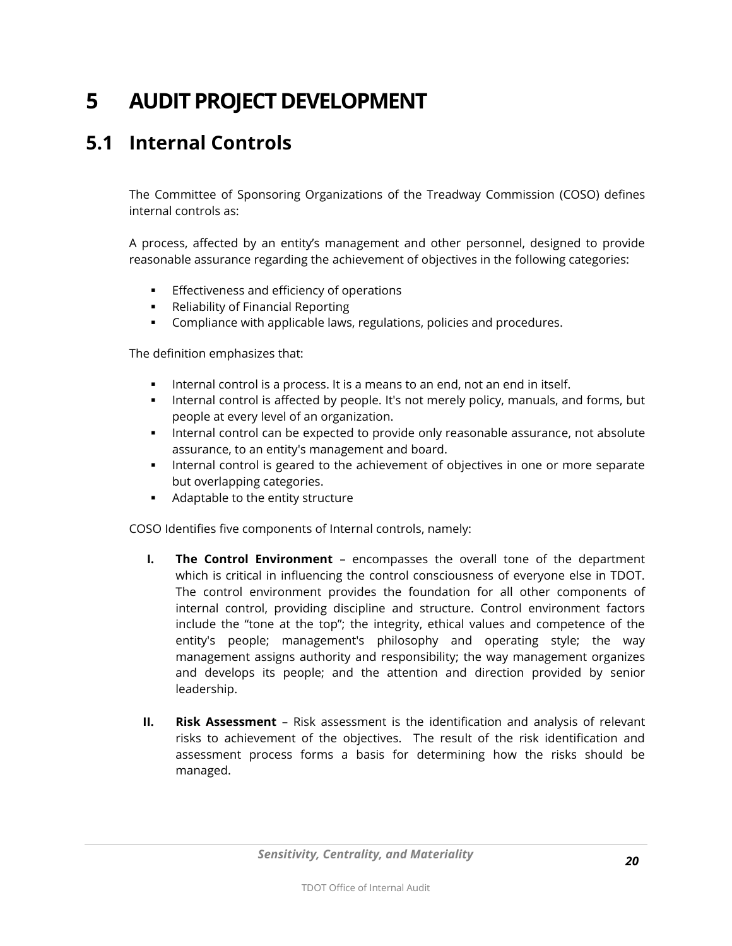# <span id="page-19-0"></span>**5 AUDIT PROJECT DEVELOPMENT**

### <span id="page-19-1"></span>**5.1 Internal Controls**

The Committee of Sponsoring Organizations of the Treadway Commission (COSO) defines internal controls as:

A process, affected by an entity's management and other personnel, designed to provide reasonable assurance regarding the achievement of objectives in the following categories:

- **Effectiveness and efficiency of operations**
- **Reliability of Financial Reporting**
- **Compliance with applicable laws, regulations, policies and procedures.**

The definition emphasizes that:

- **Internal control is a process. It is a means to an end, not an end in itself.**
- **Internal control is affected by people. It's not merely policy, manuals, and forms, but** people at every level of an organization.
- **Internal control can be expected to provide only reasonable assurance, not absolute** assurance, to an entity's management and board.
- Internal control is geared to the achievement of objectives in one or more separate but overlapping categories.
- **Adaptable to the entity structure**

COSO Identifies five components of Internal controls, namely:

- **I. The Control Environment** encompasses the overall tone of the department which is critical in influencing the control consciousness of everyone else in TDOT. The control environment provides the foundation for all other components of internal control, providing discipline and structure. Control environment factors include the "tone at the top"; the integrity, ethical values and competence of the entity's people; management's philosophy and operating style; the way management assigns authority and responsibility; the way management organizes and develops its people; and the attention and direction provided by senior leadership.
- **II. Risk Assessment** Risk assessment is the identification and analysis of relevant risks to achievement of the objectives. The result of the risk identification and assessment process forms a basis for determining how the risks should be managed.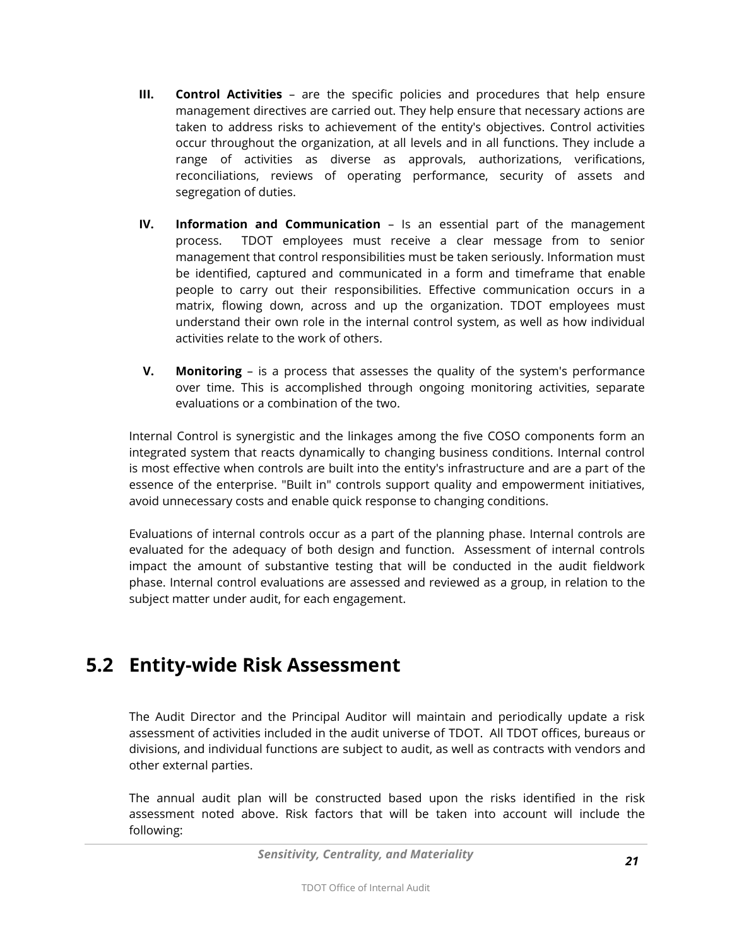- **III. Control Activities** are the specific policies and procedures that help ensure management directives are carried out. They help ensure that necessary actions are taken to address risks to achievement of the entity's objectives. Control activities occur throughout the organization, at all levels and in all functions. They include a range of activities as diverse as approvals, authorizations, verifications, reconciliations, reviews of operating performance, security of assets and segregation of duties.
- **IV. Information and Communication** Is an essential part of the management process. TDOT employees must receive a clear message from to senior management that control responsibilities must be taken seriously. Information must be identified, captured and communicated in a form and timeframe that enable people to carry out their responsibilities. Effective communication occurs in a matrix, flowing down, across and up the organization. TDOT employees must understand their own role in the internal control system, as well as how individual activities relate to the work of others.
- **V. Monitoring** is a process that assesses the quality of the system's performance over time. This is accomplished through ongoing monitoring activities, separate evaluations or a combination of the two.

Internal Control is synergistic and the linkages among the five COSO components form an integrated system that reacts dynamically to changing business conditions. Internal control is most effective when controls are built into the entity's infrastructure and are a part of the essence of the enterprise. "Built in" controls support quality and empowerment initiatives, avoid unnecessary costs and enable quick response to changing conditions.

Evaluations of internal controls occur as a part of the planning phase. Internal controls are evaluated for the adequacy of both design and function. Assessment of internal controls impact the amount of substantive testing that will be conducted in the audit fieldwork phase. Internal control evaluations are assessed and reviewed as a group, in relation to the subject matter under audit, for each engagement.

### <span id="page-20-0"></span>**5.2 Entity-wide Risk Assessment**

The Audit Director and the Principal Auditor will maintain and periodically update a risk assessment of activities included in the audit universe of TDOT. All TDOT offices, bureaus or divisions, and individual functions are subject to audit, as well as contracts with vendors and other external parties.

The annual audit plan will be constructed based upon the risks identified in the risk assessment noted above. Risk factors that will be taken into account will include the following: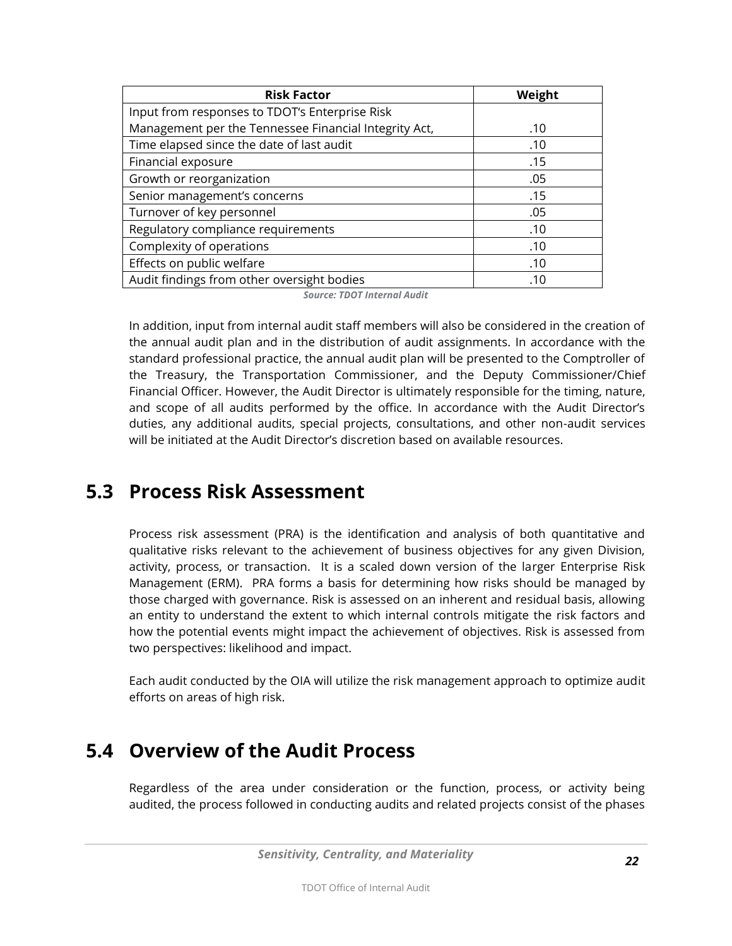| <b>Risk Factor</b>                                    | Weight |
|-------------------------------------------------------|--------|
| Input from responses to TDOT's Enterprise Risk        |        |
| Management per the Tennessee Financial Integrity Act, | .10    |
| Time elapsed since the date of last audit             | .10    |
| Financial exposure                                    | .15    |
| Growth or reorganization                              | .05    |
| Senior management's concerns                          | .15    |
| Turnover of key personnel                             | .05    |
| Regulatory compliance requirements                    | .10    |
| Complexity of operations                              | .10    |
| Effects on public welfare                             | .10    |
| Audit findings from other oversight bodies            | .10    |

*Source: TDOT Internal Audit*

In addition, input from internal audit staff members will also be considered in the creation of the annual audit plan and in the distribution of audit assignments. In accordance with the standard professional practice, the annual audit plan will be presented to the Comptroller of the Treasury, the Transportation Commissioner, and the Deputy Commissioner/Chief Financial Officer. However, the Audit Director is ultimately responsible for the timing, nature, and scope of all audits performed by the office. In accordance with the Audit Director's duties, any additional audits, special projects, consultations, and other non-audit services will be initiated at the Audit Director's discretion based on available resources.

#### <span id="page-21-0"></span>**5.3 Process Risk Assessment**

Process risk assessment (PRA) is the identification and analysis of both quantitative and qualitative risks relevant to the achievement of business objectives for any given Division, activity, process, or transaction. It is a scaled down version of the larger Enterprise Risk Management (ERM). PRA forms a basis for determining how risks should be managed by those charged with governance. Risk is assessed on an inherent and residual basis, allowing an entity to understand the extent to which internal controls mitigate the risk factors and how the potential events might impact the achievement of objectives. Risk is assessed from two perspectives: likelihood and impact.

Each audit conducted by the OIA will utilize the risk management approach to optimize audit efforts on areas of high risk.

#### <span id="page-21-1"></span>**5.4 Overview of the Audit Process**

Regardless of the area under consideration or the function, process, or activity being audited, the process followed in conducting audits and related projects consist of the phases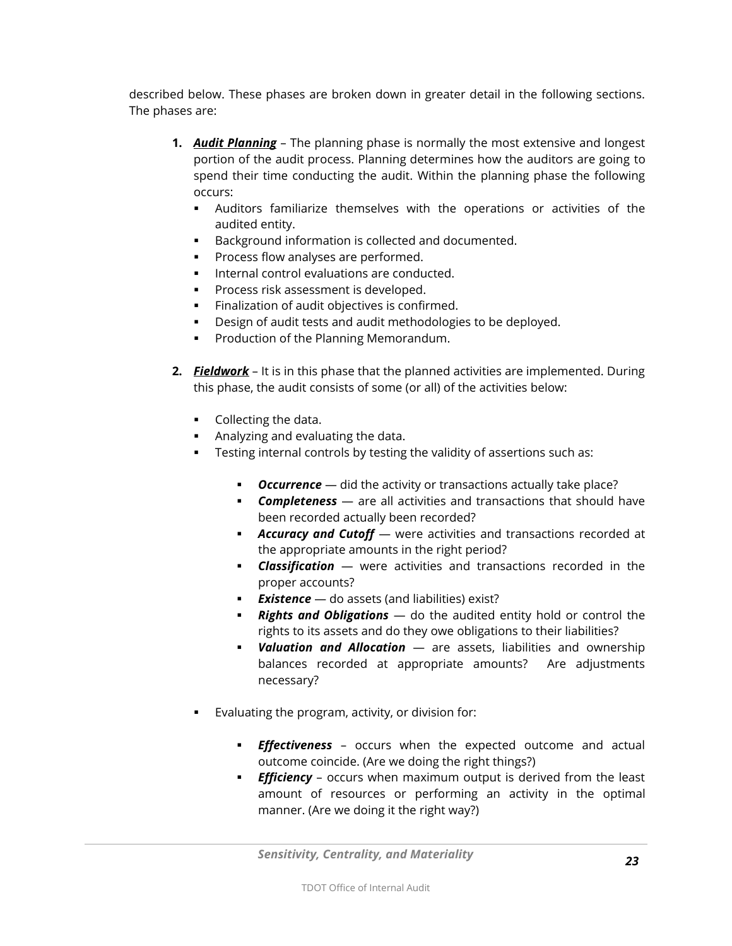described below. These phases are broken down in greater detail in the following sections. The phases are:

- **1.** *Audit Planning* The planning phase is normally the most extensive and longest portion of the audit process. Planning determines how the auditors are going to spend their time conducting the audit. Within the planning phase the following occurs:
	- Auditors familiarize themselves with the operations or activities of the audited entity.
	- Background information is collected and documented.
	- Process flow analyses are performed.
	- **Internal control evaluations are conducted.**
	- Process risk assessment is developed.
	- **Finalization of audit objectives is confirmed.**
	- Design of audit tests and audit methodologies to be deployed.
	- Production of the Planning Memorandum.
- **2.** *Fieldwork* It is in this phase that the planned activities are implemented. During this phase, the audit consists of some (or all) of the activities below:
	- **Collecting the data.**
	- Analyzing and evaluating the data.
	- **Testing internal controls by testing the validity of assertions such as:** 
		- **Cccurrence** did the activity or transactions actually take place?
		- *Completeness* are all activities and transactions that should have been recorded actually been recorded?
		- **Accuracy and Cutoff** were activities and transactions recorded at the appropriate amounts in the right period?
		- *Classification* were activities and transactions recorded in the proper accounts?
		- **Existence** do assets (and liabilities) exist?
		- *Rights and Obligations* do the audited entity hold or control the rights to its assets and do they owe obligations to their liabilities?
		- *Valuation and Allocation* are assets, liabilities and ownership balances recorded at appropriate amounts? Are adjustments necessary?
	- Evaluating the program, activity, or division for:
		- *Effectiveness* occurs when the expected outcome and actual outcome coincide. (Are we doing the right things?)
		- **Efficiency** occurs when maximum output is derived from the least amount of resources or performing an activity in the optimal manner. (Are we doing it the right way?)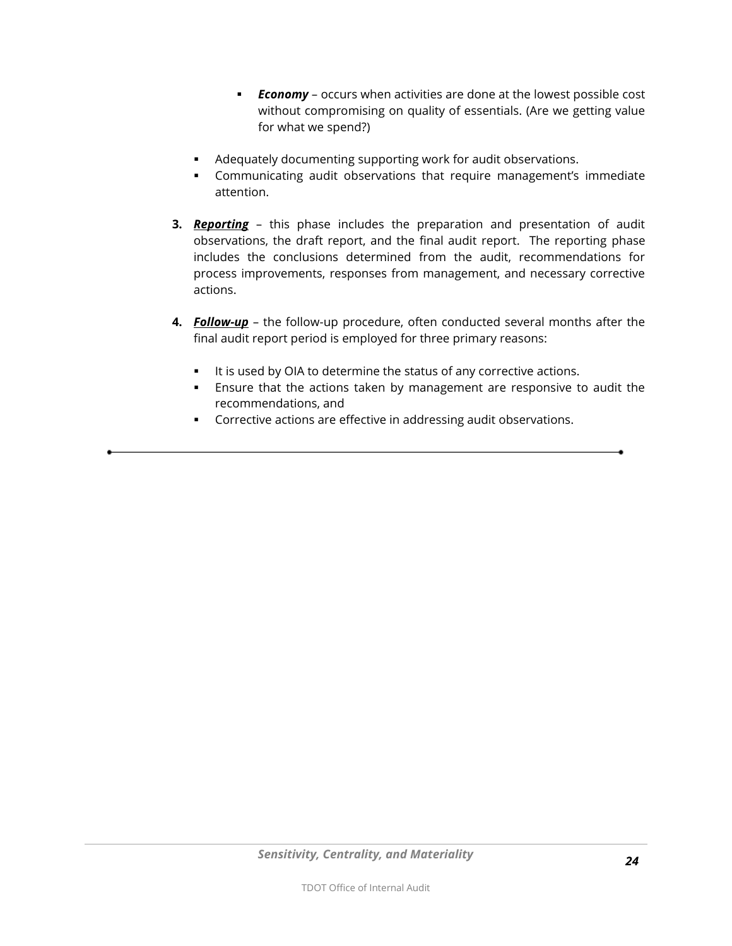- *Economy* occurs when activities are done at the lowest possible cost without compromising on quality of essentials. (Are we getting value for what we spend?)
- Adequately documenting supporting work for audit observations.
- Communicating audit observations that require management's immediate attention.
- **3.** *Reporting* this phase includes the preparation and presentation of audit observations, the draft report, and the final audit report. The reporting phase includes the conclusions determined from the audit, recommendations for process improvements, responses from management, and necessary corrective actions.
- **4.** *Follow-up* the follow-up procedure, often conducted several months after the final audit report period is employed for three primary reasons:
	- It is used by OIA to determine the status of any corrective actions.
	- Ensure that the actions taken by management are responsive to audit the recommendations, and
	- **Corrective actions are effective in addressing audit observations.**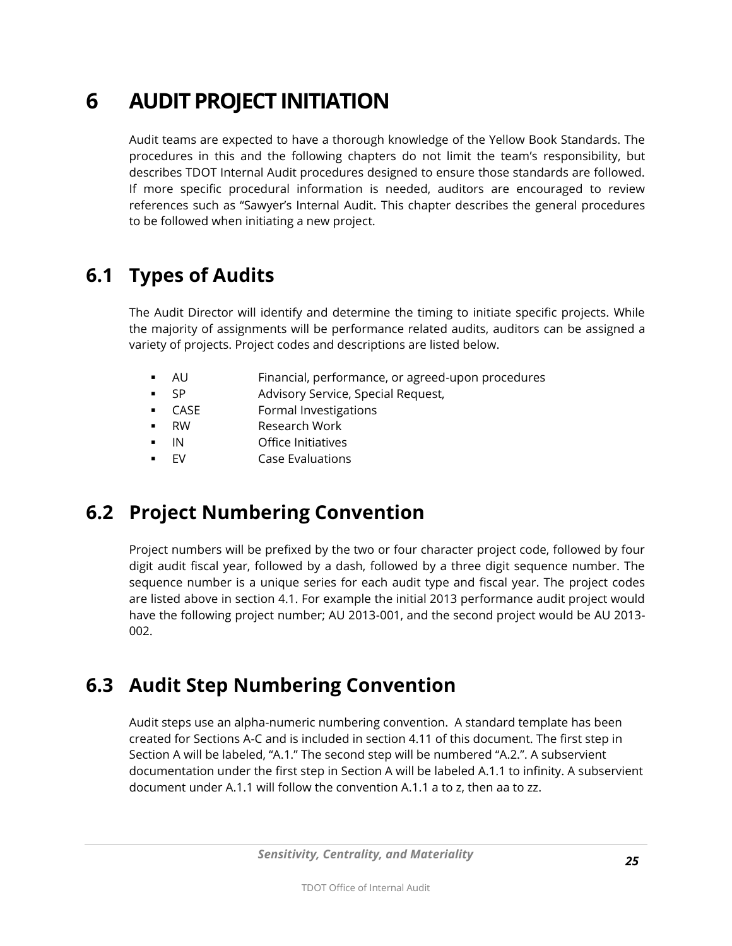# <span id="page-24-0"></span>**6 AUDIT PROJECT INITIATION**

Audit teams are expected to have a thorough knowledge of the Yellow Book Standards. The procedures in this and the following chapters do not limit the team's responsibility, but describes TDOT Internal Audit procedures designed to ensure those standards are followed. If more specific procedural information is needed, auditors are encouraged to review references such as "Sawyer's Internal Audit. This chapter describes the general procedures to be followed when initiating a new project.

### <span id="page-24-1"></span>**6.1 Types of Audits**

The Audit Director will identify and determine the timing to initiate specific projects. While the majority of assignments will be performance related audits, auditors can be assigned a variety of projects. Project codes and descriptions are listed below.

- AU Financial, performance, or agreed-upon procedures
- SP Advisory Service, Special Request,
- CASE Formal Investigations
- RW Research Work
- IN Office Initiatives
- EV Case Evaluations

### <span id="page-24-2"></span>**6.2 Project Numbering Convention**

Project numbers will be prefixed by the two or four character project code, followed by four digit audit fiscal year, followed by a dash, followed by a three digit sequence number. The sequence number is a unique series for each audit type and fiscal year. The project codes are listed above in section 4.1. For example the initial 2013 performance audit project would have the following project number; AU 2013-001, and the second project would be AU 2013- 002.

### <span id="page-24-3"></span>**6.3 Audit Step Numbering Convention**

Audit steps use an alpha-numeric numbering convention. A standard template has been created for Sections A-C and is included in section 4.11 of this document. The first step in Section A will be labeled, "A.1." The second step will be numbered "A.2.". A subservient documentation under the first step in Section A will be labeled A.1.1 to infinity. A subservient document under A.1.1 will follow the convention A.1.1 a to z, then aa to zz.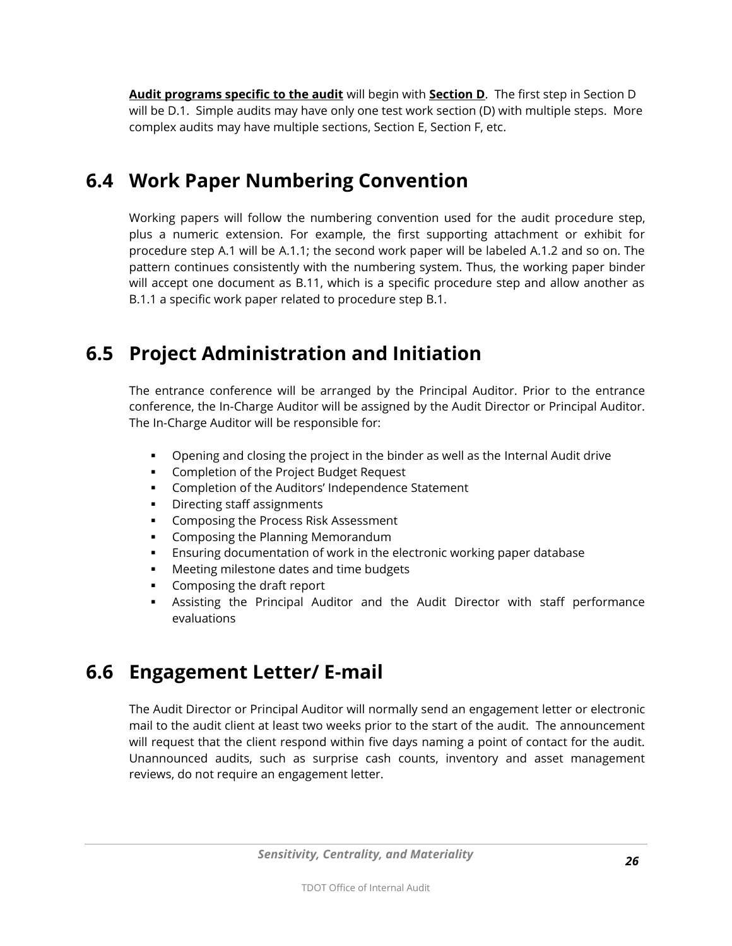**Audit programs specific to the audit** will begin with **Section D**. The first step in Section D will be D.1. Simple audits may have only one test work section (D) with multiple steps. More complex audits may have multiple sections, Section E, Section F, etc.

### <span id="page-25-0"></span>**6.4 Work Paper Numbering Convention**

Working papers will follow the numbering convention used for the audit procedure step, plus a numeric extension. For example, the first supporting attachment or exhibit for procedure step A.1 will be A.1.1; the second work paper will be labeled A.1.2 and so on. The pattern continues consistently with the numbering system. Thus, the working paper binder will accept one document as B.11, which is a specific procedure step and allow another as B.1.1 a specific work paper related to procedure step B.1.

### <span id="page-25-1"></span>**6.5 Project Administration and Initiation**

The entrance conference will be arranged by the Principal Auditor. Prior to the entrance conference, the In-Charge Auditor will be assigned by the Audit Director or Principal Auditor. The In-Charge Auditor will be responsible for:

- Opening and closing the project in the binder as well as the Internal Audit drive
- **EXPLORED COMPLET** Completion of the Project Budget Request
- **Completion of the Auditors' Independence Statement**
- **•** Directing staff assignments
- Composing the Process Risk Assessment
- **EXECOM** Composing the Planning Memorandum
- Ensuring documentation of work in the electronic working paper database
- **Meeting milestone dates and time budgets**
- **Composing the draft report**
- Assisting the Principal Auditor and the Audit Director with staff performance evaluations

### <span id="page-25-2"></span>**6.6 Engagement Letter/ E-mail**

The Audit Director or Principal Auditor will normally send an engagement letter or electronic mail to the audit client at least two weeks prior to the start of the audit. The announcement will request that the client respond within five days naming a point of contact for the audit. Unannounced audits, such as surprise cash counts, inventory and asset management reviews, do not require an engagement letter.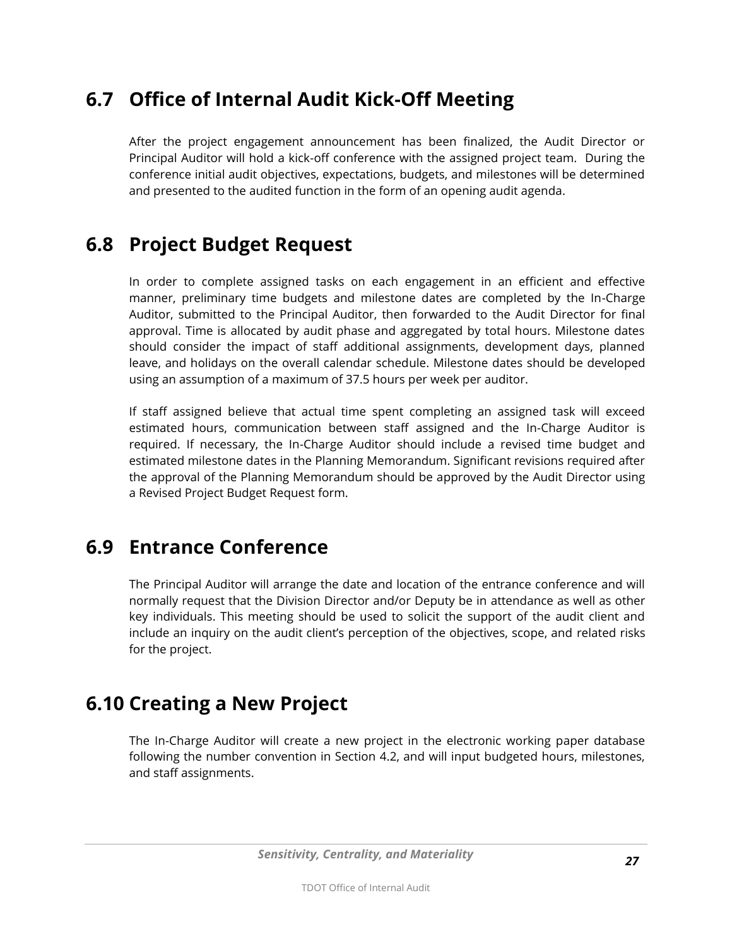### <span id="page-26-0"></span>**6.7 Office of Internal Audit Kick-Off Meeting**

After the project engagement announcement has been finalized, the Audit Director or Principal Auditor will hold a kick-off conference with the assigned project team. During the conference initial audit objectives, expectations, budgets, and milestones will be determined and presented to the audited function in the form of an opening audit agenda.

#### <span id="page-26-1"></span>**6.8 Project Budget Request**

In order to complete assigned tasks on each engagement in an efficient and effective manner, preliminary time budgets and milestone dates are completed by the In-Charge Auditor, submitted to the Principal Auditor, then forwarded to the Audit Director for final approval. Time is allocated by audit phase and aggregated by total hours. Milestone dates should consider the impact of staff additional assignments, development days, planned leave, and holidays on the overall calendar schedule. Milestone dates should be developed using an assumption of a maximum of 37.5 hours per week per auditor.

If staff assigned believe that actual time spent completing an assigned task will exceed estimated hours, communication between staff assigned and the In-Charge Auditor is required. If necessary, the In-Charge Auditor should include a revised time budget and estimated milestone dates in the Planning Memorandum. Significant revisions required after the approval of the Planning Memorandum should be approved by the Audit Director using a Revised Project Budget Request form.

#### <span id="page-26-2"></span>**6.9 Entrance Conference**

The Principal Auditor will arrange the date and location of the entrance conference and will normally request that the Division Director and/or Deputy be in attendance as well as other key individuals. This meeting should be used to solicit the support of the audit client and include an inquiry on the audit client's perception of the objectives, scope, and related risks for the project.

#### <span id="page-26-3"></span>**6.10 Creating a New Project**

The In-Charge Auditor will create a new project in the electronic working paper database following the number convention in Section 4.2, and will input budgeted hours, milestones, and staff assignments.

*Sensitivity, Centrality, and Materiality*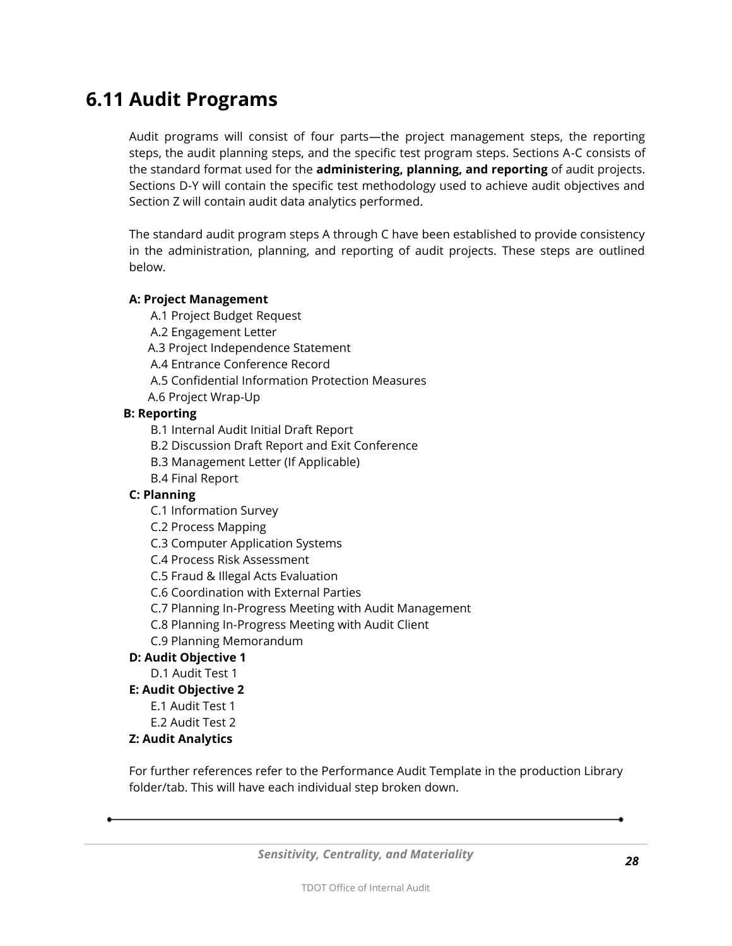#### <span id="page-27-0"></span>**6.11 Audit Programs**

Audit programs will consist of four parts—the project management steps, the reporting steps, the audit planning steps, and the specific test program steps. Sections A-C consists of the standard format used for the **administering, planning, and reporting** of audit projects. Sections D-Y will contain the specific test methodology used to achieve audit objectives and Section Z will contain audit data analytics performed.

The standard audit program steps A through C have been established to provide consistency in the administration, planning, and reporting of audit projects. These steps are outlined below.

#### **A: Project Management**

A.1 Project Budget Request

A.2 Engagement Letter

A.3 Project Independence Statement

A.4 Entrance Conference Record

- A.5 Confidential Information Protection Measures
- A.6 Project Wrap-Up

#### **B: Reporting**

B.1 Internal Audit Initial Draft Report

B.2 Discussion Draft Report and Exit Conference

B.3 Management Letter (If Applicable)

B.4 Final Report

#### **C: Planning**

C.1 Information Survey

C.2 Process Mapping

C.3 Computer Application Systems

C.4 Process Risk Assessment

C.5 Fraud & Illegal Acts Evaluation

C.6 Coordination with External Parties

C.7 Planning In-Progress Meeting with Audit Management

C.8 Planning In-Progress Meeting with Audit Client

C.9 Planning Memorandum

#### **D: Audit Objective 1**

D.1 Audit Test 1

#### **E: Audit Objective 2**

E.1 Audit Test 1

E.2 Audit Test 2

#### **Z: Audit Analytics**

For further references refer to the Performance Audit Template in the production Library folder/tab. This will have each individual step broken down.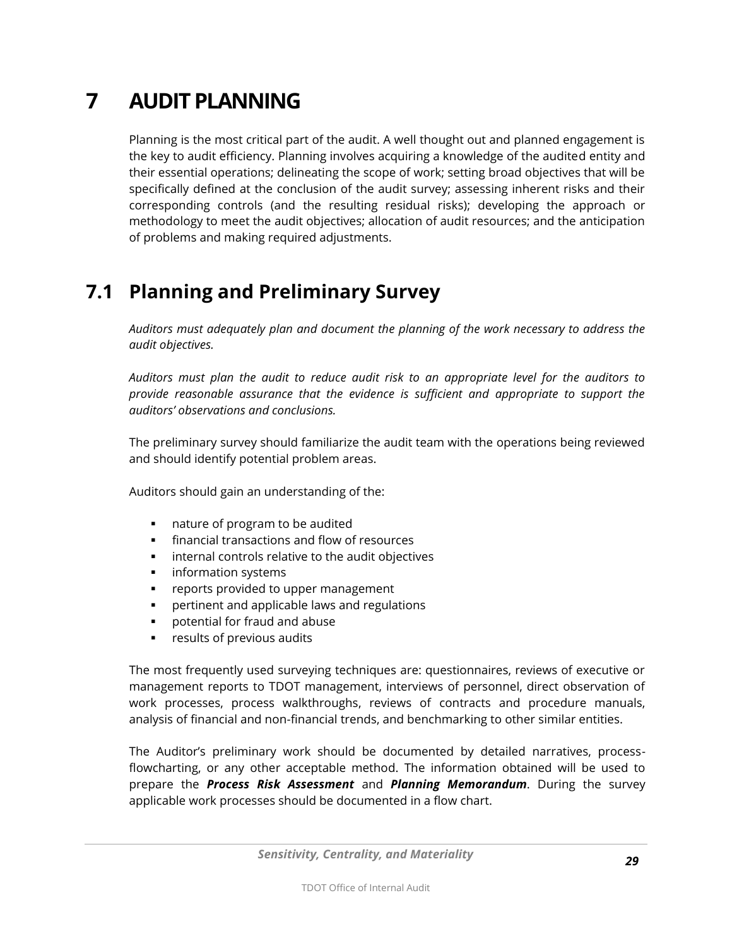# <span id="page-28-0"></span>**7 AUDIT PLANNING**

Planning is the most critical part of the audit. A well thought out and planned engagement is the key to audit efficiency. Planning involves acquiring a knowledge of the audited entity and their essential operations; delineating the scope of work; setting broad objectives that will be specifically defined at the conclusion of the audit survey; assessing inherent risks and their corresponding controls (and the resulting residual risks); developing the approach or methodology to meet the audit objectives; allocation of audit resources; and the anticipation of problems and making required adjustments.

### <span id="page-28-1"></span>**7.1 Planning and Preliminary Survey**

*Auditors must adequately plan and document the planning of the work necessary to address the audit objectives.* 

*Auditors must plan the audit to reduce audit risk to an appropriate level for the auditors to provide reasonable assurance that the evidence is sufficient and appropriate to support the auditors' observations and conclusions.*

The preliminary survey should familiarize the audit team with the operations being reviewed and should identify potential problem areas.

Auditors should gain an understanding of the:

- **nature of program to be audited**
- **financial transactions and flow of resources**
- **EXEDENT** internal controls relative to the audit objectives
- **information systems**
- **•** reports provided to upper management
- **Pertinent and applicable laws and regulations**
- potential for fraud and abuse
- **•** results of previous audits

The most frequently used surveying techniques are: questionnaires, reviews of executive or management reports to TDOT management, interviews of personnel, direct observation of work processes, process walkthroughs, reviews of contracts and procedure manuals, analysis of financial and non-financial trends, and benchmarking to other similar entities.

The Auditor's preliminary work should be documented by detailed narratives, processflowcharting, or any other acceptable method. The information obtained will be used to prepare the *Process Risk Assessment* and *Planning Memorandum*. During the survey applicable work processes should be documented in a flow chart.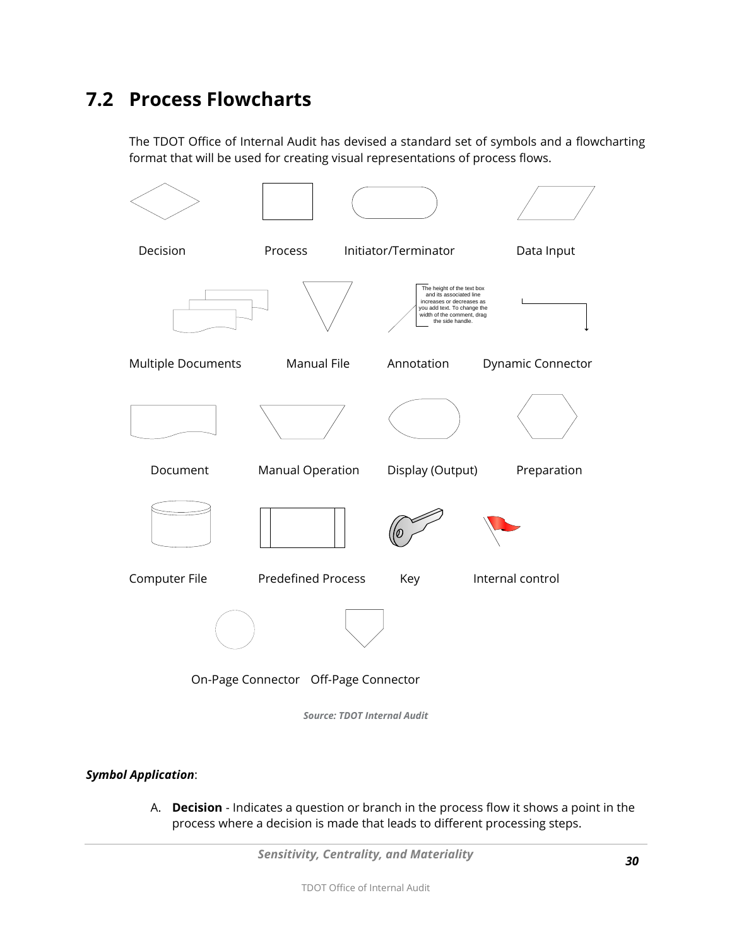### <span id="page-29-0"></span>**7.2 Process Flowcharts**

The TDOT Office of Internal Audit has devised a standard set of symbols and a flowcharting format that will be used for creating visual representations of process flows.



*Source: TDOT Internal Audit*

#### *Symbol Application*:

A. **Decision** - Indicates a question or branch in the process flow it shows a point in the process where a decision is made that leads to different processing steps.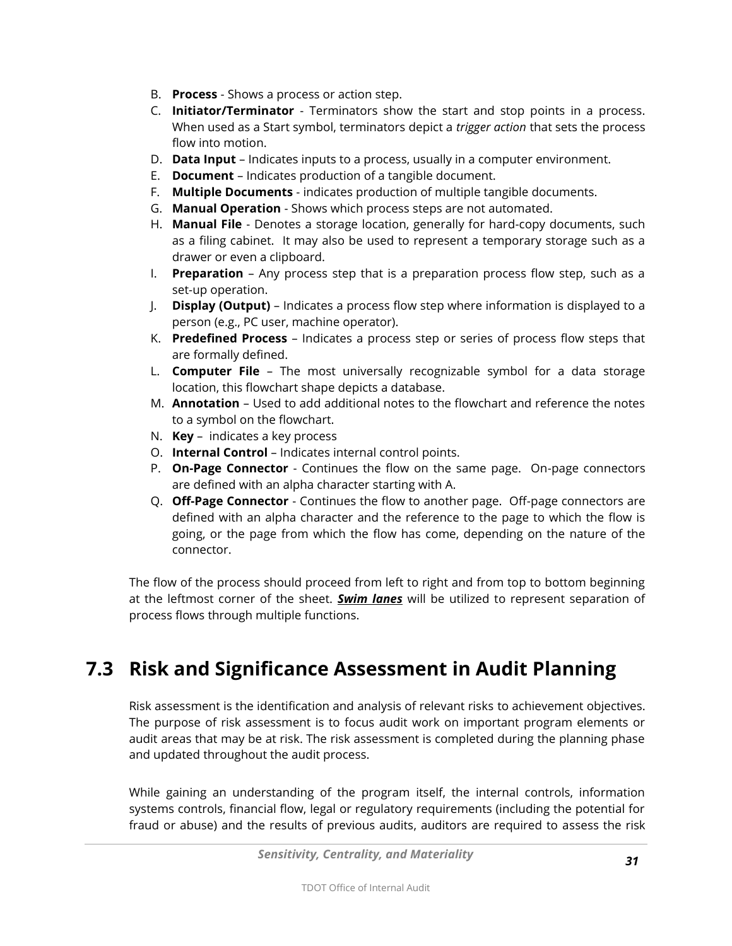- B. **Process** Shows a process or action step.
- C. **Initiator/Terminator** Terminators show the start and stop points in a process. When used as a Start symbol, terminators depict a *trigger action* that sets the process flow into motion.
- D. **Data Input** Indicates inputs to a process, usually in a computer environment.
- E. **Document** Indicates production of a tangible document.
- F. **Multiple Documents** indicates production of multiple tangible documents.
- G. **Manual Operation** Shows which process steps are not automated.
- H. **Manual File** Denotes a storage location, generally for hard-copy documents, such as a filing cabinet. It may also be used to represent a temporary storage such as a drawer or even a clipboard.
- I. **Preparation** Any process step that is a preparation process flow step, such as a set-up operation.
- J. **Display (Output)** Indicates a process flow step where information is displayed to a person (e.g., PC user, machine operator).
- K. **Predefined Process** Indicates a process step or series of process flow steps that are formally defined.
- L. **Computer File** The most universally recognizable symbol for a data storage location, this flowchart shape depicts a database.
- M. **Annotation** Used to add additional notes to the flowchart and reference the notes to a symbol on the flowchart.
- N. **Key** indicates a key process
- O. **Internal Control** Indicates internal control points.
- P. **On-Page Connector** Continues the flow on the same page. On-page connectors are defined with an alpha character starting with A.
- Q. **Off-Page Connector** Continues the flow to another page. Off-page connectors are defined with an alpha character and the reference to the page to which the flow is going, or the page from which the flow has come, depending on the nature of the connector.

The flow of the process should proceed from left to right and from top to bottom beginning at the leftmost corner of the sheet. *Swim lanes* will be utilized to represent separation of process flows through multiple functions.

### <span id="page-30-0"></span>**7.3 Risk and Significance Assessment in Audit Planning**

Risk assessment is the identification and analysis of relevant risks to achievement objectives. The purpose of risk assessment is to focus audit work on important program elements or audit areas that may be at risk. The risk assessment is completed during the planning phase and updated throughout the audit process.

While gaining an understanding of the program itself, the internal controls, information systems controls, financial flow, legal or regulatory requirements (including the potential for fraud or abuse) and the results of previous audits, auditors are required to assess the risk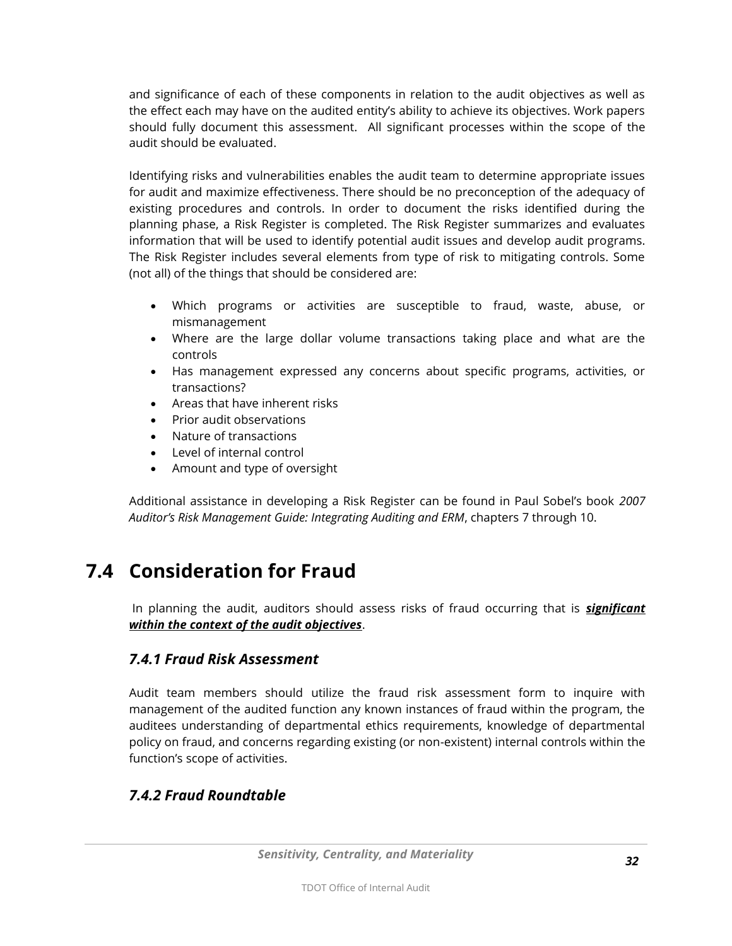and significance of each of these components in relation to the audit objectives as well as the effect each may have on the audited entity's ability to achieve its objectives. Work papers should fully document this assessment. All significant processes within the scope of the audit should be evaluated.

Identifying risks and vulnerabilities enables the audit team to determine appropriate issues for audit and maximize effectiveness. There should be no preconception of the adequacy of existing procedures and controls. In order to document the risks identified during the planning phase, a Risk Register is completed. The Risk Register summarizes and evaluates information that will be used to identify potential audit issues and develop audit programs. The Risk Register includes several elements from type of risk to mitigating controls. Some (not all) of the things that should be considered are:

- Which programs or activities are susceptible to fraud, waste, abuse, or mismanagement
- Where are the large dollar volume transactions taking place and what are the controls
- Has management expressed any concerns about specific programs, activities, or transactions?
- Areas that have inherent risks
- Prior audit observations
- Nature of transactions
- Level of internal control
- Amount and type of oversight

Additional assistance in developing a Risk Register can be found in Paul Sobel's book *2007 Auditor's Risk Management Guide: Integrating Auditing and ERM*, chapters 7 through 10.

### <span id="page-31-0"></span>**7.4 Consideration for Fraud**

In planning the audit, auditors should assess risks of fraud occurring that is *significant within the context of the audit objectives*.

#### *7.4.1 Fraud Risk Assessment*

Audit team members should utilize the fraud risk assessment form to inquire with management of the audited function any known instances of fraud within the program, the auditees understanding of departmental ethics requirements, knowledge of departmental policy on fraud, and concerns regarding existing (or non-existent) internal controls within the function's scope of activities.

#### *7.4.2 Fraud Roundtable*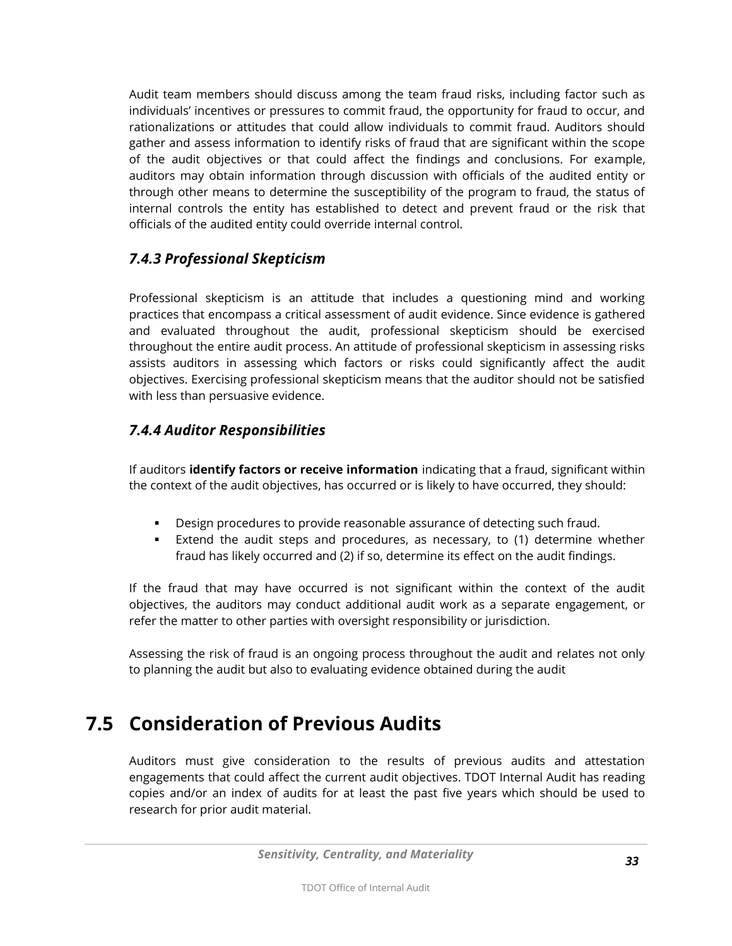Audit team members should discuss among the team fraud risks, including factor such as individuals' incentives or pressures to commit fraud, the opportunity for fraud to occur, and rationalizations or attitudes that could allow individuals to commit fraud. Auditors should gather and assess information to identify risks of fraud that are significant within the scope of the audit objectives or that could affect the findings and conclusions. For example, auditors may obtain information through discussion with officials of the audited entity or through other means to determine the susceptibility of the program to fraud, the status of internal controls the entity has established to detect and prevent fraud or the risk that officials of the audited entity could override internal control.

#### *7.4.3 Professional Skepticism*

Professional skepticism is an attitude that includes a questioning mind and working practices that encompass a critical assessment of audit evidence. Since evidence is gathered and evaluated throughout the audit, professional skepticism should be exercised throughout the entire audit process. An attitude of professional skepticism in assessing risks assists auditors in assessing which factors or risks could significantly affect the audit objectives. Exercising professional skepticism means that the auditor should not be satisfied with less than persuasive evidence.

#### *7.4.4 Auditor Responsibilities*

If auditors **identify factors or receive information** indicating that a fraud, significant within the context of the audit objectives, has occurred or is likely to have occurred, they should:

- Design procedures to provide reasonable assurance of detecting such fraud.
- Extend the audit steps and procedures, as necessary, to (1) determine whether fraud has likely occurred and (2) if so, determine its effect on the audit findings.

If the fraud that may have occurred is not significant within the context of the audit objectives, the auditors may conduct additional audit work as a separate engagement, or refer the matter to other parties with oversight responsibility or jurisdiction.

Assessing the risk of fraud is an ongoing process throughout the audit and relates not only to planning the audit but also to evaluating evidence obtained during the audit

### <span id="page-32-0"></span>**7.5 Consideration of Previous Audits**

Auditors must give consideration to the results of previous audits and attestation engagements that could affect the current audit objectives. TDOT Internal Audit has reading copies and/or an index of audits for at least the past five years which should be used to research for prior audit material.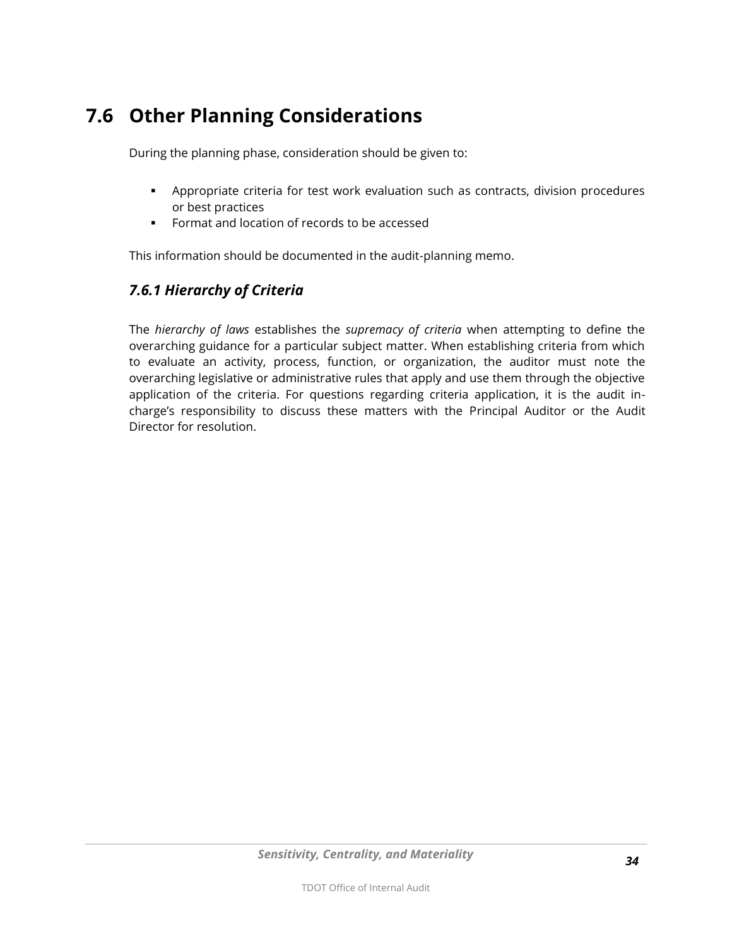### <span id="page-33-0"></span>**7.6 Other Planning Considerations**

During the planning phase, consideration should be given to:

- Appropriate criteria for test work evaluation such as contracts, division procedures or best practices
- **Format and location of records to be accessed**

This information should be documented in the audit-planning memo.

#### *7.6.1 Hierarchy of Criteria*

The *hierarchy of laws* establishes the *supremacy of criteria* when attempting to define the overarching guidance for a particular subject matter. When establishing criteria from which to evaluate an activity, process, function, or organization, the auditor must note the overarching legislative or administrative rules that apply and use them through the objective application of the criteria. For questions regarding criteria application, it is the audit incharge's responsibility to discuss these matters with the Principal Auditor or the Audit Director for resolution.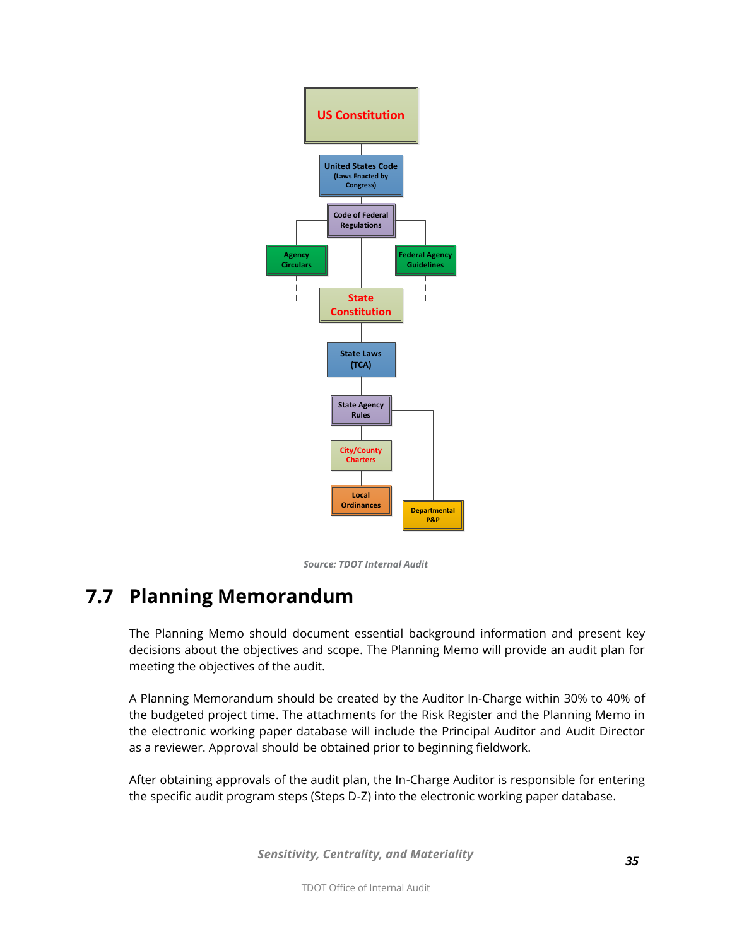

*Source: TDOT Internal Audit*

### <span id="page-34-0"></span>**7.7 Planning Memorandum**

The Planning Memo should document essential background information and present key decisions about the objectives and scope. The Planning Memo will provide an audit plan for meeting the objectives of the audit.

A Planning Memorandum should be created by the Auditor In-Charge within 30% to 40% of the budgeted project time. The attachments for the Risk Register and the Planning Memo in the electronic working paper database will include the Principal Auditor and Audit Director as a reviewer. Approval should be obtained prior to beginning fieldwork.

After obtaining approvals of the audit plan, the In-Charge Auditor is responsible for entering the specific audit program steps (Steps D-Z) into the electronic working paper database.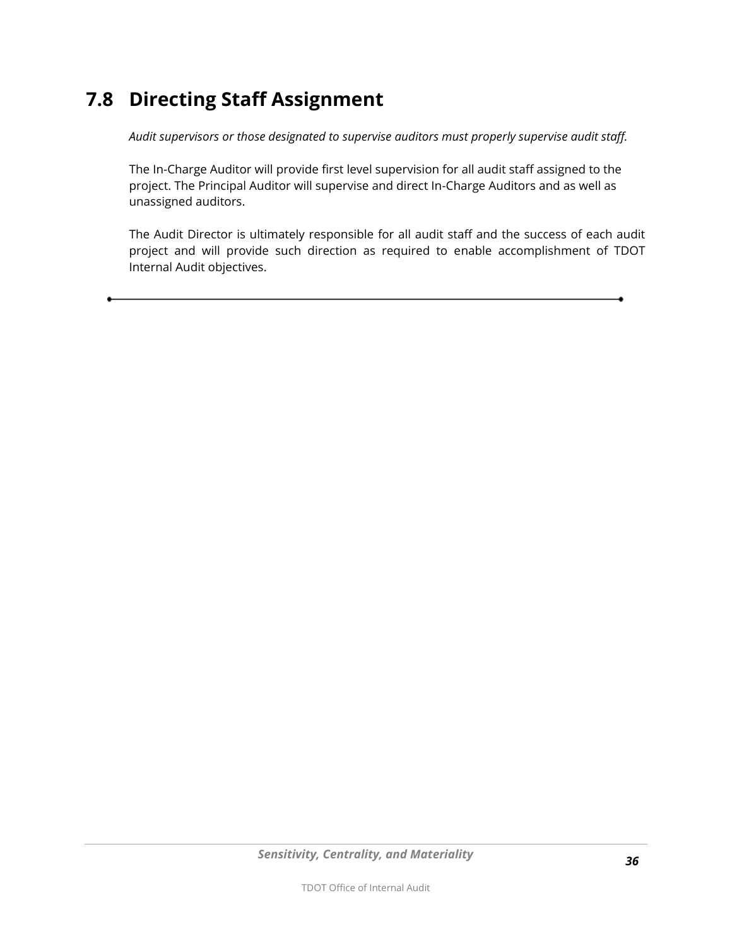### <span id="page-35-0"></span>**7.8 Directing Staff Assignment**

*Audit supervisors or those designated to supervise auditors must properly supervise audit staff.* 

The In-Charge Auditor will provide first level supervision for all audit staff assigned to the project. The Principal Auditor will supervise and direct In-Charge Auditors and as well as unassigned auditors.

<span id="page-35-1"></span>The Audit Director is ultimately responsible for all audit staff and the success of each audit project and will provide such direction as required to enable accomplishment of TDOT Internal Audit objectives.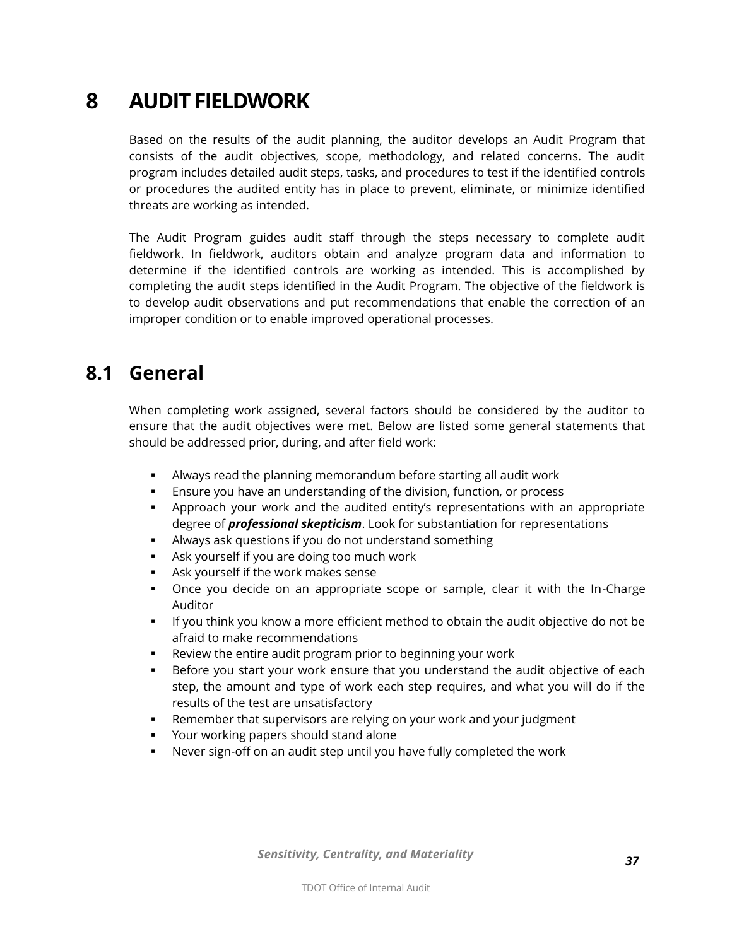# **8 AUDIT FIELDWORK**

Based on the results of the audit planning, the auditor develops an Audit Program that consists of the audit objectives, scope, methodology, and related concerns. The audit program includes detailed audit steps, tasks, and procedures to test if the identified controls or procedures the audited entity has in place to prevent, eliminate, or minimize identified threats are working as intended.

The Audit Program guides audit staff through the steps necessary to complete audit fieldwork. In fieldwork, auditors obtain and analyze program data and information to determine if the identified controls are working as intended. This is accomplished by completing the audit steps identified in the Audit Program. The objective of the fieldwork is to develop audit observations and put recommendations that enable the correction of an improper condition or to enable improved operational processes.

#### **8.1 General**

When completing work assigned, several factors should be considered by the auditor to ensure that the audit objectives were met. Below are listed some general statements that should be addressed prior, during, and after field work:

- Always read the planning memorandum before starting all audit work
- Ensure you have an understanding of the division, function, or process
- Approach your work and the audited entity's representations with an appropriate degree of *professional skepticism*. Look for substantiation for representations
- Always ask questions if you do not understand something
- Ask yourself if you are doing too much work
- Ask yourself if the work makes sense
- Once you decide on an appropriate scope or sample, clear it with the In-Charge Auditor
- If you think you know a more efficient method to obtain the audit objective do not be afraid to make recommendations
- Review the entire audit program prior to beginning your work
- Before you start your work ensure that you understand the audit objective of each step, the amount and type of work each step requires, and what you will do if the results of the test are unsatisfactory
- Remember that supervisors are relying on your work and your judgment
- Your working papers should stand alone
- Never sign-off on an audit step until you have fully completed the work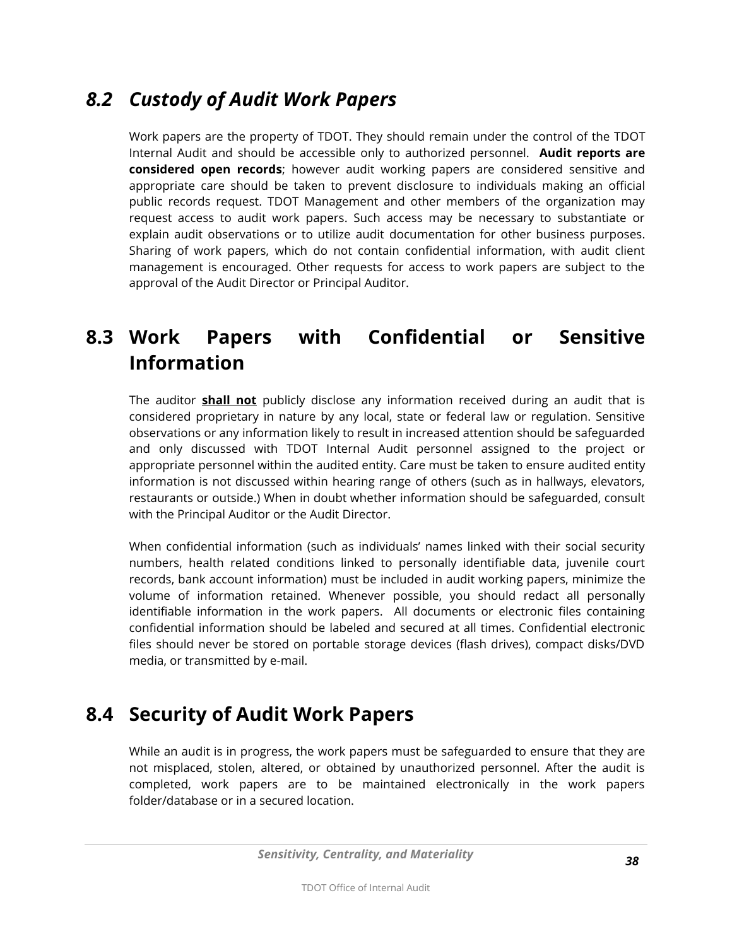# *8.2 Custody of Audit Work Papers*

Work papers are the property of TDOT. They should remain under the control of the TDOT Internal Audit and should be accessible only to authorized personnel. **Audit reports are considered open records**; however audit working papers are considered sensitive and appropriate care should be taken to prevent disclosure to individuals making an official public records request. TDOT Management and other members of the organization may request access to audit work papers. Such access may be necessary to substantiate or explain audit observations or to utilize audit documentation for other business purposes. Sharing of work papers, which do not contain confidential information, with audit client management is encouraged. Other requests for access to work papers are subject to the approval of the Audit Director or Principal Auditor.

# **8.3 Work Papers with Confidential or Sensitive Information**

The auditor **shall not** publicly disclose any information received during an audit that is considered proprietary in nature by any local, state or federal law or regulation. Sensitive observations or any information likely to result in increased attention should be safeguarded and only discussed with TDOT Internal Audit personnel assigned to the project or appropriate personnel within the audited entity. Care must be taken to ensure audited entity information is not discussed within hearing range of others (such as in hallways, elevators, restaurants or outside.) When in doubt whether information should be safeguarded, consult with the Principal Auditor or the Audit Director.

When confidential information (such as individuals' names linked with their social security numbers, health related conditions linked to personally identifiable data, juvenile court records, bank account information) must be included in audit working papers, minimize the volume of information retained. Whenever possible, you should redact all personally identifiable information in the work papers. All documents or electronic files containing confidential information should be labeled and secured at all times. Confidential electronic files should never be stored on portable storage devices (flash drives), compact disks/DVD media, or transmitted by e-mail.

# **8.4 Security of Audit Work Papers**

While an audit is in progress, the work papers must be safeguarded to ensure that they are not misplaced, stolen, altered, or obtained by unauthorized personnel. After the audit is completed, work papers are to be maintained electronically in the work papers folder/database or in a secured location.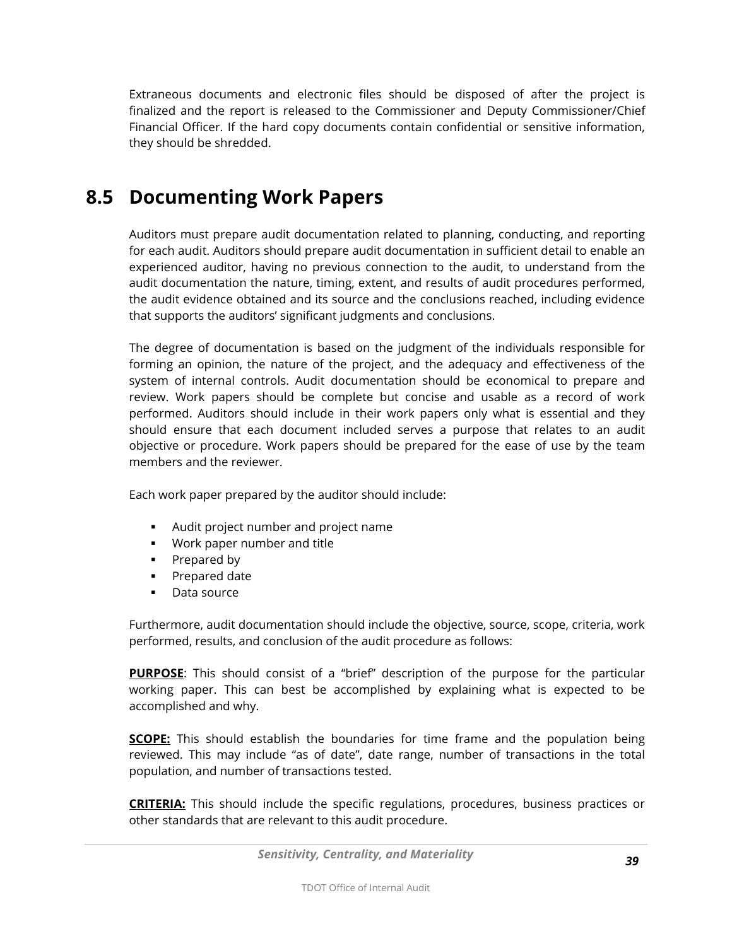Extraneous documents and electronic files should be disposed of after the project is finalized and the report is released to the Commissioner and Deputy Commissioner/Chief Financial Officer. If the hard copy documents contain confidential or sensitive information, they should be shredded.

### **8.5 Documenting Work Papers**

Auditors must prepare audit documentation related to planning, conducting, and reporting for each audit. Auditors should prepare audit documentation in sufficient detail to enable an experienced auditor, having no previous connection to the audit, to understand from the audit documentation the nature, timing, extent, and results of audit procedures performed, the audit evidence obtained and its source and the conclusions reached, including evidence that supports the auditors' significant judgments and conclusions.

The degree of documentation is based on the judgment of the individuals responsible for forming an opinion, the nature of the project, and the adequacy and effectiveness of the system of internal controls. Audit documentation should be economical to prepare and review. Work papers should be complete but concise and usable as a record of work performed. Auditors should include in their work papers only what is essential and they should ensure that each document included serves a purpose that relates to an audit objective or procedure. Work papers should be prepared for the ease of use by the team members and the reviewer.

Each work paper prepared by the auditor should include:

- Audit project number and project name
- Work paper number and title
- Prepared by
- **Prepared date**
- **Data source**

Furthermore, audit documentation should include the objective, source, scope, criteria, work performed, results, and conclusion of the audit procedure as follows:

**PURPOSE**: This should consist of a "brief" description of the purpose for the particular working paper. This can best be accomplished by explaining what is expected to be accomplished and why.

**SCOPE:** This should establish the boundaries for time frame and the population being reviewed. This may include "as of date", date range, number of transactions in the total population, and number of transactions tested.

**CRITERIA:** This should include the specific regulations, procedures, business practices or other standards that are relevant to this audit procedure.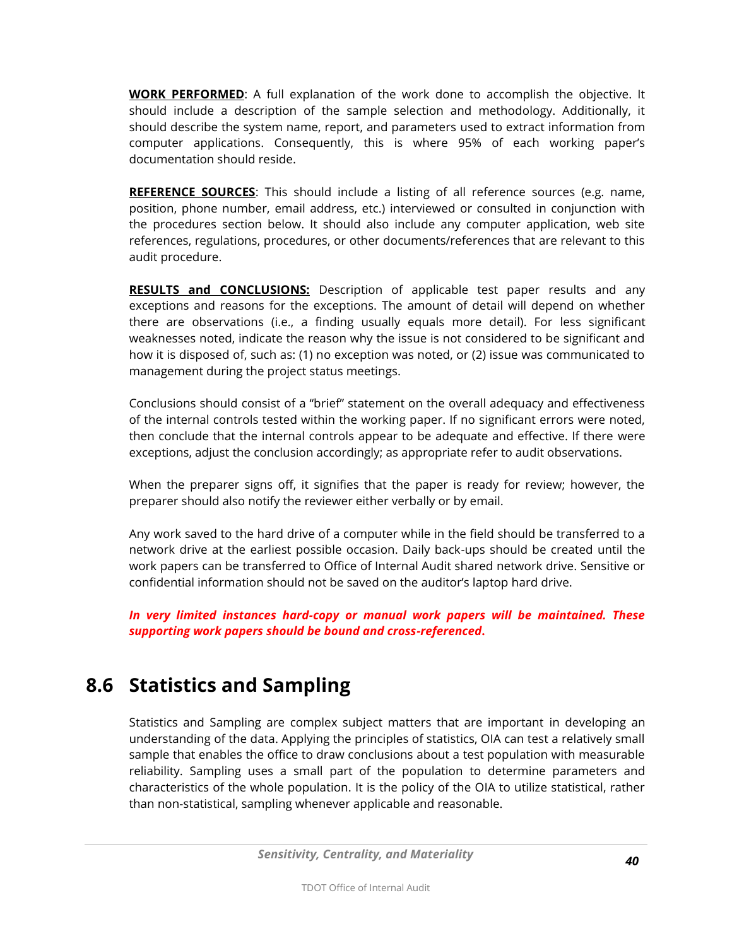**WORK PERFORMED**: A full explanation of the work done to accomplish the objective. It should include a description of the sample selection and methodology. Additionally, it should describe the system name, report, and parameters used to extract information from computer applications. Consequently, this is where 95% of each working paper's documentation should reside.

**REFERENCE SOURCES**: This should include a listing of all reference sources (e.g. name, position, phone number, email address, etc.) interviewed or consulted in conjunction with the procedures section below. It should also include any computer application, web site references, regulations, procedures, or other documents/references that are relevant to this audit procedure.

**RESULTS and CONCLUSIONS:** Description of applicable test paper results and any exceptions and reasons for the exceptions. The amount of detail will depend on whether there are observations (i.e., a finding usually equals more detail). For less significant weaknesses noted, indicate the reason why the issue is not considered to be significant and how it is disposed of, such as: (1) no exception was noted, or (2) issue was communicated to management during the project status meetings.

Conclusions should consist of a "brief" statement on the overall adequacy and effectiveness of the internal controls tested within the working paper. If no significant errors were noted, then conclude that the internal controls appear to be adequate and effective. If there were exceptions, adjust the conclusion accordingly; as appropriate refer to audit observations.

When the preparer signs off, it signifies that the paper is ready for review; however, the preparer should also notify the reviewer either verbally or by email.

Any work saved to the hard drive of a computer while in the field should be transferred to a network drive at the earliest possible occasion. Daily back-ups should be created until the work papers can be transferred to Office of Internal Audit shared network drive. Sensitive or confidential information should not be saved on the auditor's laptop hard drive.

*In very limited instances hard-copy or manual work papers will be maintained. These supporting work papers should be bound and cross-referenced***.**

# **8.6 Statistics and Sampling**

Statistics and Sampling are complex subject matters that are important in developing an understanding of the data. Applying the principles of statistics, OIA can test a relatively small sample that enables the office to draw conclusions about a test population with measurable reliability. Sampling uses a small part of the population to determine parameters and characteristics of the whole population. It is the policy of the OIA to utilize statistical, rather than non-statistical, sampling whenever applicable and reasonable.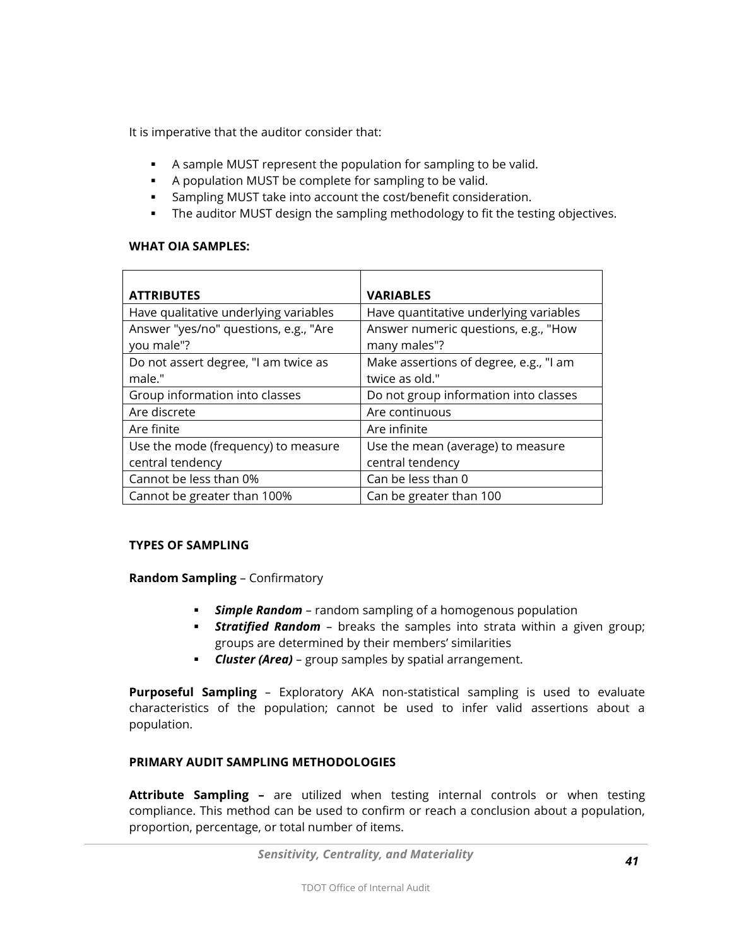It is imperative that the auditor consider that:

- A sample MUST represent the population for sampling to be valid.
- A population MUST be complete for sampling to be valid.
- Sampling MUST take into account the cost/benefit consideration.
- The auditor MUST design the sampling methodology to fit the testing objectives.

#### **WHAT OIA SAMPLES:**

| <b>ATTRIBUTES</b>                     | <b>VARIABLES</b>                       |
|---------------------------------------|----------------------------------------|
| Have qualitative underlying variables | Have quantitative underlying variables |
| Answer "yes/no" questions, e.g., "Are | Answer numeric questions, e.g., "How   |
| you male"?                            | many males"?                           |
| Do not assert degree, "I am twice as  | Make assertions of degree, e.g., "I am |
| male."                                | twice as old."                         |
| Group information into classes        | Do not group information into classes  |
| Are discrete                          | Are continuous                         |
| Are finite                            | Are infinite                           |
| Use the mode (frequency) to measure   | Use the mean (average) to measure      |
| central tendency                      | central tendency                       |
| Cannot be less than 0%                | Can be less than 0                     |
| Cannot be greater than 100%           | Can be greater than 100                |

#### **TYPES OF SAMPLING**

**Random Sampling** – Confirmatory

- *Simple Random* random sampling of a homogenous population
- *Stratified Random* breaks the samples into strata within a given group; groups are determined by their members' similarities
- *Cluster (Area)* group samples by spatial arrangement.

**Purposeful Sampling** – Exploratory AKA non-statistical sampling is used to evaluate characteristics of the population; cannot be used to infer valid assertions about a population.

#### **PRIMARY AUDIT SAMPLING METHODOLOGIES**

**Attribute Sampling –** are utilized when testing internal controls or when testing compliance. This method can be used to confirm or reach a conclusion about a population, proportion, percentage, or total number of items.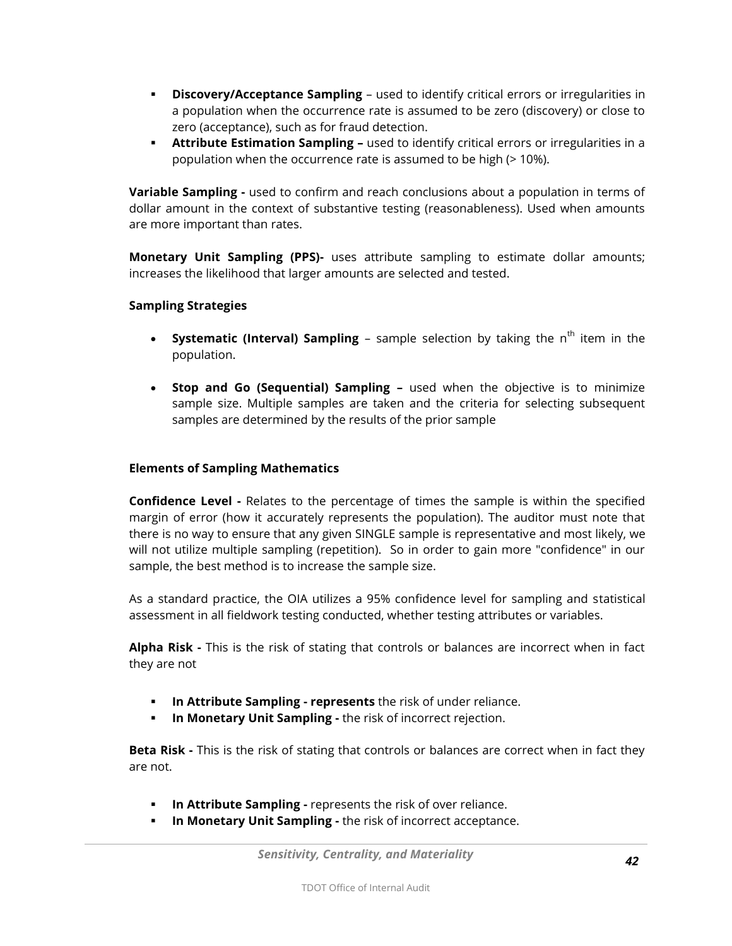- **Discovery/Acceptance Sampling** used to identify critical errors or irregularities in a population when the occurrence rate is assumed to be zero (discovery) or close to zero (acceptance), such as for fraud detection.
- **Attribute Estimation Sampling -** used to identify critical errors or irregularities in a population when the occurrence rate is assumed to be high (> 10%).

**Variable Sampling -** used to confirm and reach conclusions about a population in terms of dollar amount in the context of substantive testing (reasonableness). Used when amounts are more important than rates.

**Monetary Unit Sampling (PPS)-** uses attribute sampling to estimate dollar amounts; increases the likelihood that larger amounts are selected and tested.

#### **Sampling Strategies**

- **Systematic (Interval) Sampling** sample selection by taking the n<sup>th</sup> item in the population.
- **Stop and Go (Sequential) Sampling –** used when the objective is to minimize sample size. Multiple samples are taken and the criteria for selecting subsequent samples are determined by the results of the prior sample

#### **Elements of Sampling Mathematics**

**Confidence Level -** Relates to the percentage of times the sample is within the specified margin of error (how it accurately represents the population). The auditor must note that there is no way to ensure that any given SINGLE sample is representative and most likely, we will not utilize multiple sampling (repetition). So in order to gain more "confidence" in our sample, the best method is to increase the sample size.

As a standard practice, the OIA utilizes a 95% confidence level for sampling and statistical assessment in all fieldwork testing conducted, whether testing attributes or variables.

**Alpha Risk -** This is the risk of stating that controls or balances are incorrect when in fact they are not

- **In Attribute Sampling - represents** the risk of under reliance.
- **In Monetary Unit Sampling -** the risk of incorrect rejection.

**Beta Risk -** This is the risk of stating that controls or balances are correct when in fact they are not.

- **In Attribute Sampling -** represents the risk of over reliance.
- **In Monetary Unit Sampling -** the risk of incorrect acceptance.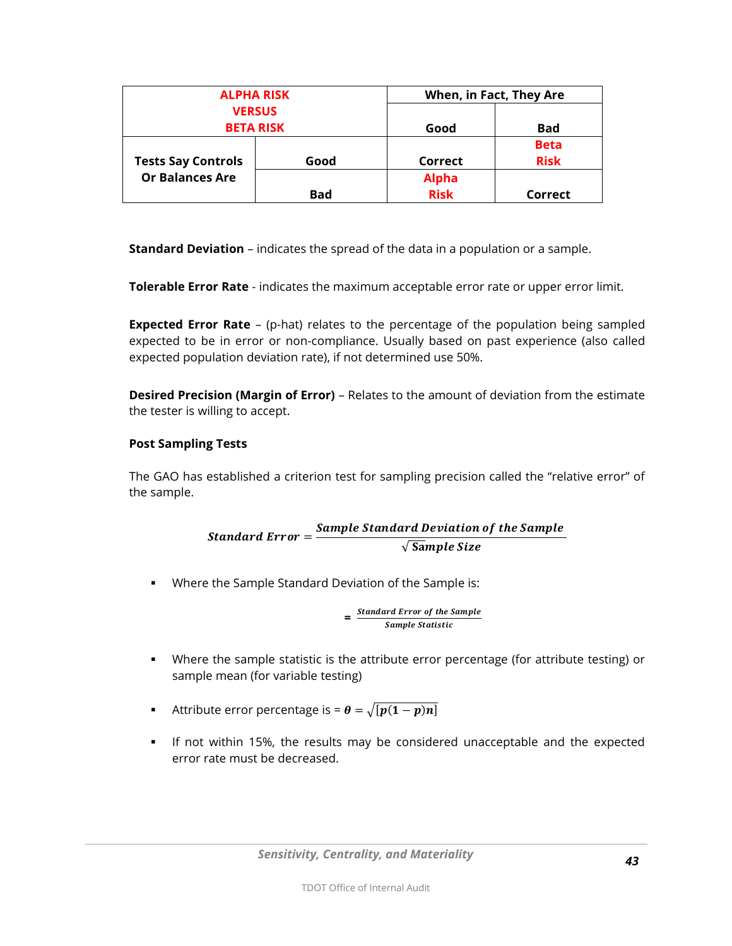| <b>ALPHA RISK</b>                                   |            | When, in Fact, They Are |             |
|-----------------------------------------------------|------------|-------------------------|-------------|
| <b>VERSUS</b>                                       |            |                         |             |
| <b>BETA RISK</b>                                    |            | Good                    | <b>Bad</b>  |
| <b>Tests Say Controls</b><br><b>Or Balances Are</b> |            |                         | <b>Beta</b> |
|                                                     | Good       | Correct                 | <b>Risk</b> |
|                                                     |            | <b>Alpha</b>            |             |
|                                                     | <b>Bad</b> | <b>Risk</b>             | Correct     |

**Standard Deviation** – indicates the spread of the data in a population or a sample.

**Tolerable Error Rate** - indicates the maximum acceptable error rate or upper error limit.

**Expected Error Rate** – (p-hat) relates to the percentage of the population being sampled expected to be in error or non-compliance. Usually based on past experience (also called expected population deviation rate), if not determined use 50%.

**Desired Precision (Margin of Error)** – Relates to the amount of deviation from the estimate the tester is willing to accept.

#### **Post Sampling Tests**

The GAO has established a criterion test for sampling precision called the "relative error" of the sample.

> Standard Error =  $\frac{S}{S}$  $\sqrt{\text{S}}$

Where the Sample Standard Deviation of the Sample is:

$$
= \frac{Standard Error of the SampleSample Statistic}
$$

- Where the sample statistic is the attribute error percentage (for attribute testing) or sample mean (for variable testing)
- Attribute error percentage is =  $\theta = \sqrt{p(1-p)n}$
- If not within 15%, the results may be considered unacceptable and the expected error rate must be decreased.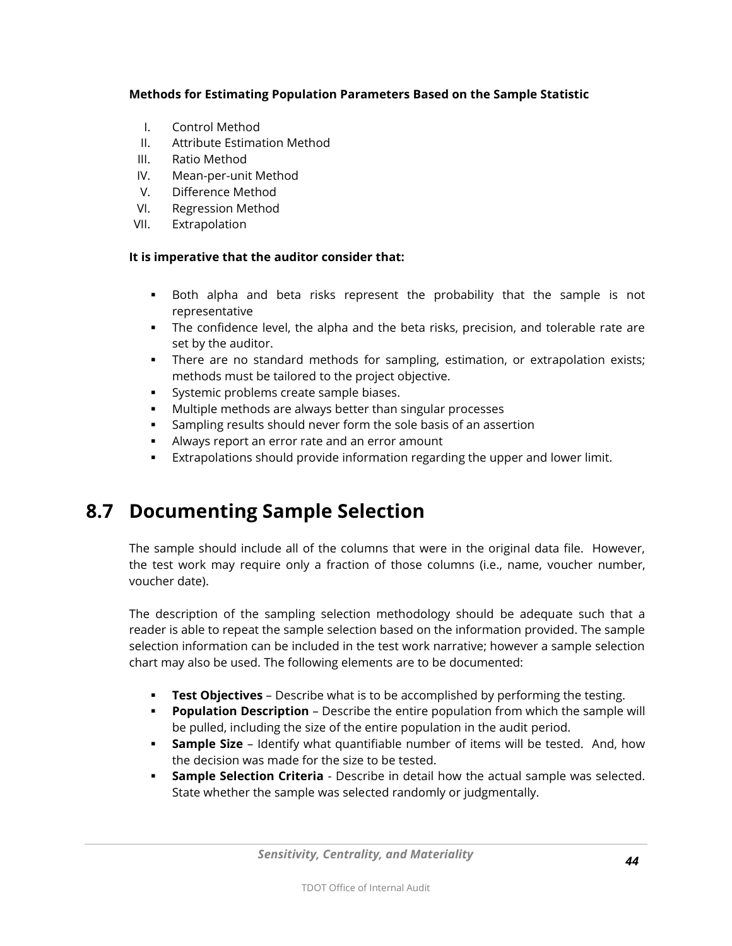#### **Methods for Estimating Population Parameters Based on the Sample Statistic**

- I. Control Method
- II. Attribute Estimation Method
- III. Ratio Method
- IV. Mean-per-unit Method
- V. Difference Method
- VI. Regression Method
- VII. Extrapolation

#### **It is imperative that the auditor consider that:**

- Both alpha and beta risks represent the probability that the sample is not representative
- The confidence level, the alpha and the beta risks, precision, and tolerable rate are set by the auditor.
- There are no standard methods for sampling, estimation, or extrapolation exists; methods must be tailored to the project objective.
- **Systemic problems create sample biases.**
- Multiple methods are always better than singular processes
- Sampling results should never form the sole basis of an assertion
- Always report an error rate and an error amount
- Extrapolations should provide information regarding the upper and lower limit.

### **8.7 Documenting Sample Selection**

The sample should include all of the columns that were in the original data file. However, the test work may require only a fraction of those columns (i.e., name, voucher number, voucher date).

The description of the sampling selection methodology should be adequate such that a reader is able to repeat the sample selection based on the information provided. The sample selection information can be included in the test work narrative; however a sample selection chart may also be used. The following elements are to be documented:

- **Test Objectives** Describe what is to be accomplished by performing the testing.
- **Population Description** Describe the entire population from which the sample will be pulled, including the size of the entire population in the audit period.
- **Sample Size** Identify what quantifiable number of items will be tested. And, how the decision was made for the size to be tested.
- **Sample Selection Criteria** Describe in detail how the actual sample was selected. State whether the sample was selected randomly or judgmentally.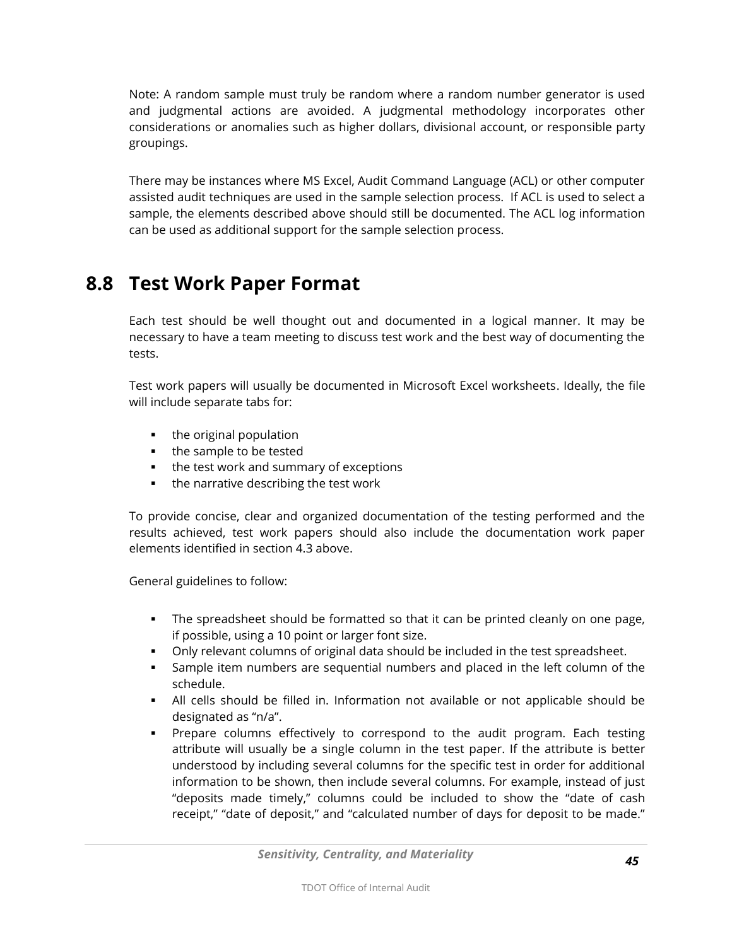Note: A random sample must truly be random where a random number generator is used and judgmental actions are avoided. A judgmental methodology incorporates other considerations or anomalies such as higher dollars, divisional account, or responsible party groupings.

There may be instances where MS Excel, Audit Command Language (ACL) or other computer assisted audit techniques are used in the sample selection process. If ACL is used to select a sample, the elements described above should still be documented. The ACL log information can be used as additional support for the sample selection process.

#### **8.8 Test Work Paper Format**

Each test should be well thought out and documented in a logical manner. It may be necessary to have a team meeting to discuss test work and the best way of documenting the tests.

Test work papers will usually be documented in Microsoft Excel worksheets. Ideally, the file will include separate tabs for:

- $\blacksquare$  the original population
- the sample to be tested
- the test work and summary of exceptions
- **the narrative describing the test work**

To provide concise, clear and organized documentation of the testing performed and the results achieved, test work papers should also include the documentation work paper elements identified in section 4.3 above.

General guidelines to follow:

- The spreadsheet should be formatted so that it can be printed cleanly on one page, if possible, using a 10 point or larger font size.
- Only relevant columns of original data should be included in the test spreadsheet.
- Sample item numbers are sequential numbers and placed in the left column of the schedule.
- All cells should be filled in. Information not available or not applicable should be designated as "n/a".
- **•** Prepare columns effectively to correspond to the audit program. Each testing attribute will usually be a single column in the test paper. If the attribute is better understood by including several columns for the specific test in order for additional information to be shown, then include several columns. For example, instead of just "deposits made timely," columns could be included to show the "date of cash receipt," "date of deposit," and "calculated number of days for deposit to be made."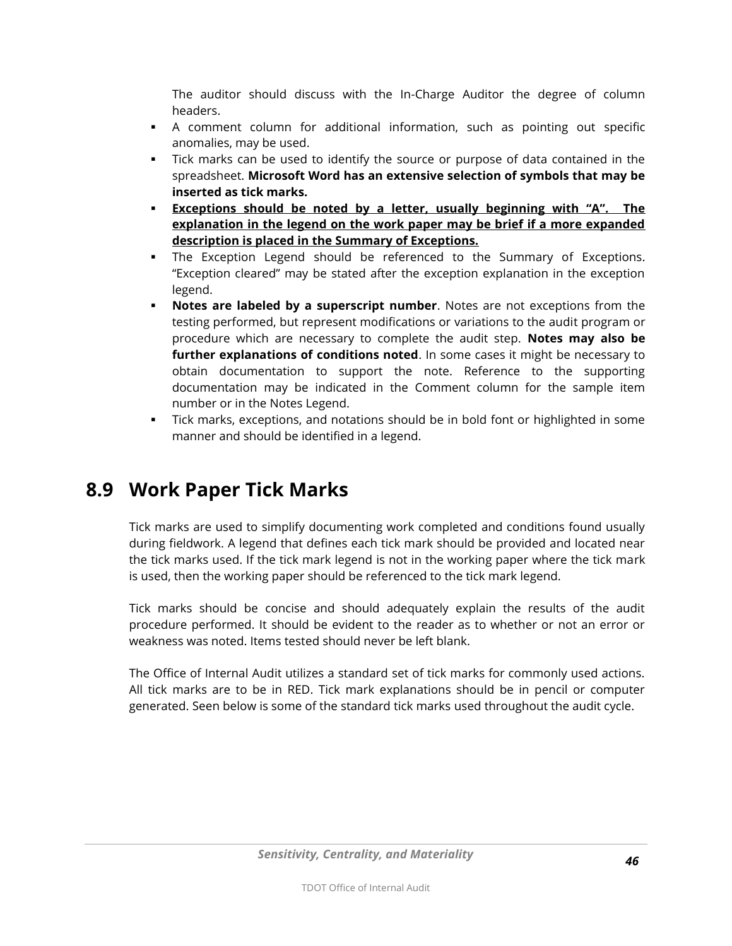The auditor should discuss with the In-Charge Auditor the degree of column headers.

- A comment column for additional information, such as pointing out specific anomalies, may be used.
- Tick marks can be used to identify the source or purpose of data contained in the spreadsheet. **Microsoft Word has an extensive selection of symbols that may be inserted as tick marks.**
- **Exceptions should be noted by a letter, usually beginning with "A". The explanation in the legend on the work paper may be brief if a more expanded description is placed in the Summary of Exceptions.**
- The Exception Legend should be referenced to the Summary of Exceptions. "Exception cleared" may be stated after the exception explanation in the exception legend.
- **Notes are labeled by a superscript number**. Notes are not exceptions from the testing performed, but represent modifications or variations to the audit program or procedure which are necessary to complete the audit step. **Notes may also be further explanations of conditions noted**. In some cases it might be necessary to obtain documentation to support the note. Reference to the supporting documentation may be indicated in the Comment column for the sample item number or in the Notes Legend.
- Tick marks, exceptions, and notations should be in bold font or highlighted in some manner and should be identified in a legend.

### **8.9 Work Paper Tick Marks**

Tick marks are used to simplify documenting work completed and conditions found usually during fieldwork. A legend that defines each tick mark should be provided and located near the tick marks used. If the tick mark legend is not in the working paper where the tick mark is used, then the working paper should be referenced to the tick mark legend.

Tick marks should be concise and should adequately explain the results of the audit procedure performed. It should be evident to the reader as to whether or not an error or weakness was noted. Items tested should never be left blank.

The Office of Internal Audit utilizes a standard set of tick marks for commonly used actions. All tick marks are to be in RED. Tick mark explanations should be in pencil or computer generated. Seen below is some of the standard tick marks used throughout the audit cycle.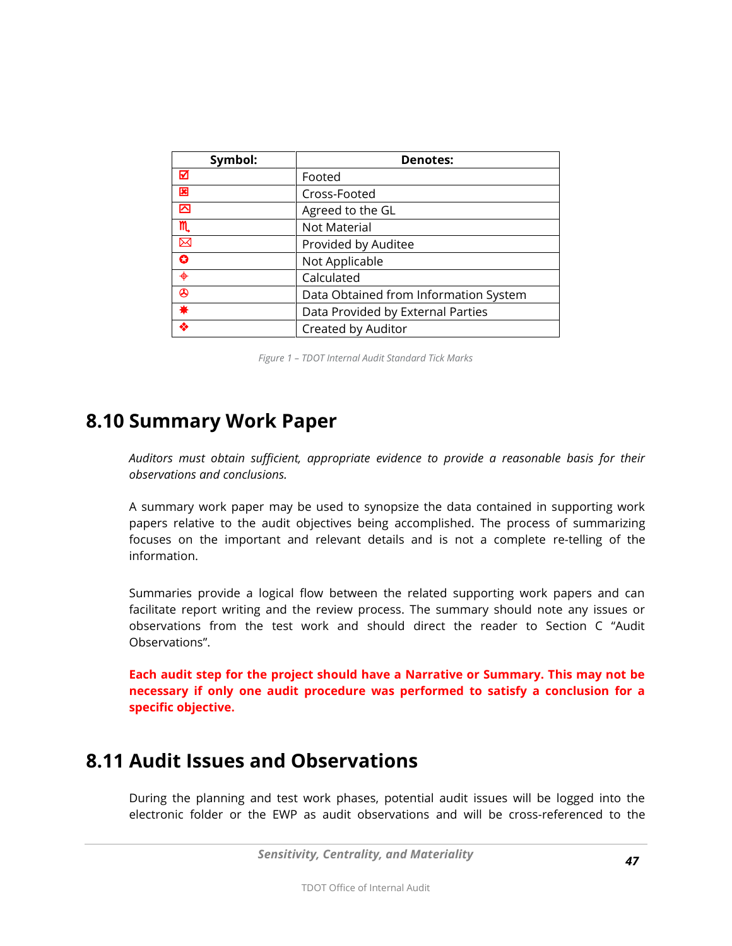| Symbol:         | <b>Denotes:</b>                       |
|-----------------|---------------------------------------|
| ☑               | Footed                                |
| 図               | Cross-Footed                          |
| 囜               | Agreed to the GL                      |
| m               | Not Material                          |
| $\boxtimes$     | Provided by Auditee                   |
| O               | Not Applicable                        |
| $\blacklozenge$ | Calculated                            |
| ⊛               | Data Obtained from Information System |
| ₩               | Data Provided by External Parties     |
| ◈               | Created by Auditor                    |

*Figure 1 – TDOT Internal Audit Standard Tick Marks*

#### **8.10 Summary Work Paper**

*Auditors must obtain sufficient, appropriate evidence to provide a reasonable basis for their observations and conclusions.* 

A summary work paper may be used to synopsize the data contained in supporting work papers relative to the audit objectives being accomplished. The process of summarizing focuses on the important and relevant details and is not a complete re-telling of the information.

Summaries provide a logical flow between the related supporting work papers and can facilitate report writing and the review process. The summary should note any issues or observations from the test work and should direct the reader to Section C "Audit Observations".

**Each audit step for the project should have a Narrative or Summary. This may not be necessary if only one audit procedure was performed to satisfy a conclusion for a specific objective.**

#### **8.11 Audit Issues and Observations**

During the planning and test work phases, potential audit issues will be logged into the electronic folder or the EWP as audit observations and will be cross-referenced to the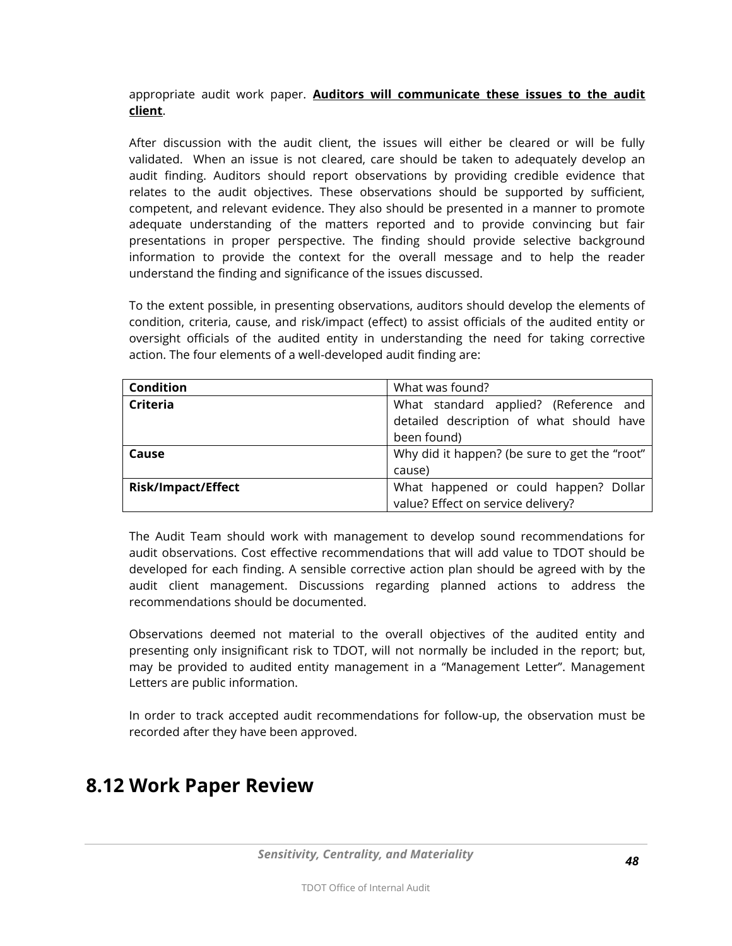appropriate audit work paper. **Auditors will communicate these issues to the audit client**.

After discussion with the audit client, the issues will either be cleared or will be fully validated. When an issue is not cleared, care should be taken to adequately develop an audit finding. Auditors should report observations by providing credible evidence that relates to the audit objectives. These observations should be supported by sufficient, competent, and relevant evidence. They also should be presented in a manner to promote adequate understanding of the matters reported and to provide convincing but fair presentations in proper perspective. The finding should provide selective background information to provide the context for the overall message and to help the reader understand the finding and significance of the issues discussed.

To the extent possible, in presenting observations, auditors should develop the elements of condition, criteria, cause, and risk/impact (effect) to assist officials of the audited entity or oversight officials of the audited entity in understanding the need for taking corrective action. The four elements of a well-developed audit finding are:

| <b>Condition</b>          | What was found?                               |  |
|---------------------------|-----------------------------------------------|--|
| <b>Criteria</b>           | What standard applied? (Reference and         |  |
|                           | detailed description of what should have      |  |
|                           | been found)                                   |  |
| Cause                     | Why did it happen? (be sure to get the "root" |  |
|                           | cause)                                        |  |
| <b>Risk/Impact/Effect</b> | What happened or could happen? Dollar         |  |
|                           | value? Effect on service delivery?            |  |

The Audit Team should work with management to develop sound recommendations for audit observations. Cost effective recommendations that will add value to TDOT should be developed for each finding. A sensible corrective action plan should be agreed with by the audit client management. Discussions regarding planned actions to address the recommendations should be documented.

Observations deemed not material to the overall objectives of the audited entity and presenting only insignificant risk to TDOT, will not normally be included in the report; but, may be provided to audited entity management in a "Management Letter". Management Letters are public information.

In order to track accepted audit recommendations for follow-up, the observation must be recorded after they have been approved.

#### **8.12 Work Paper Review**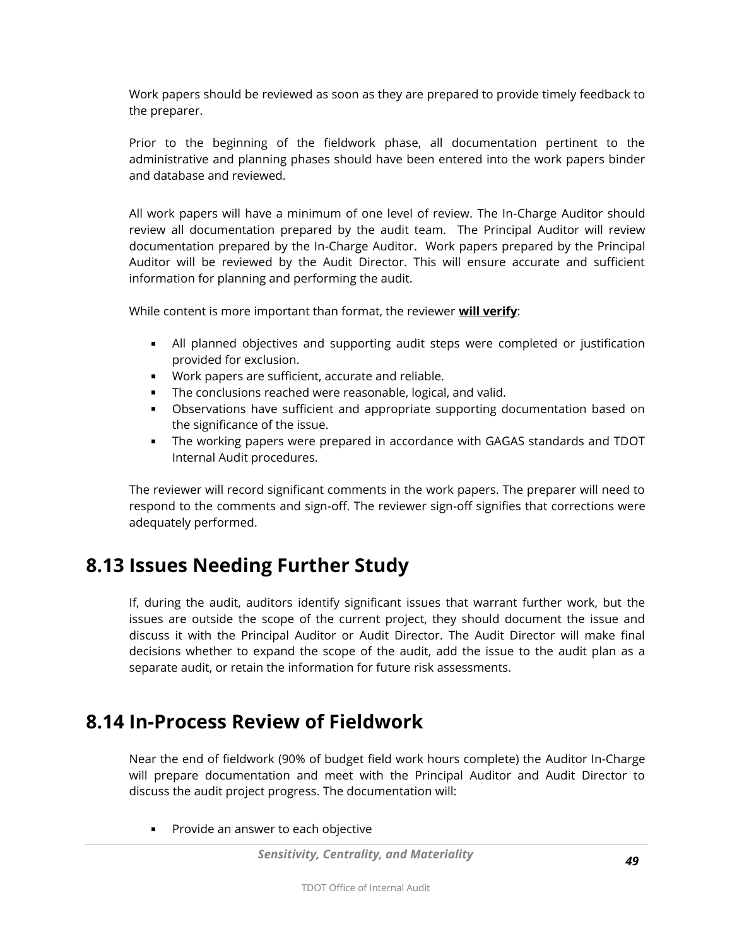Work papers should be reviewed as soon as they are prepared to provide timely feedback to the preparer.

Prior to the beginning of the fieldwork phase, all documentation pertinent to the administrative and planning phases should have been entered into the work papers binder and database and reviewed.

All work papers will have a minimum of one level of review. The In-Charge Auditor should review all documentation prepared by the audit team. The Principal Auditor will review documentation prepared by the In-Charge Auditor. Work papers prepared by the Principal Auditor will be reviewed by the Audit Director. This will ensure accurate and sufficient information for planning and performing the audit.

While content is more important than format, the reviewer **will verify**:

- All planned objectives and supporting audit steps were completed or justification provided for exclusion.
- Work papers are sufficient, accurate and reliable.
- The conclusions reached were reasonable, logical, and valid.
- Observations have sufficient and appropriate supporting documentation based on the significance of the issue.
- The working papers were prepared in accordance with GAGAS standards and TDOT Internal Audit procedures.

The reviewer will record significant comments in the work papers. The preparer will need to respond to the comments and sign-off. The reviewer sign-off signifies that corrections were adequately performed.

### **8.13 Issues Needing Further Study**

If, during the audit, auditors identify significant issues that warrant further work, but the issues are outside the scope of the current project, they should document the issue and discuss it with the Principal Auditor or Audit Director. The Audit Director will make final decisions whether to expand the scope of the audit, add the issue to the audit plan as a separate audit, or retain the information for future risk assessments.

#### **8.14 In-Process Review of Fieldwork**

Near the end of fieldwork (90% of budget field work hours complete) the Auditor In-Charge will prepare documentation and meet with the Principal Auditor and Audit Director to discuss the audit project progress. The documentation will:

**Provide an answer to each objective** 

*Sensitivity, Centrality, and Materiality*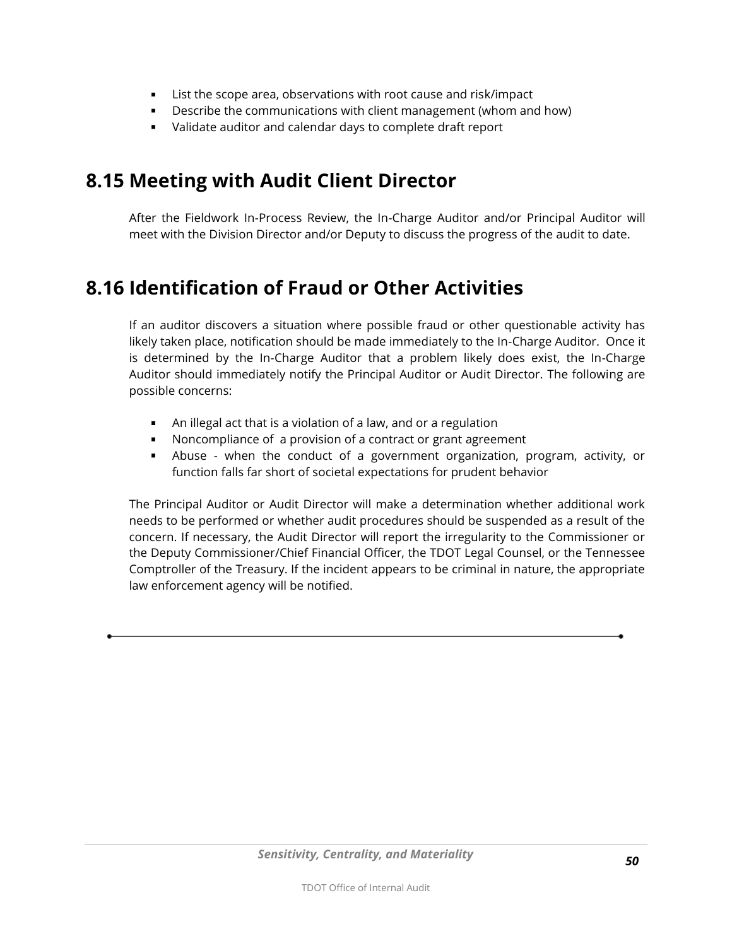- List the scope area, observations with root cause and risk/impact
- **Describe the communications with client management (whom and how)**
- Validate auditor and calendar days to complete draft report

# **8.15 Meeting with Audit Client Director**

After the Fieldwork In-Process Review, the In-Charge Auditor and/or Principal Auditor will meet with the Division Director and/or Deputy to discuss the progress of the audit to date.

# **8.16 Identification of Fraud or Other Activities**

If an auditor discovers a situation where possible fraud or other questionable activity has likely taken place, notification should be made immediately to the In-Charge Auditor. Once it is determined by the In-Charge Auditor that a problem likely does exist, the In-Charge Auditor should immediately notify the Principal Auditor or Audit Director. The following are possible concerns:

- An illegal act that is a violation of a law, and or a regulation
- Noncompliance of a provision of a contract or grant agreement
- Abuse when the conduct of a government organization, program, activity, or function falls far short of societal expectations for prudent behavior

The Principal Auditor or Audit Director will make a determination whether additional work needs to be performed or whether audit procedures should be suspended as a result of the concern. If necessary, the Audit Director will report the irregularity to the Commissioner or the Deputy Commissioner/Chief Financial Officer, the TDOT Legal Counsel, or the Tennessee Comptroller of the Treasury. If the incident appears to be criminal in nature, the appropriate law enforcement agency will be notified.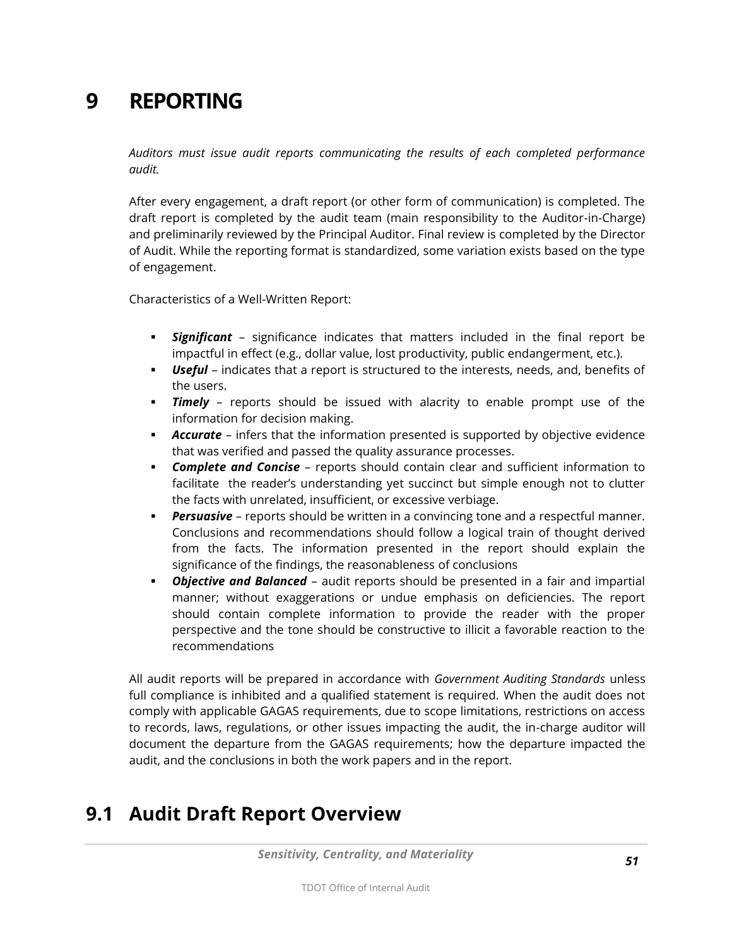# **9 REPORTING**

*Auditors must issue audit reports communicating the results of each completed performance audit.* 

After every engagement, a draft report (or other form of communication) is completed. The draft report is completed by the audit team (main responsibility to the Auditor-in-Charge) and preliminarily reviewed by the Principal Auditor. Final review is completed by the Director of Audit. While the reporting format is standardized, some variation exists based on the type of engagement.

Characteristics of a Well-Written Report:

- *Significant*  significance indicates that matters included in the final report be impactful in effect (e.g., dollar value, lost productivity, public endangerment, etc.).
- *Useful*  indicates that a report is structured to the interests, needs, and, benefits of the users.
- *Timely* reports should be issued with alacrity to enable prompt use of the information for decision making.
- *Accurate* infers that the information presented is supported by objective evidence that was verified and passed the quality assurance processes.
- *Complete and Concise* reports should contain clear and sufficient information to facilitate the reader's understanding yet succinct but simple enough not to clutter the facts with unrelated, insufficient, or excessive verbiage.
- *Persuasive* reports should be written in a convincing tone and a respectful manner. Conclusions and recommendations should follow a logical train of thought derived from the facts. The information presented in the report should explain the significance of the findings, the reasonableness of conclusions
- *Objective and Balanced* audit reports should be presented in a fair and impartial manner; without exaggerations or undue emphasis on deficiencies. The report should contain complete information to provide the reader with the proper perspective and the tone should be constructive to illicit a favorable reaction to the recommendations

All audit reports will be prepared in accordance with *Government Auditing Standards* unless full compliance is inhibited and a qualified statement is required. When the audit does not comply with applicable GAGAS requirements, due to scope limitations, restrictions on access to records, laws, regulations, or other issues impacting the audit, the in-charge auditor will document the departure from the GAGAS requirements; how the departure impacted the audit, and the conclusions in both the work papers and in the report.

# **9.1 Audit Draft Report Overview**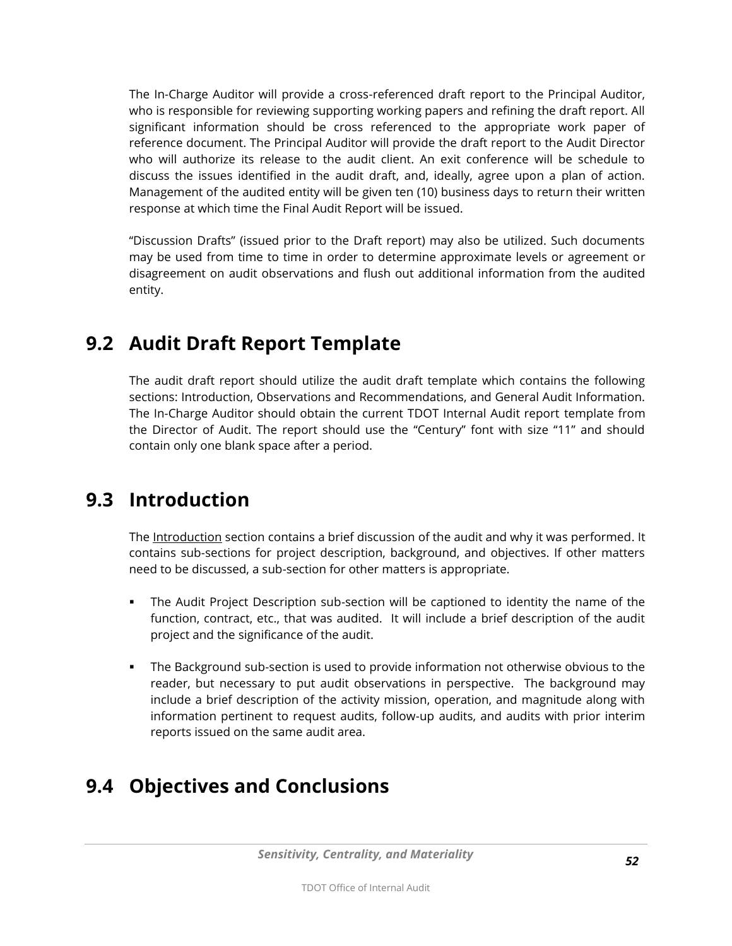The In-Charge Auditor will provide a cross-referenced draft report to the Principal Auditor, who is responsible for reviewing supporting working papers and refining the draft report. All significant information should be cross referenced to the appropriate work paper of reference document. The Principal Auditor will provide the draft report to the Audit Director who will authorize its release to the audit client. An exit conference will be schedule to discuss the issues identified in the audit draft, and, ideally, agree upon a plan of action. Management of the audited entity will be given ten (10) business days to return their written response at which time the Final Audit Report will be issued.

"Discussion Drafts" (issued prior to the Draft report) may also be utilized. Such documents may be used from time to time in order to determine approximate levels or agreement or disagreement on audit observations and flush out additional information from the audited entity.

## **9.2 Audit Draft Report Template**

The audit draft report should utilize the audit draft template which contains the following sections: Introduction, Observations and Recommendations, and General Audit Information. The In-Charge Auditor should obtain the current TDOT Internal Audit report template from the Director of Audit. The report should use the "Century" font with size "11" and should contain only one blank space after a period.

# **9.3 Introduction**

The Introduction section contains a brief discussion of the audit and why it was performed. It contains sub-sections for project description, background, and objectives. If other matters need to be discussed, a sub-section for other matters is appropriate.

- The Audit Project Description sub-section will be captioned to identity the name of the function, contract, etc., that was audited. It will include a brief description of the audit project and the significance of the audit.
- The Background sub-section is used to provide information not otherwise obvious to the reader, but necessary to put audit observations in perspective. The background may include a brief description of the activity mission, operation, and magnitude along with information pertinent to request audits, follow-up audits, and audits with prior interim reports issued on the same audit area.

# **9.4 Objectives and Conclusions**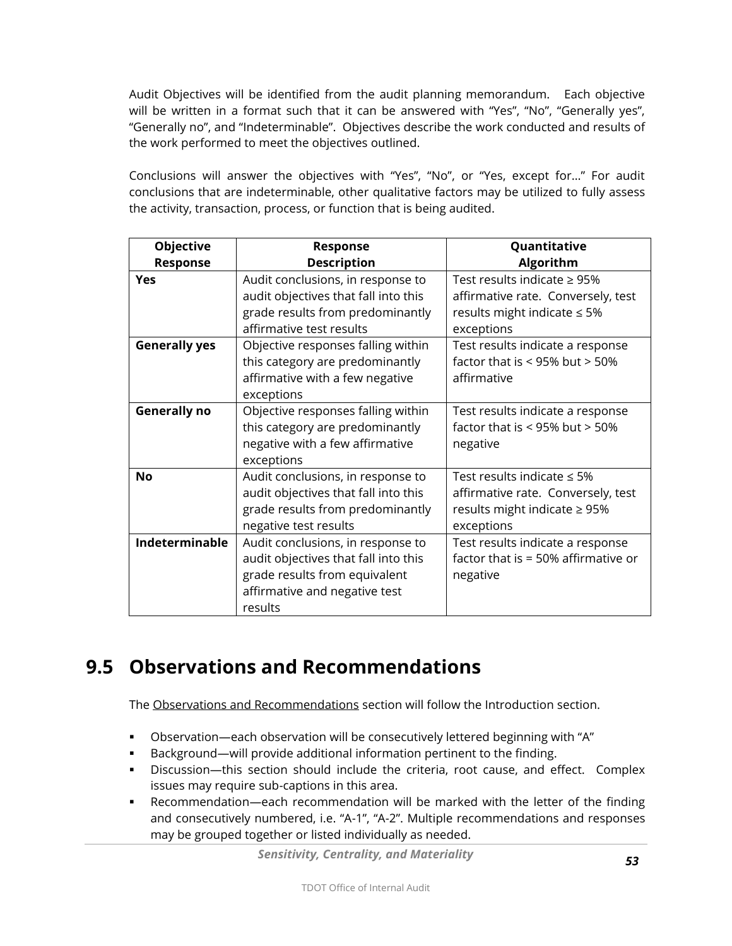Audit Objectives will be identified from the audit planning memorandum. Each objective will be written in a format such that it can be answered with "Yes", "No", "Generally yes", "Generally no", and "Indeterminable". Objectives describe the work conducted and results of the work performed to meet the objectives outlined.

Conclusions will answer the objectives with "Yes", "No", or "Yes, except for…" For audit conclusions that are indeterminable, other qualitative factors may be utilized to fully assess the activity, transaction, process, or function that is being audited.

| <b>Objective</b>     | <b>Response</b>                      | Quantitative                        |
|----------------------|--------------------------------------|-------------------------------------|
| <b>Response</b>      | <b>Description</b>                   | Algorithm                           |
| <b>Yes</b>           | Audit conclusions, in response to    | Test results indicate $\geq$ 95%    |
|                      | audit objectives that fall into this | affirmative rate. Conversely, test  |
|                      | grade results from predominantly     | results might indicate $\leq 5\%$   |
|                      | affirmative test results             | exceptions                          |
| <b>Generally yes</b> | Objective responses falling within   | Test results indicate a response    |
|                      | this category are predominantly      | factor that is $<$ 95% but $>$ 50%  |
|                      | affirmative with a few negative      | affirmative                         |
|                      | exceptions                           |                                     |
| <b>Generally no</b>  | Objective responses falling within   | Test results indicate a response    |
|                      | this category are predominantly      | factor that is $<$ 95% but $>$ 50%  |
|                      | negative with a few affirmative      | negative                            |
|                      | exceptions                           |                                     |
| <b>No</b>            | Audit conclusions, in response to    | Test results indicate $\leq 5\%$    |
|                      | audit objectives that fall into this | affirmative rate. Conversely, test  |
|                      | grade results from predominantly     | results might indicate $\geq$ 95%   |
|                      | negative test results                | exceptions                          |
| Indeterminable       | Audit conclusions, in response to    | Test results indicate a response    |
|                      | audit objectives that fall into this | factor that is = 50% affirmative or |
|                      | grade results from equivalent        | negative                            |
|                      | affirmative and negative test        |                                     |
|                      | results                              |                                     |

### **9.5 Observations and Recommendations**

The Observations and Recommendations section will follow the Introduction section.

- Observation—each observation will be consecutively lettered beginning with "A"
- Background—will provide additional information pertinent to the finding.
- Discussion—this section should include the criteria, root cause, and effect. Complex issues may require sub-captions in this area.
- Recommendation—each recommendation will be marked with the letter of the finding and consecutively numbered, i.e. "A-1", "A-2". Multiple recommendations and responses may be grouped together or listed individually as needed.

*Sensitivity, Centrality, and Materiality*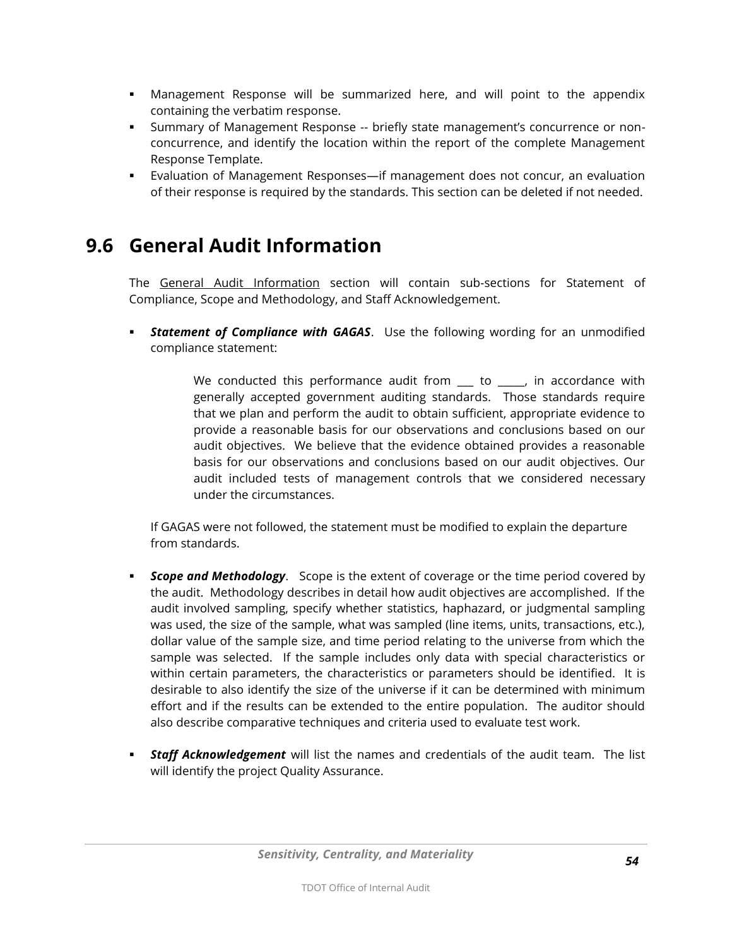- Management Response will be summarized here, and will point to the appendix containing the verbatim response.
- Summary of Management Response -- briefly state management's concurrence or nonconcurrence, and identify the location within the report of the complete Management Response Template.
- Evaluation of Management Responses—if management does not concur, an evaluation of their response is required by the standards. This section can be deleted if not needed.

## **9.6 General Audit Information**

The General Audit Information section will contain sub-sections for Statement of Compliance, Scope and Methodology, and Staff Acknowledgement.

**Statement of Compliance with GAGAS.** Use the following wording for an unmodified compliance statement:

> We conducted this performance audit from \_\_\_ to \_\_\_\_, in accordance with generally accepted government auditing standards. Those standards require that we plan and perform the audit to obtain sufficient, appropriate evidence to provide a reasonable basis for our observations and conclusions based on our audit objectives. We believe that the evidence obtained provides a reasonable basis for our observations and conclusions based on our audit objectives. Our audit included tests of management controls that we considered necessary under the circumstances.

If GAGAS were not followed, the statement must be modified to explain the departure from standards.

- *Scope and Methodology*. Scope is the extent of coverage or the time period covered by the audit. Methodology describes in detail how audit objectives are accomplished. If the audit involved sampling, specify whether statistics, haphazard, or judgmental sampling was used, the size of the sample, what was sampled (line items, units, transactions, etc.), dollar value of the sample size, and time period relating to the universe from which the sample was selected. If the sample includes only data with special characteristics or within certain parameters, the characteristics or parameters should be identified. It is desirable to also identify the size of the universe if it can be determined with minimum effort and if the results can be extended to the entire population. The auditor should also describe comparative techniques and criteria used to evaluate test work.
- *Staff Acknowledgement* will list the names and credentials of the audit team. The list will identify the project Quality Assurance.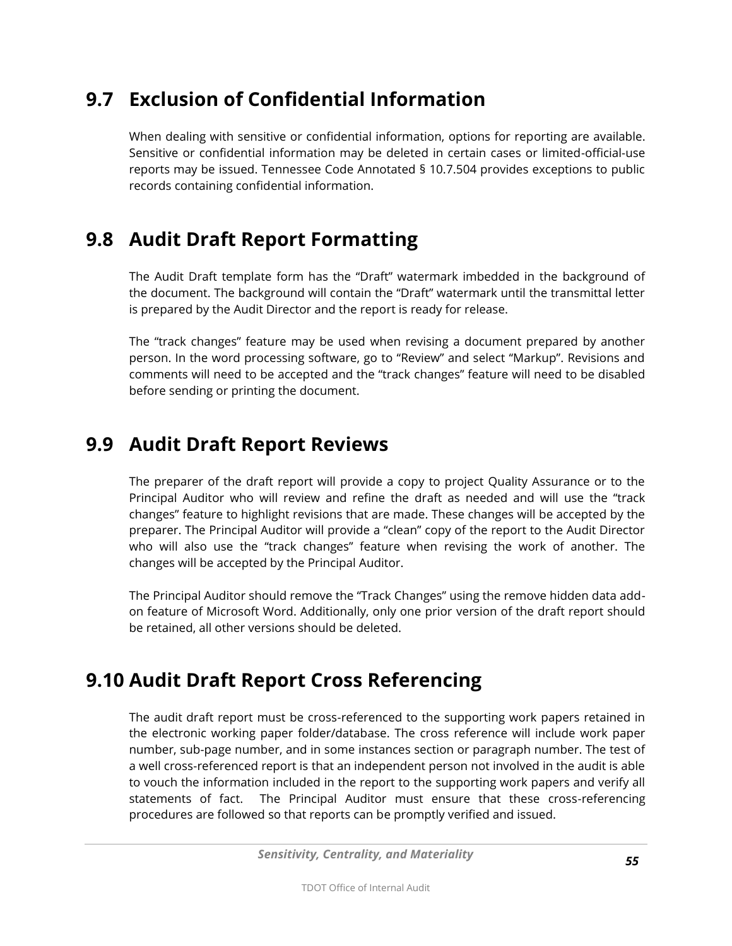# **9.7 Exclusion of Confidential Information**

When dealing with sensitive or confidential information, options for reporting are available. Sensitive or confidential information may be deleted in certain cases or limited-official-use reports may be issued. Tennessee Code Annotated § 10.7.504 provides exceptions to public records containing confidential information.

## **9.8 Audit Draft Report Formatting**

The Audit Draft template form has the "Draft" watermark imbedded in the background of the document. The background will contain the "Draft" watermark until the transmittal letter is prepared by the Audit Director and the report is ready for release.

The "track changes" feature may be used when revising a document prepared by another person. In the word processing software, go to "Review" and select "Markup". Revisions and comments will need to be accepted and the "track changes" feature will need to be disabled before sending or printing the document.

### **9.9 Audit Draft Report Reviews**

The preparer of the draft report will provide a copy to project Quality Assurance or to the Principal Auditor who will review and refine the draft as needed and will use the "track changes" feature to highlight revisions that are made. These changes will be accepted by the preparer. The Principal Auditor will provide a "clean" copy of the report to the Audit Director who will also use the "track changes" feature when revising the work of another. The changes will be accepted by the Principal Auditor.

The Principal Auditor should remove the "Track Changes" using the remove hidden data addon feature of Microsoft Word. Additionally, only one prior version of the draft report should be retained, all other versions should be deleted.

# **9.10 Audit Draft Report Cross Referencing**

The audit draft report must be cross-referenced to the supporting work papers retained in the electronic working paper folder/database. The cross reference will include work paper number, sub-page number, and in some instances section or paragraph number. The test of a well cross-referenced report is that an independent person not involved in the audit is able to vouch the information included in the report to the supporting work papers and verify all statements of fact. The Principal Auditor must ensure that these cross-referencing procedures are followed so that reports can be promptly verified and issued.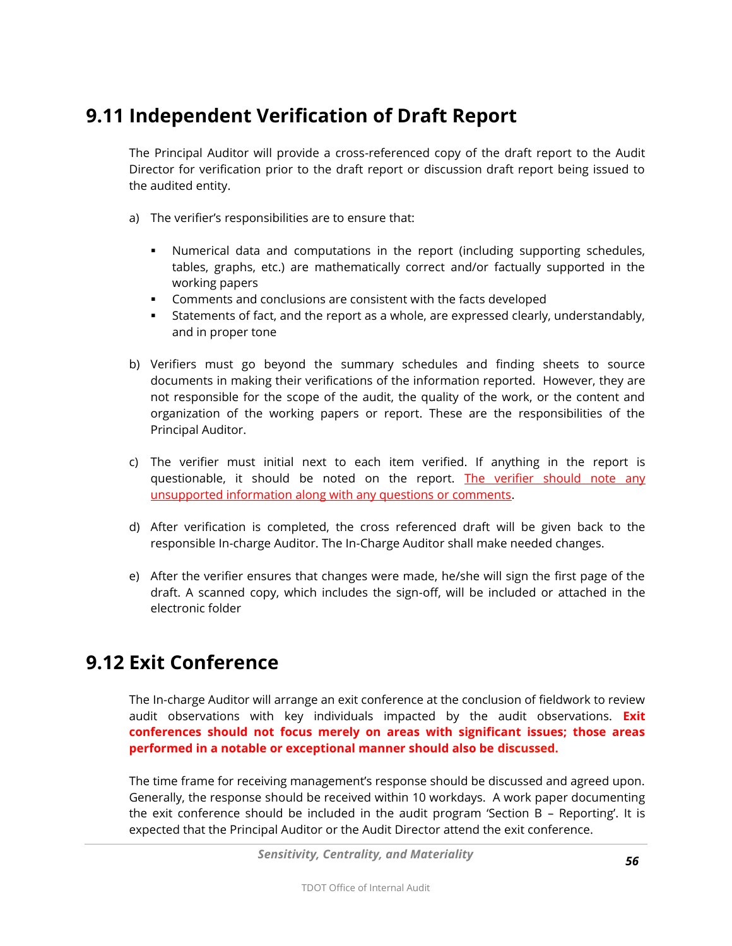# **9.11 Independent Verification of Draft Report**

The Principal Auditor will provide a cross-referenced copy of the draft report to the Audit Director for verification prior to the draft report or discussion draft report being issued to the audited entity.

- a) The verifier's responsibilities are to ensure that:
	- Numerical data and computations in the report (including supporting schedules, tables, graphs, etc.) are mathematically correct and/or factually supported in the working papers
	- Comments and conclusions are consistent with the facts developed
	- Statements of fact, and the report as a whole, are expressed clearly, understandably, and in proper tone
- b) Verifiers must go beyond the summary schedules and finding sheets to source documents in making their verifications of the information reported. However, they are not responsible for the scope of the audit, the quality of the work, or the content and organization of the working papers or report. These are the responsibilities of the Principal Auditor.
- c) The verifier must initial next to each item verified. If anything in the report is questionable, it should be noted on the report. The verifier should note any unsupported information along with any questions or comments.
- d) After verification is completed, the cross referenced draft will be given back to the responsible In-charge Auditor. The In-Charge Auditor shall make needed changes.
- e) After the verifier ensures that changes were made, he/she will sign the first page of the draft. A scanned copy, which includes the sign-off, will be included or attached in the electronic folder

#### **9.12 Exit Conference**

The In-charge Auditor will arrange an exit conference at the conclusion of fieldwork to review audit observations with key individuals impacted by the audit observations. **Exit conferences should not focus merely on areas with significant issues; those areas performed in a notable or exceptional manner should also be discussed.**

The time frame for receiving management's response should be discussed and agreed upon. Generally, the response should be received within 10 workdays. A work paper documenting the exit conference should be included in the audit program 'Section B – Reporting'. It is expected that the Principal Auditor or the Audit Director attend the exit conference.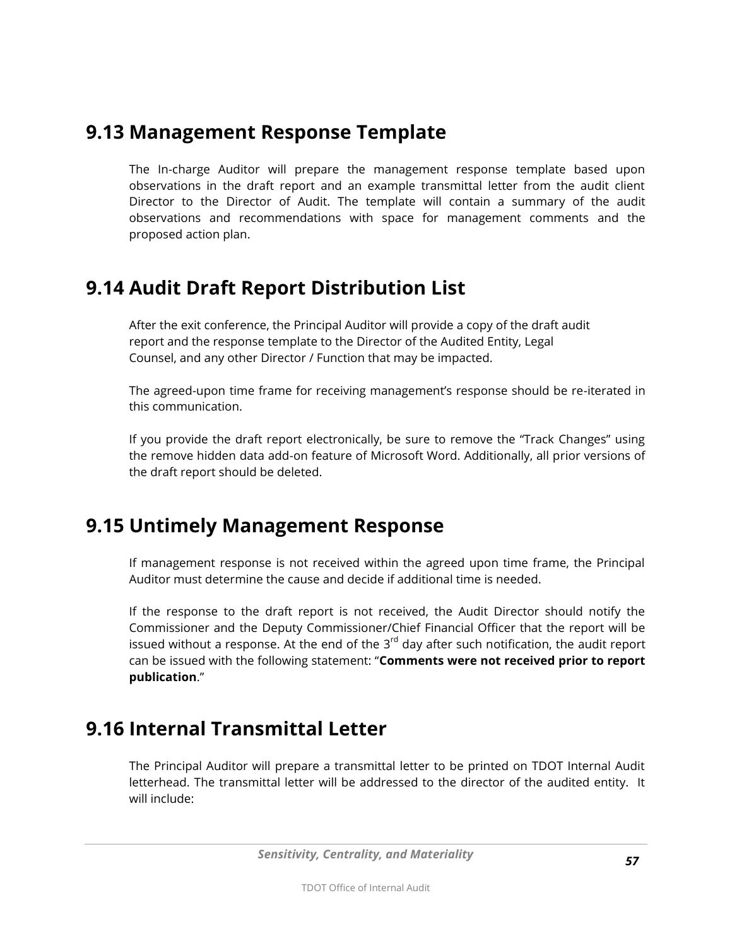## **9.13 Management Response Template**

The In-charge Auditor will prepare the management response template based upon observations in the draft report and an example transmittal letter from the audit client Director to the Director of Audit. The template will contain a summary of the audit observations and recommendations with space for management comments and the proposed action plan.

#### **9.14 Audit Draft Report Distribution List**

After the exit conference, the Principal Auditor will provide a copy of the draft audit report and the response template to the Director of the Audited Entity, Legal Counsel, and any other Director / Function that may be impacted.

The agreed-upon time frame for receiving management's response should be re-iterated in this communication.

If you provide the draft report electronically, be sure to remove the "Track Changes" using the remove hidden data add-on feature of Microsoft Word. Additionally, all prior versions of the draft report should be deleted.

### **9.15 Untimely Management Response**

If management response is not received within the agreed upon time frame, the Principal Auditor must determine the cause and decide if additional time is needed.

If the response to the draft report is not received, the Audit Director should notify the Commissioner and the Deputy Commissioner/Chief Financial Officer that the report will be issued without a response. At the end of the  $3<sup>rd</sup>$  day after such notification, the audit report can be issued with the following statement: "**Comments were not received prior to report publication**."

#### **9.16 Internal Transmittal Letter**

The Principal Auditor will prepare a transmittal letter to be printed on TDOT Internal Audit letterhead. The transmittal letter will be addressed to the director of the audited entity. It will include: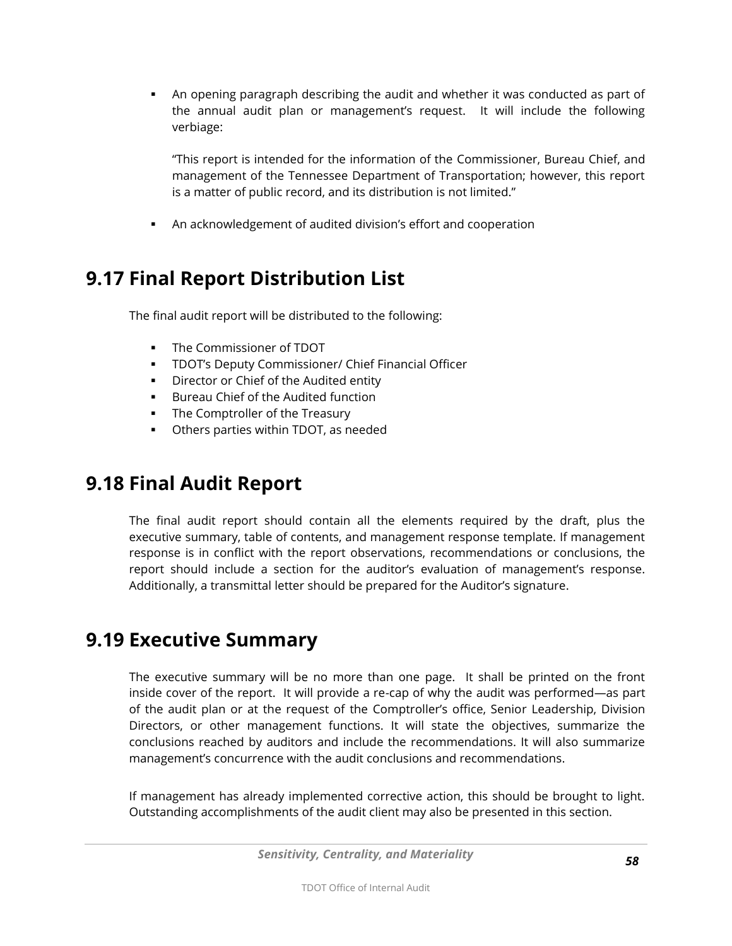An opening paragraph describing the audit and whether it was conducted as part of the annual audit plan or management's request. It will include the following verbiage:

"This report is intended for the information of the Commissioner, Bureau Chief, and management of the Tennessee Department of Transportation; however, this report is a matter of public record, and its distribution is not limited."

An acknowledgement of audited division's effort and cooperation

## **9.17 Final Report Distribution List**

The final audit report will be distributed to the following:

- The Commissioner of TDOT
- TDOT's Deputy Commissioner/ Chief Financial Officer
- **Director or Chief of the Audited entity**
- **Bureau Chief of the Audited function**
- The Comptroller of the Treasury
- Others parties within TDOT, as needed

### **9.18 Final Audit Report**

The final audit report should contain all the elements required by the draft, plus the executive summary, table of contents, and management response template. If management response is in conflict with the report observations, recommendations or conclusions, the report should include a section for the auditor's evaluation of management's response. Additionally, a transmittal letter should be prepared for the Auditor's signature.

### **9.19 Executive Summary**

The executive summary will be no more than one page. It shall be printed on the front inside cover of the report. It will provide a re-cap of why the audit was performed—as part of the audit plan or at the request of the Comptroller's office, Senior Leadership, Division Directors, or other management functions. It will state the objectives, summarize the conclusions reached by auditors and include the recommendations. It will also summarize management's concurrence with the audit conclusions and recommendations.

If management has already implemented corrective action, this should be brought to light. Outstanding accomplishments of the audit client may also be presented in this section.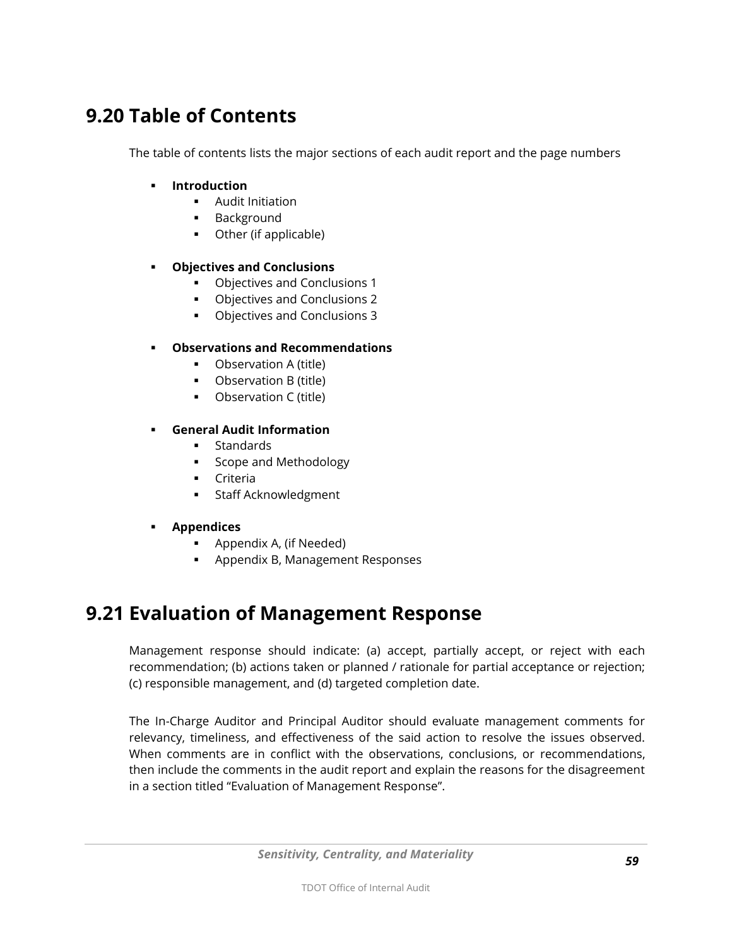# **9.20 Table of Contents**

The table of contents lists the major sections of each audit report and the page numbers

- **Introduction** 
	- **-** Audit Initiation
	- Background
	- Other (if applicable)

#### **Objectives and Conclusions**

- Objectives and Conclusions 1
- Objectives and Conclusions 2
- Objectives and Conclusions 3

#### **Observations and Recommendations**

- **•** Observation A (title)
- **•** Observation B (title)
- **•** Observation C (title)

#### **General Audit Information**

- **Standards**
- **Scope and Methodology**
- **Criteria**
- **Staff Acknowledgment**
- **Appendices** 
	- **Appendix A, (if Needed)**
	- Appendix B, Management Responses

### **9.21 Evaluation of Management Response**

Management response should indicate: (a) accept, partially accept, or reject with each recommendation; (b) actions taken or planned / rationale for partial acceptance or rejection; (c) responsible management, and (d) targeted completion date.

The In-Charge Auditor and Principal Auditor should evaluate management comments for relevancy, timeliness, and effectiveness of the said action to resolve the issues observed. When comments are in conflict with the observations, conclusions, or recommendations, then include the comments in the audit report and explain the reasons for the disagreement in a section titled "Evaluation of Management Response".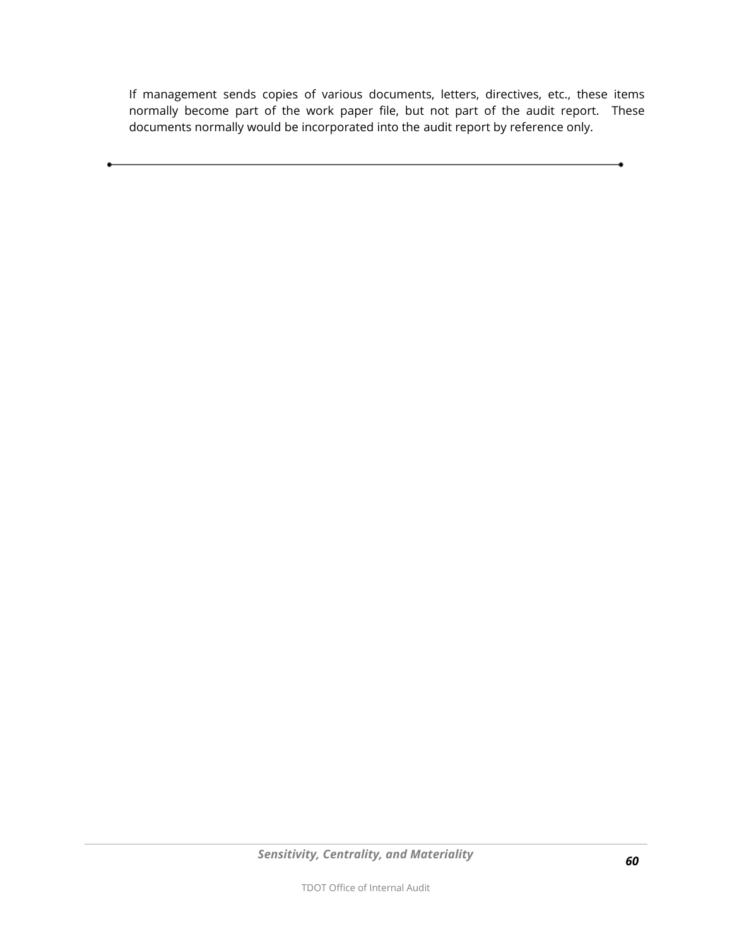If management sends copies of various documents, letters, directives, etc., these items normally become part of the work paper file, but not part of the audit report. These documents normally would be incorporated into the audit report by reference only.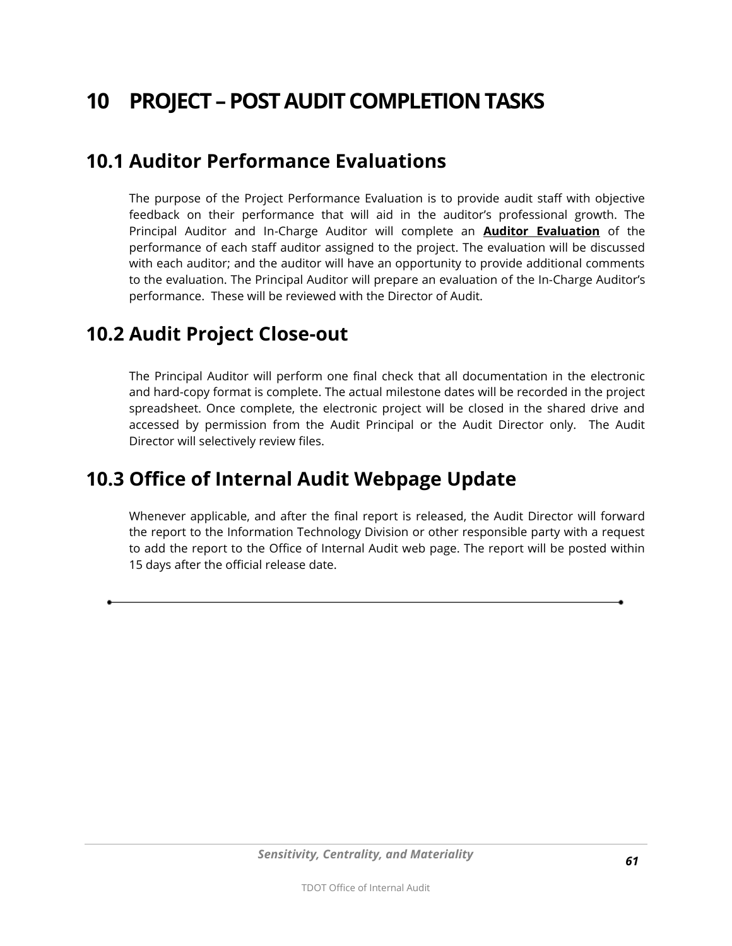# **10 PROJECT –POST AUDIT COMPLETION TASKS**

#### <span id="page-60-0"></span>**10.1 Auditor Performance Evaluations**

The purpose of the Project Performance Evaluation is to provide audit staff with objective feedback on their performance that will aid in the auditor's professional growth. The Principal Auditor and In-Charge Auditor will complete an **Auditor Evaluation** of the performance of each staff auditor assigned to the project. The evaluation will be discussed with each auditor; and the auditor will have an opportunity to provide additional comments to the evaluation. The Principal Auditor will prepare an evaluation of the In-Charge Auditor's performance. These will be reviewed with the Director of Audit.

#### **10.2 Audit Project Close-out**

The Principal Auditor will perform one final check that all documentation in the electronic and hard-copy format is complete. The actual milestone dates will be recorded in the project spreadsheet. Once complete, the electronic project will be closed in the shared drive and accessed by permission from the Audit Principal or the Audit Director only. The Audit Director will selectively review files.

### **10.3 Office of Internal Audit Webpage Update**

Whenever applicable, and after the final report is released, the Audit Director will forward the report to the Information Technology Division or other responsible party with a request to add the report to the Office of Internal Audit web page. The report will be posted within 15 days after the official release date.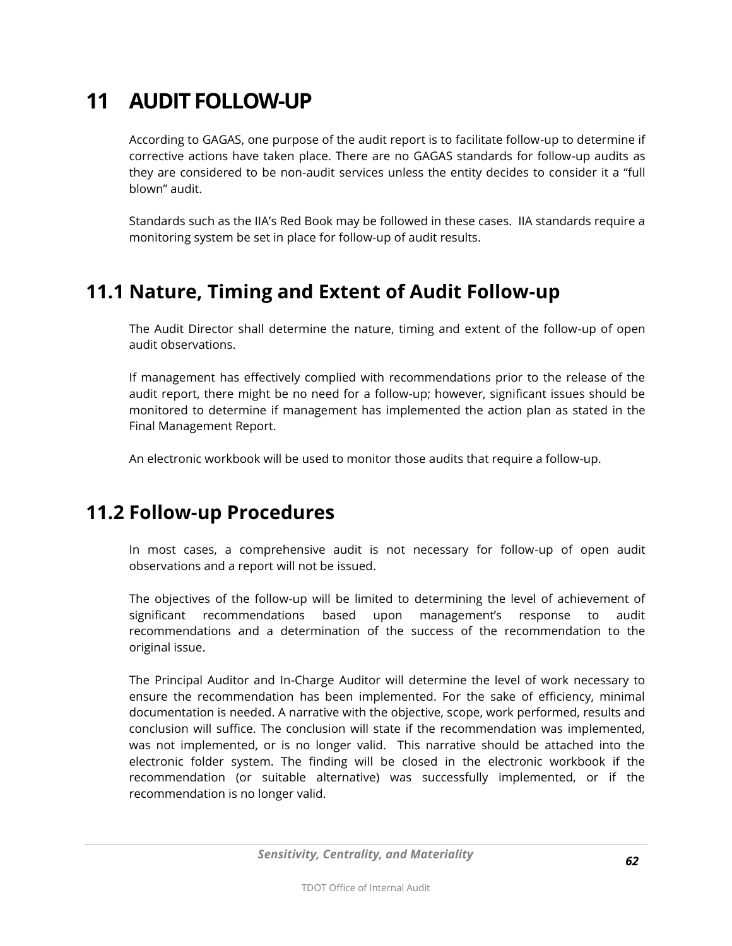# **11 AUDIT FOLLOW-UP**

According to GAGAS, one purpose of the audit report is to facilitate follow-up to determine if corrective actions have taken place. There are no GAGAS standards for follow-up audits as they are considered to be non-audit services unless the entity decides to consider it a "full blown" audit.

Standards such as the IIA's Red Book may be followed in these cases. IIA standards require a monitoring system be set in place for follow-up of audit results.

## **11.1 Nature, Timing and Extent of Audit Follow-up**

The Audit Director shall determine the nature, timing and extent of the follow-up of open audit observations.

If management has effectively complied with recommendations prior to the release of the audit report, there might be no need for a follow-up; however, significant issues should be monitored to determine if management has implemented the action plan as stated in the Final Management Report.

An electronic workbook will be used to monitor those audits that require a follow-up.

### **11.2 Follow-up Procedures**

In most cases, a comprehensive audit is not necessary for follow-up of open audit observations and a report will not be issued.

The objectives of the follow-up will be limited to determining the level of achievement of significant recommendations based upon management's response to audit recommendations and a determination of the success of the recommendation to the original issue.

The Principal Auditor and In-Charge Auditor will determine the level of work necessary to ensure the recommendation has been implemented. For the sake of efficiency, minimal documentation is needed. A narrative with the objective, scope, work performed, results and conclusion will suffice. The conclusion will state if the recommendation was implemented, was not implemented, or is no longer valid. This narrative should be attached into the electronic folder system. The finding will be closed in the electronic workbook if the recommendation (or suitable alternative) was successfully implemented, or if the recommendation is no longer valid.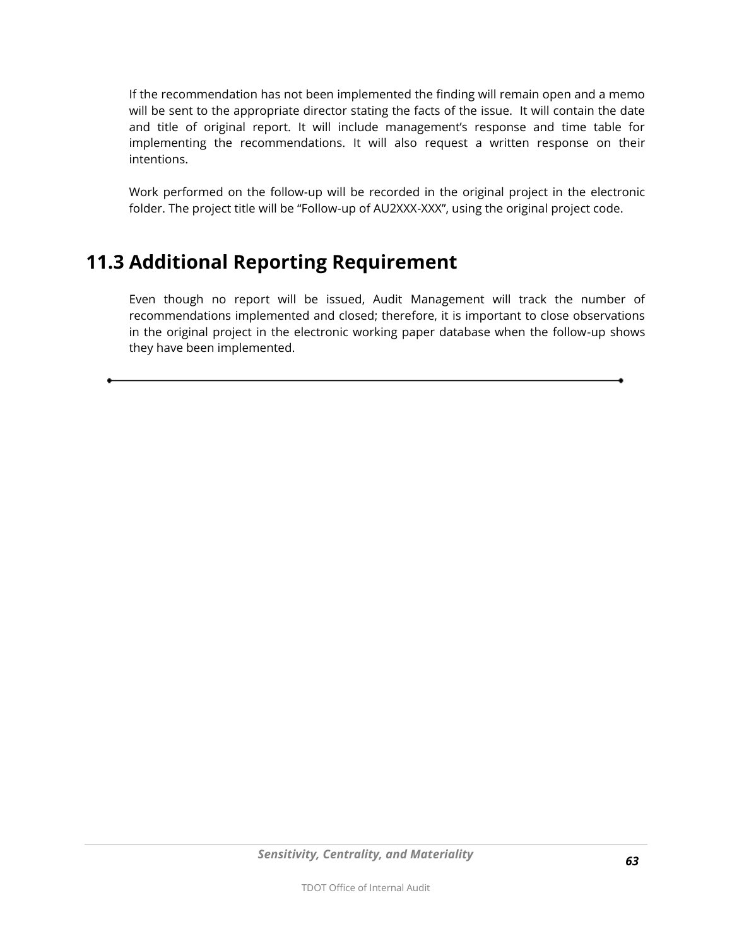If the recommendation has not been implemented the finding will remain open and a memo will be sent to the appropriate director stating the facts of the issue. It will contain the date and title of original report. It will include management's response and time table for implementing the recommendations. It will also request a written response on their intentions.

Work performed on the follow-up will be recorded in the original project in the electronic folder. The project title will be "Follow-up of AU2XXX-XXX", using the original project code.

## **11.3 Additional Reporting Requirement**

Even though no report will be issued, Audit Management will track the number of recommendations implemented and closed; therefore, it is important to close observations in the original project in the electronic working paper database when the follow-up shows they have been implemented.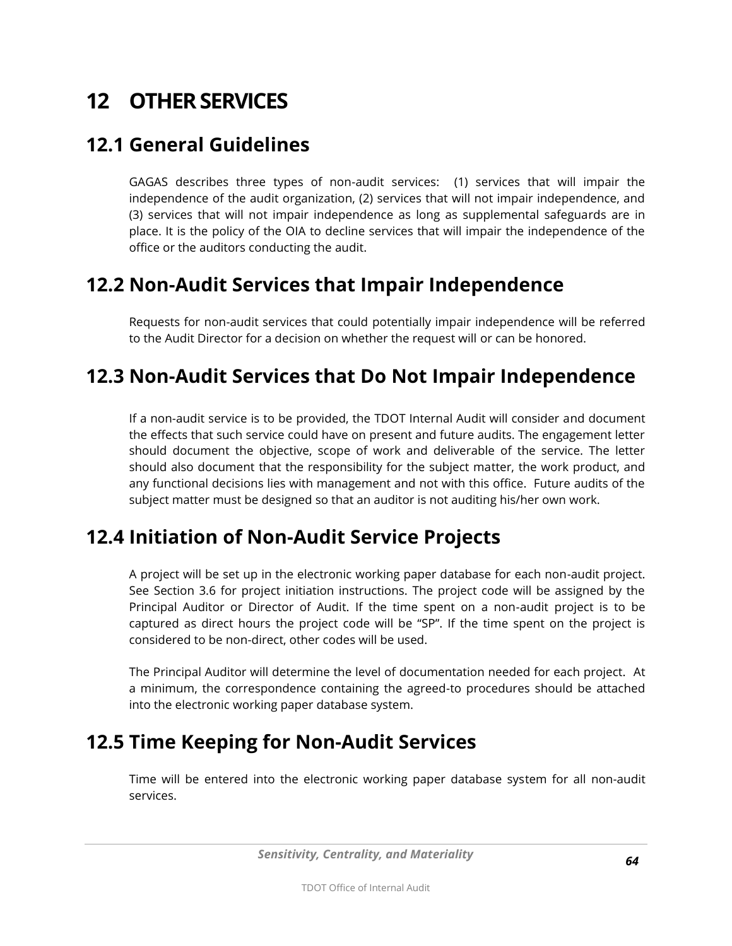# **12 OTHER SERVICES**

## **12.1 General Guidelines**

GAGAS describes three types of non-audit services: (1) services that will impair the independence of the audit organization, (2) services that will not impair independence, and (3) services that will not impair independence as long as supplemental safeguards are in place. It is the policy of the OIA to decline services that will impair the independence of the office or the auditors conducting the audit.

#### **12.2 Non-Audit Services that Impair Independence**

Requests for non-audit services that could potentially impair independence will be referred to the Audit Director for a decision on whether the request will or can be honored.

# **12.3 Non-Audit Services that Do Not Impair Independence**

If a non-audit service is to be provided, the TDOT Internal Audit will consider and document the effects that such service could have on present and future audits. The engagement letter should document the objective, scope of work and deliverable of the service. The letter should also document that the responsibility for the subject matter, the work product, and any functional decisions lies with management and not with this office. Future audits of the subject matter must be designed so that an auditor is not auditing his/her own work.

### **12.4 Initiation of Non-Audit Service Projects**

A project will be set up in the electronic working paper database for each non-audit project. See Section 3.6 for project initiation instructions. The project code will be assigned by the Principal Auditor or Director of Audit. If the time spent on a non-audit project is to be captured as direct hours the project code will be "SP". If the time spent on the project is considered to be non-direct, other codes will be used.

The Principal Auditor will determine the level of documentation needed for each project. At a minimum, the correspondence containing the agreed-to procedures should be attached into the electronic working paper database system.

# **12.5 Time Keeping for Non-Audit Services**

Time will be entered into the electronic working paper database system for all non-audit services.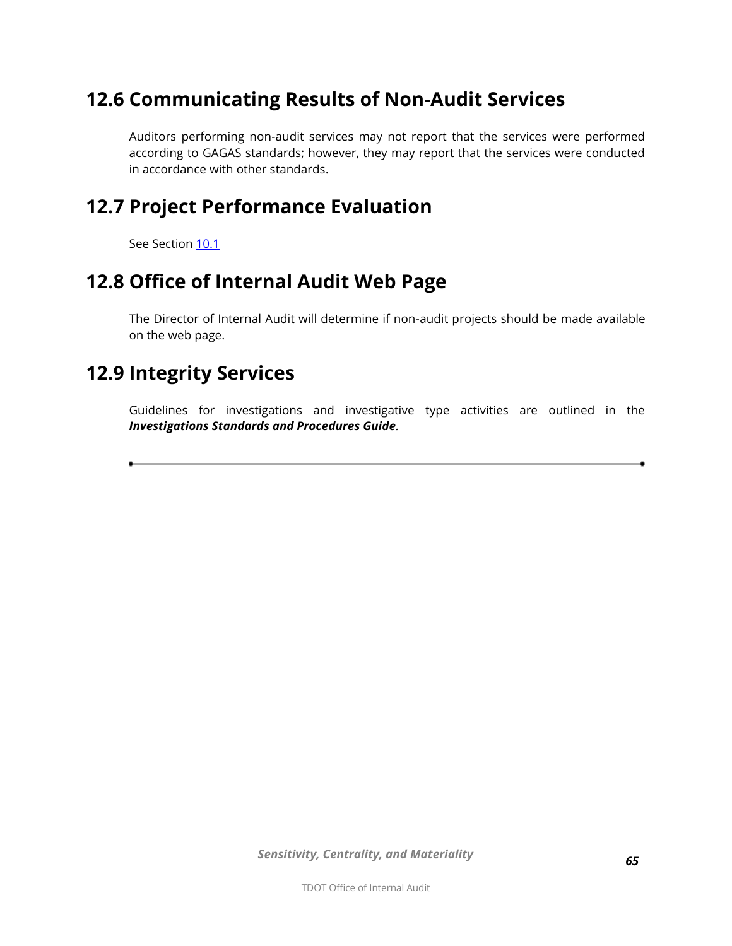# **12.6 Communicating Results of Non-Audit Services**

Auditors performing non-audit services may not report that the services were performed according to GAGAS standards; however, they may report that the services were conducted in accordance with other standards.

### **12.7 Project Performance Evaluation**

See Section [10.1](#page-60-0)

#### **12.8 Office of Internal Audit Web Page**

The Director of Internal Audit will determine if non-audit projects should be made available on the web page.

#### **12.9 Integrity Services**

Guidelines for investigations and investigative type activities are outlined in the *Investigations Standards and Procedures Guide.*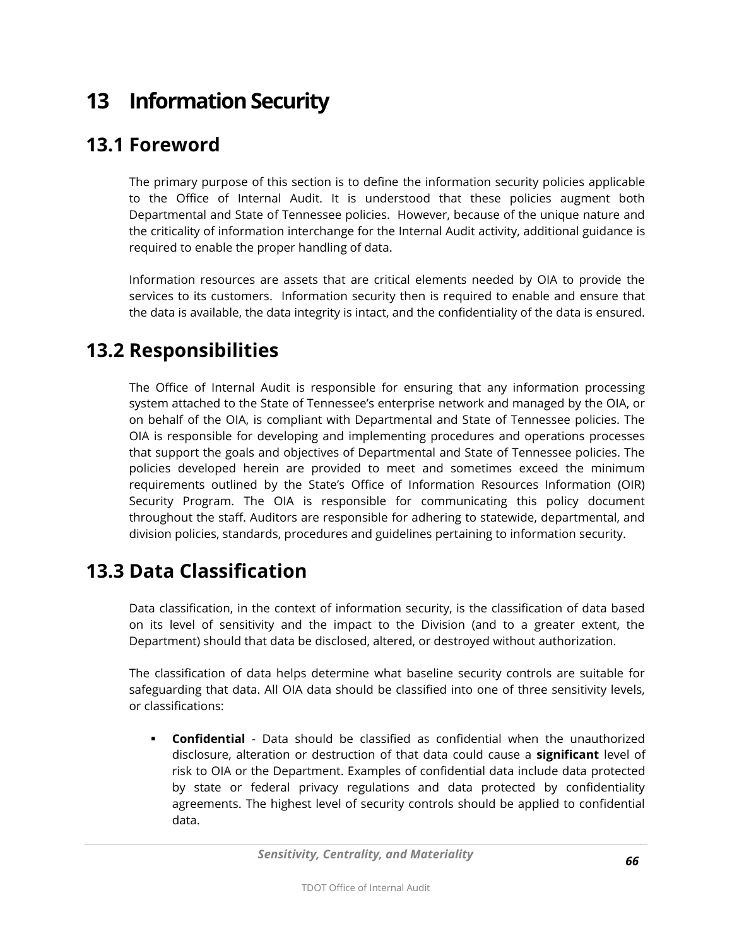# **13 Information Security**

### **13.1 Foreword**

The primary purpose of this section is to define the information security policies applicable to the Office of Internal Audit. It is understood that these policies augment both Departmental and State of Tennessee policies. However, because of the unique nature and the criticality of information interchange for the Internal Audit activity, additional guidance is required to enable the proper handling of data.

Information resources are assets that are critical elements needed by OIA to provide the services to its customers. Information security then is required to enable and ensure that the data is available, the data integrity is intact, and the confidentiality of the data is ensured.

# **13.2 Responsibilities**

The Office of Internal Audit is responsible for ensuring that any information processing system attached to the State of Tennessee's enterprise network and managed by the OIA, or on behalf of the OIA, is compliant with Departmental and State of Tennessee policies. The OIA is responsible for developing and implementing procedures and operations processes that support the goals and objectives of Departmental and State of Tennessee policies. The policies developed herein are provided to meet and sometimes exceed the minimum requirements outlined by the State's Office of Information Resources Information (OIR) Security Program. The OIA is responsible for communicating this policy document throughout the staff. Auditors are responsible for adhering to statewide, departmental, and division policies, standards, procedures and guidelines pertaining to information security.

### **13.3 Data Classification**

Data classification, in the context of information security, is the classification of data based on its level of sensitivity and the impact to the Division (and to a greater extent, the Department) should that data be disclosed, altered, or destroyed without authorization.

The classification of data helps determine what baseline security controls are suitable for safeguarding that data. All OIA data should be classified into one of three sensitivity levels, or classifications:

 **Confidential** - Data should be classified as confidential when the unauthorized disclosure, alteration or destruction of that data could cause a **significant** level of risk to OIA or the Department. Examples of confidential data include data protected by state or federal privacy regulations and data protected by confidentiality agreements. The highest level of security controls should be applied to confidential data.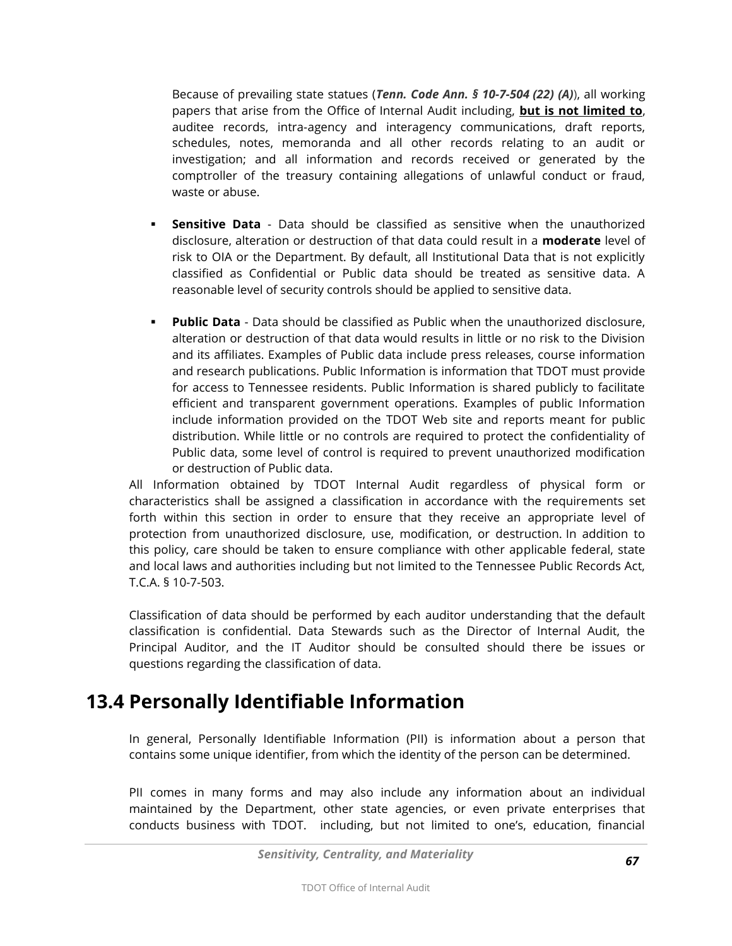Because of prevailing state statues (*Tenn. Code Ann. § 10-7-504 (22) (A)*), all working papers that arise from the Office of Internal Audit including, **but is not limited to**, auditee records, intra-agency and interagency communications, draft reports, schedules, notes, memoranda and all other records relating to an audit or investigation; and all information and records received or generated by the comptroller of the treasury containing allegations of unlawful conduct or fraud, waste or abuse.

- **Sensitive Data** Data should be classified as sensitive when the unauthorized disclosure, alteration or destruction of that data could result in a **moderate** level of risk to OIA or the Department. By default, all Institutional Data that is not explicitly classified as Confidential or Public data should be treated as sensitive data. A reasonable level of security controls should be applied to sensitive data.
- **Public Data** Data should be classified as Public when the unauthorized disclosure, alteration or destruction of that data would results in little or no risk to the Division and its affiliates. Examples of Public data include press releases, course information and research publications. Public Information is information that TDOT must provide for access to Tennessee residents. Public Information is shared publicly to facilitate efficient and transparent government operations. Examples of public Information include information provided on the TDOT Web site and reports meant for public distribution. While little or no controls are required to protect the confidentiality of Public data, some level of control is required to prevent unauthorized modification or destruction of Public data.

All Information obtained by TDOT Internal Audit regardless of physical form or characteristics shall be assigned a classification in accordance with the requirements set forth within this section in order to ensure that they receive an appropriate level of protection from unauthorized disclosure, use, modification, or destruction. In addition to this policy, care should be taken to ensure compliance with other applicable federal, state and local laws and authorities including but not limited to the Tennessee Public Records Act, T.C.A. § 10-7-503.

Classification of data should be performed by each auditor understanding that the default classification is confidential. Data Stewards such as the Director of Internal Audit, the Principal Auditor, and the IT Auditor should be consulted should there be issues or questions regarding the classification of data.

### **13.4 Personally Identifiable Information**

In general, Personally Identifiable Information (PII) is information about a person that contains some unique identifier, from which the identity of the person can be determined.

PII comes in many forms and may also include any information about an individual maintained by the Department, other state agencies, or even private enterprises that conducts business with TDOT. including, but not limited to one's, education, financial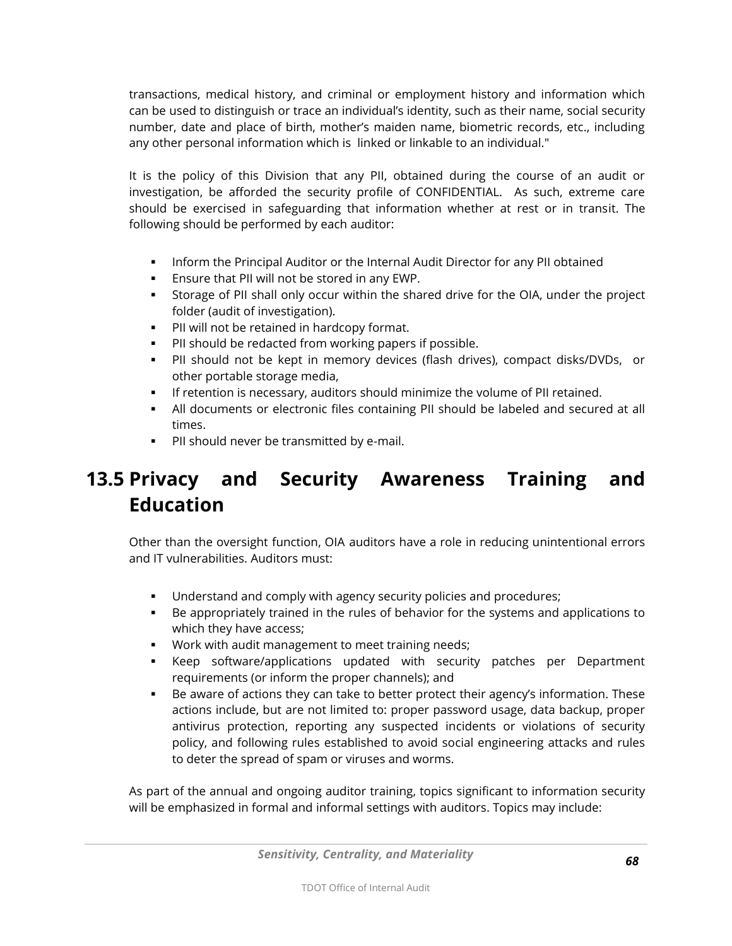transactions, medical history, and criminal or employment history and information which can be used to distinguish or trace an individual's identity, such as their name, social security number, date and place of birth, mother's maiden name, biometric records, etc., including any other personal information which is linked or linkable to an individual."

It is the policy of this Division that any PII, obtained during the course of an audit or investigation, be afforded the security profile of CONFIDENTIAL. As such, extreme care should be exercised in safeguarding that information whether at rest or in transit. The following should be performed by each auditor:

- **Inform the Principal Auditor or the Internal Audit Director for any PII obtained**
- **Ensure that PII will not be stored in any EWP.**
- Storage of PII shall only occur within the shared drive for the OIA, under the project folder (audit of investigation).
- **PII will not be retained in hardcopy format.**
- PII should be redacted from working papers if possible.
- PII should not be kept in memory devices (flash drives), compact disks/DVDs, or other portable storage media,
- **If retention is necessary, auditors should minimize the volume of PII retained.**
- All documents or electronic files containing PII should be labeled and secured at all times.
- **PII** should never be transmitted by e-mail.

# **13.5 Privacy and Security Awareness Training and Education**

Other than the oversight function, OIA auditors have a role in reducing unintentional errors and IT vulnerabilities. Auditors must:

- Understand and comply with agency security policies and procedures;
- Be appropriately trained in the rules of behavior for the systems and applications to which they have access;
- **Work with audit management to meet training needs;**
- Keep software/applications updated with security patches per Department requirements (or inform the proper channels); and
- Be aware of actions they can take to better protect their agency's information. These actions include, but are not limited to: proper password usage, data backup, proper antivirus protection, reporting any suspected incidents or violations of security policy, and following rules established to avoid social engineering attacks and rules to deter the spread of spam or viruses and worms.

As part of the annual and ongoing auditor training, topics significant to information security will be emphasized in formal and informal settings with auditors. Topics may include: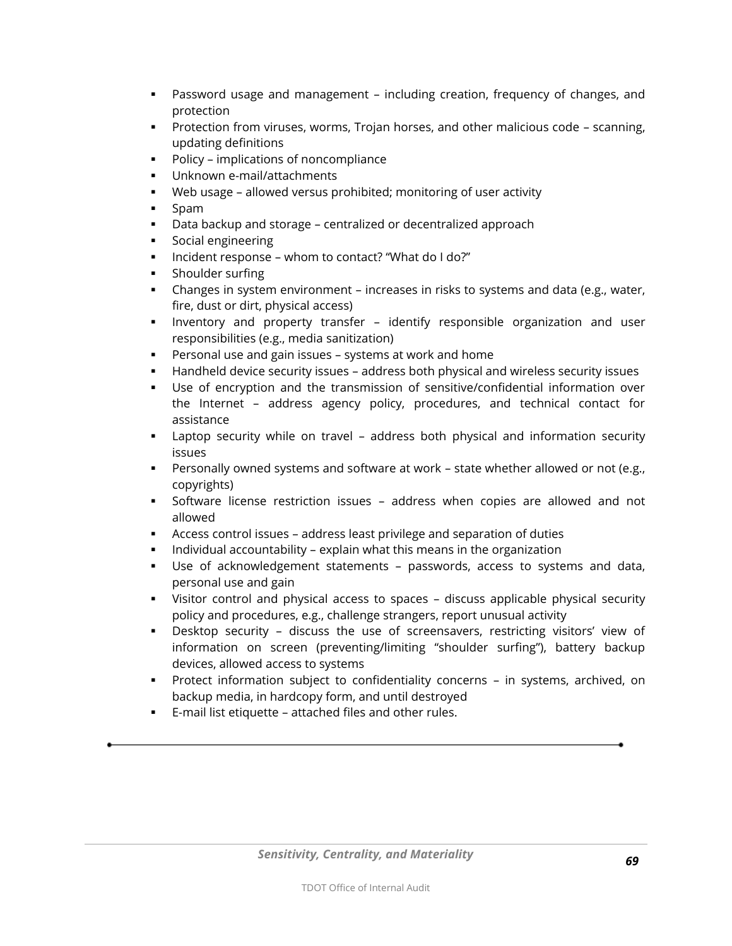- Password usage and management including creation, frequency of changes, and protection
- Protection from viruses, worms, Trojan horses, and other malicious code scanning, updating definitions
- **Policy implications of noncompliance**
- Unknown e-mail/attachments
- Web usage allowed versus prohibited; monitoring of user activity
- Spam
- Data backup and storage centralized or decentralized approach
- Social engineering
- Incident response whom to contact? "What do I do?"
- **Shoulder surfing**
- Changes in system environment increases in risks to systems and data (e.g., water, fire, dust or dirt, physical access)
- Inventory and property transfer identify responsible organization and user responsibilities (e.g., media sanitization)
- Personal use and gain issues systems at work and home
- Handheld device security issues address both physical and wireless security issues
- Use of encryption and the transmission of sensitive/confidential information over the Internet – address agency policy, procedures, and technical contact for assistance
- Laptop security while on travel address both physical and information security issues
- Personally owned systems and software at work state whether allowed or not (e.g., copyrights)
- Software license restriction issues address when copies are allowed and not allowed
- Access control issues address least privilege and separation of duties
- **Individual accountability explain what this means in the organization**
- Use of acknowledgement statements passwords, access to systems and data, personal use and gain
- Visitor control and physical access to spaces discuss applicable physical security policy and procedures, e.g., challenge strangers, report unusual activity
- Desktop security discuss the use of screensavers, restricting visitors' view of information on screen (preventing/limiting "shoulder surfing"), battery backup devices, allowed access to systems
- Protect information subject to confidentiality concerns in systems, archived, on backup media, in hardcopy form, and until destroyed
- E-mail list etiquette attached files and other rules.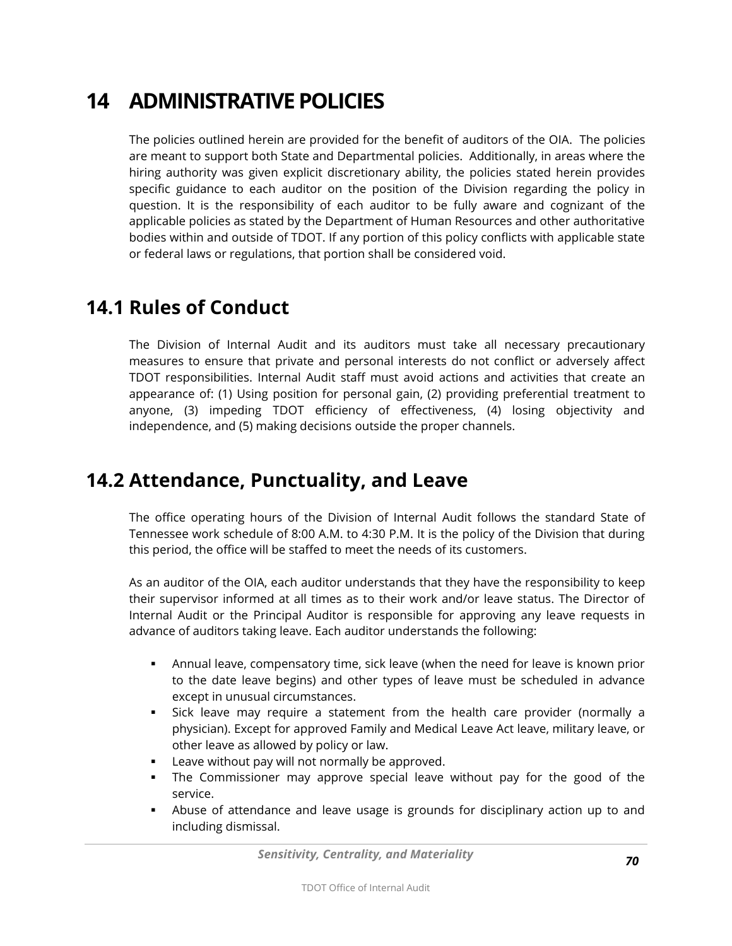# **14 ADMINISTRATIVE POLICIES**

The policies outlined herein are provided for the benefit of auditors of the OIA. The policies are meant to support both State and Departmental policies. Additionally, in areas where the hiring authority was given explicit discretionary ability, the policies stated herein provides specific guidance to each auditor on the position of the Division regarding the policy in question. It is the responsibility of each auditor to be fully aware and cognizant of the applicable policies as stated by the Department of Human Resources and other authoritative bodies within and outside of TDOT. If any portion of this policy conflicts with applicable state or federal laws or regulations, that portion shall be considered void.

#### **14.1 Rules of Conduct**

The Division of Internal Audit and its auditors must take all necessary precautionary measures to ensure that private and personal interests do not conflict or adversely affect TDOT responsibilities. Internal Audit staff must avoid actions and activities that create an appearance of: (1) Using position for personal gain, (2) providing preferential treatment to anyone, (3) impeding TDOT efficiency of effectiveness, (4) losing objectivity and independence, and (5) making decisions outside the proper channels.

#### **14.2 Attendance, Punctuality, and Leave**

The office operating hours of the Division of Internal Audit follows the standard State of Tennessee work schedule of 8:00 A.M. to 4:30 P.M. It is the policy of the Division that during this period, the office will be staffed to meet the needs of its customers.

As an auditor of the OIA, each auditor understands that they have the responsibility to keep their supervisor informed at all times as to their work and/or leave status. The Director of Internal Audit or the Principal Auditor is responsible for approving any leave requests in advance of auditors taking leave. Each auditor understands the following:

- Annual leave, compensatory time, sick leave (when the need for leave is known prior to the date leave begins) and other types of leave must be scheduled in advance except in unusual circumstances.
- Sick leave may require a statement from the health care provider (normally a physician). Except for approved Family and Medical Leave Act leave, military leave, or other leave as allowed by policy or law.
- **EXEC** Leave without pay will not normally be approved.
- The Commissioner may approve special leave without pay for the good of the service.
- Abuse of attendance and leave usage is grounds for disciplinary action up to and including dismissal.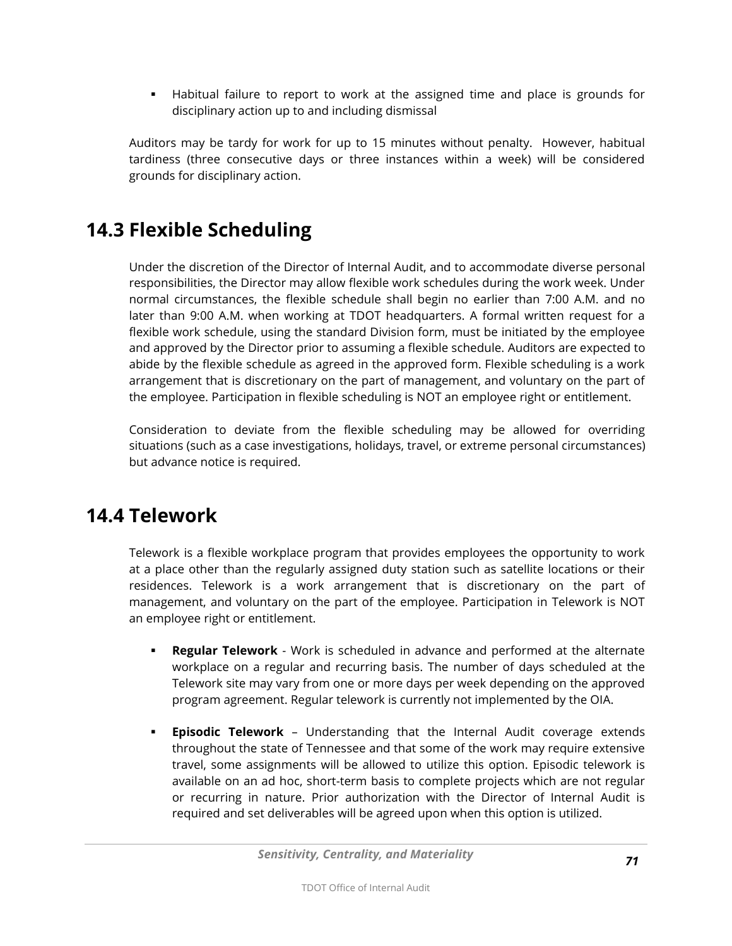Habitual failure to report to work at the assigned time and place is grounds for disciplinary action up to and including dismissal

Auditors may be tardy for work for up to 15 minutes without penalty. However, habitual tardiness (three consecutive days or three instances within a week) will be considered grounds for disciplinary action.

# **14.3 Flexible Scheduling**

Under the discretion of the Director of Internal Audit, and to accommodate diverse personal responsibilities, the Director may allow flexible work schedules during the work week. Under normal circumstances, the flexible schedule shall begin no earlier than 7:00 A.M. and no later than 9:00 A.M. when working at TDOT headquarters. A formal written request for a flexible work schedule, using the standard Division form, must be initiated by the employee and approved by the Director prior to assuming a flexible schedule. Auditors are expected to abide by the flexible schedule as agreed in the approved form. Flexible scheduling is a work arrangement that is discretionary on the part of management, and voluntary on the part of the employee. Participation in flexible scheduling is NOT an employee right or entitlement.

Consideration to deviate from the flexible scheduling may be allowed for overriding situations (such as a case investigations, holidays, travel, or extreme personal circumstances) but advance notice is required.

### **14.4 Telework**

Telework is a flexible workplace program that provides employees the opportunity to work at a place other than the regularly assigned duty station such as satellite locations or their residences. Telework is a work arrangement that is discretionary on the part of management, and voluntary on the part of the employee. Participation in Telework is NOT an employee right or entitlement.

- **Regular Telework** Work is scheduled in advance and performed at the alternate workplace on a regular and recurring basis. The number of days scheduled at the Telework site may vary from one or more days per week depending on the approved program agreement. Regular telework is currently not implemented by the OIA.
- **Episodic Telework** Understanding that the Internal Audit coverage extends throughout the state of Tennessee and that some of the work may require extensive travel, some assignments will be allowed to utilize this option. Episodic telework is available on an ad hoc, short-term basis to complete projects which are not regular or recurring in nature. Prior authorization with the Director of Internal Audit is required and set deliverables will be agreed upon when this option is utilized.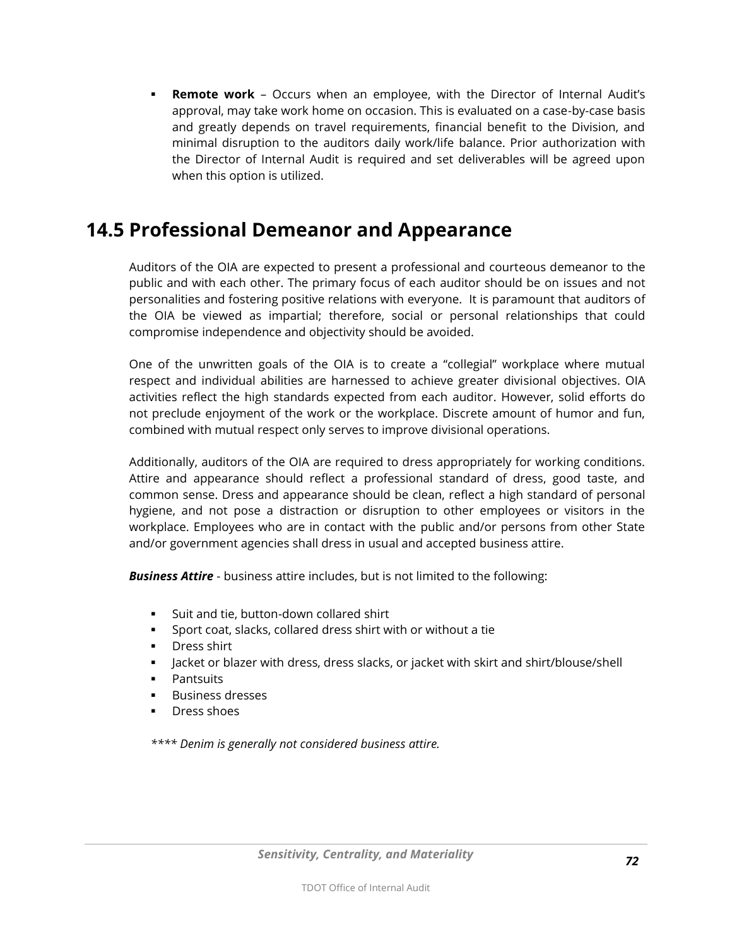**Remote work** – Occurs when an employee, with the Director of Internal Audit's approval, may take work home on occasion. This is evaluated on a case-by-case basis and greatly depends on travel requirements, financial benefit to the Division, and minimal disruption to the auditors daily work/life balance. Prior authorization with the Director of Internal Audit is required and set deliverables will be agreed upon when this option is utilized.

### **14.5 Professional Demeanor and Appearance**

Auditors of the OIA are expected to present a professional and courteous demeanor to the public and with each other. The primary focus of each auditor should be on issues and not personalities and fostering positive relations with everyone. It is paramount that auditors of the OIA be viewed as impartial; therefore, social or personal relationships that could compromise independence and objectivity should be avoided.

One of the unwritten goals of the OIA is to create a "collegial" workplace where mutual respect and individual abilities are harnessed to achieve greater divisional objectives. OIA activities reflect the high standards expected from each auditor. However, solid efforts do not preclude enjoyment of the work or the workplace. Discrete amount of humor and fun, combined with mutual respect only serves to improve divisional operations.

Additionally, auditors of the OIA are required to dress appropriately for working conditions. Attire and appearance should reflect a professional standard of dress, good taste, and common sense. Dress and appearance should be clean, reflect a high standard of personal hygiene, and not pose a distraction or disruption to other employees or visitors in the workplace. Employees who are in contact with the public and/or persons from other State and/or government agencies shall dress in usual and accepted business attire.

*Business Attire* - business attire includes, but is not limited to the following:

- Suit and tie, button-down collared shirt
- Sport coat, slacks, collared dress shirt with or without a tie
- **Dress shirt**
- Jacket or blazer with dress, dress slacks, or jacket with skirt and shirt/blouse/shell
- **•** Pantsuits
- Business dresses
- Dress shoes

*\*\*\*\* Denim is generally not considered business attire.*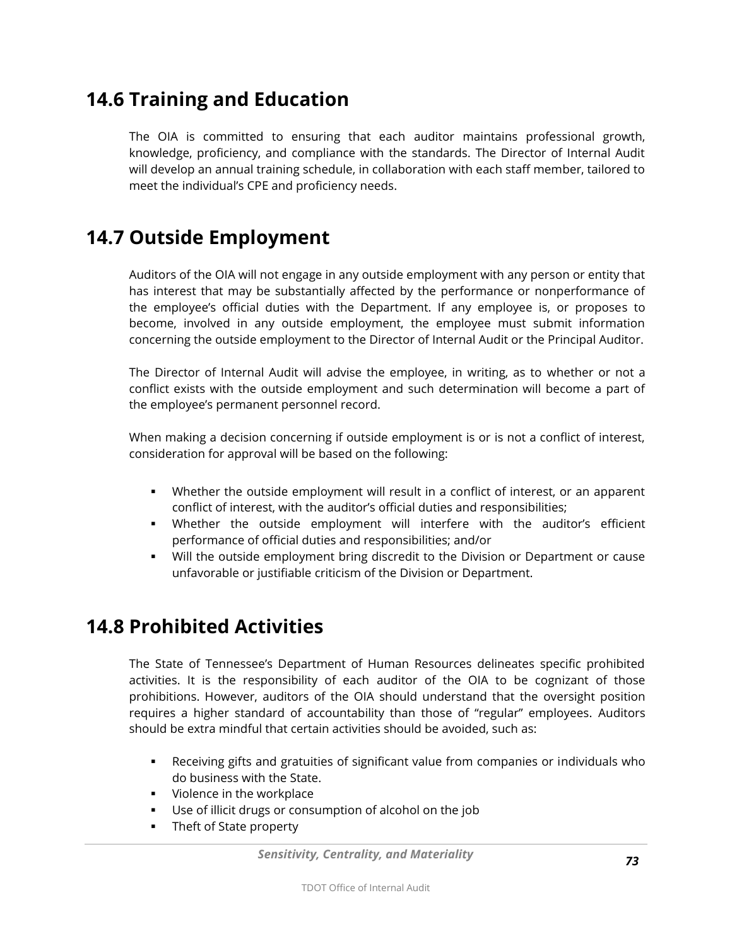# **14.6 Training and Education**

The OIA is committed to ensuring that each auditor maintains professional growth, knowledge, proficiency, and compliance with the standards. The Director of Internal Audit will develop an annual training schedule, in collaboration with each staff member, tailored to meet the individual's CPE and proficiency needs.

# **14.7 Outside Employment**

Auditors of the OIA will not engage in any outside employment with any person or entity that has interest that may be substantially affected by the performance or nonperformance of the employee's official duties with the Department. If any employee is, or proposes to become, involved in any outside employment, the employee must submit information concerning the outside employment to the Director of Internal Audit or the Principal Auditor.

The Director of Internal Audit will advise the employee, in writing, as to whether or not a conflict exists with the outside employment and such determination will become a part of the employee's permanent personnel record.

When making a decision concerning if outside employment is or is not a conflict of interest, consideration for approval will be based on the following:

- Whether the outside employment will result in a conflict of interest, or an apparent conflict of interest, with the auditor's official duties and responsibilities;
- Whether the outside employment will interfere with the auditor's efficient performance of official duties and responsibilities; and/or
- Will the outside employment bring discredit to the Division or Department or cause unfavorable or justifiable criticism of the Division or Department.

## **14.8 Prohibited Activities**

The State of Tennessee's Department of Human Resources delineates specific prohibited activities. It is the responsibility of each auditor of the OIA to be cognizant of those prohibitions. However, auditors of the OIA should understand that the oversight position requires a higher standard of accountability than those of "regular" employees. Auditors should be extra mindful that certain activities should be avoided, such as:

- Receiving gifts and gratuities of significant value from companies or individuals who do business with the State.
- **Violence in the workplace**
- Use of illicit drugs or consumption of alcohol on the job
- **Theft of State property**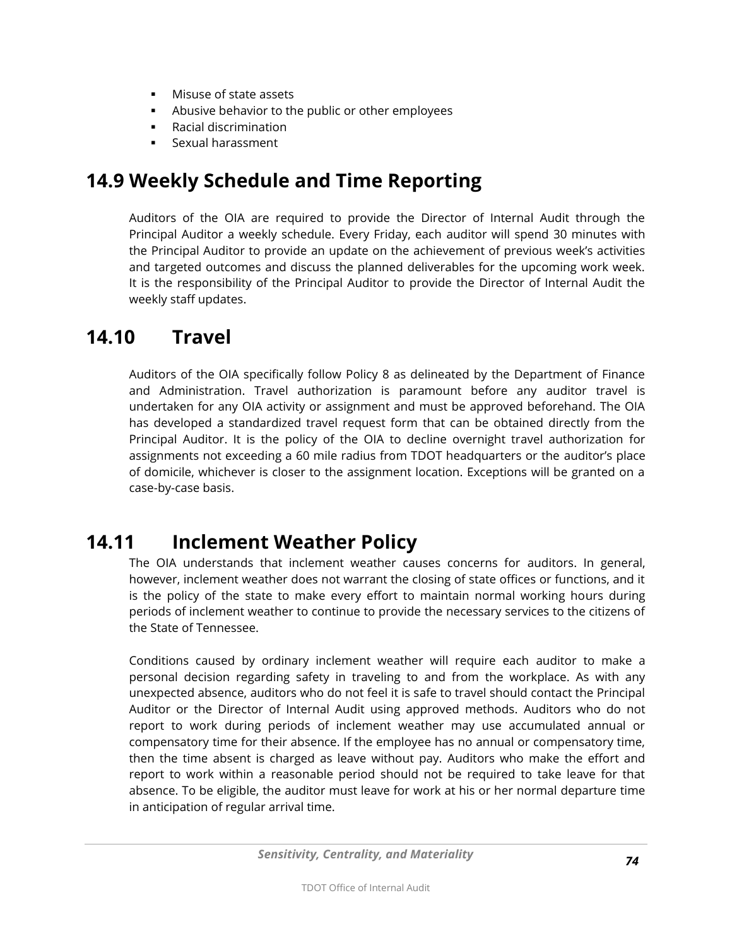- **Misuse of state assets**
- Abusive behavior to the public or other employees
- Racial discrimination
- Sexual harassment

# **14.9 Weekly Schedule and Time Reporting**

Auditors of the OIA are required to provide the Director of Internal Audit through the Principal Auditor a weekly schedule. Every Friday, each auditor will spend 30 minutes with the Principal Auditor to provide an update on the achievement of previous week's activities and targeted outcomes and discuss the planned deliverables for the upcoming work week. It is the responsibility of the Principal Auditor to provide the Director of Internal Audit the weekly staff updates.

## **14.10 Travel**

Auditors of the OIA specifically follow Policy 8 as delineated by the Department of Finance and Administration. Travel authorization is paramount before any auditor travel is undertaken for any OIA activity or assignment and must be approved beforehand. The OIA has developed a standardized travel request form that can be obtained directly from the Principal Auditor. It is the policy of the OIA to decline overnight travel authorization for assignments not exceeding a 60 mile radius from TDOT headquarters or the auditor's place of domicile, whichever is closer to the assignment location. Exceptions will be granted on a case-by-case basis.

# **14.11 Inclement Weather Policy**

The OIA understands that inclement weather causes concerns for auditors. In general, however, inclement weather does not warrant the closing of state offices or functions, and it is the policy of the state to make every effort to maintain normal working hours during periods of inclement weather to continue to provide the necessary services to the citizens of the State of Tennessee.

Conditions caused by ordinary inclement weather will require each auditor to make a personal decision regarding safety in traveling to and from the workplace. As with any unexpected absence, auditors who do not feel it is safe to travel should contact the Principal Auditor or the Director of Internal Audit using approved methods. Auditors who do not report to work during periods of inclement weather may use accumulated annual or compensatory time for their absence. If the employee has no annual or compensatory time, then the time absent is charged as leave without pay. Auditors who make the effort and report to work within a reasonable period should not be required to take leave for that absence. To be eligible, the auditor must leave for work at his or her normal departure time in anticipation of regular arrival time.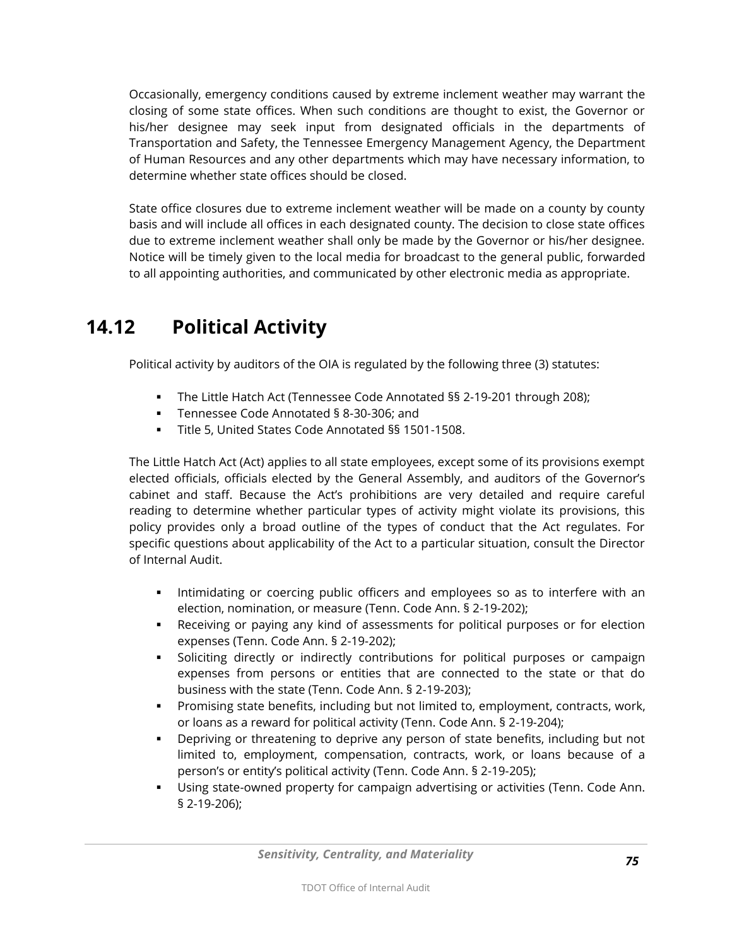Occasionally, emergency conditions caused by extreme inclement weather may warrant the closing of some state offices. When such conditions are thought to exist, the Governor or his/her designee may seek input from designated officials in the departments of Transportation and Safety, the Tennessee Emergency Management Agency, the Department of Human Resources and any other departments which may have necessary information, to determine whether state offices should be closed.

State office closures due to extreme inclement weather will be made on a county by county basis and will include all offices in each designated county. The decision to close state offices due to extreme inclement weather shall only be made by the Governor or his/her designee. Notice will be timely given to the local media for broadcast to the general public, forwarded to all appointing authorities, and communicated by other electronic media as appropriate.

# **14.12 Political Activity**

Political activity by auditors of the OIA is regulated by the following three (3) statutes:

- The Little Hatch Act (Tennessee Code Annotated §§ 2-19-201 through 208);
- Tennessee Code Annotated § 8-30-306; and
- Title 5, United States Code Annotated §§ 1501-1508.

The Little Hatch Act (Act) applies to all state employees, except some of its provisions exempt elected officials, officials elected by the General Assembly, and auditors of the Governor's cabinet and staff. Because the Act's prohibitions are very detailed and require careful reading to determine whether particular types of activity might violate its provisions, this policy provides only a broad outline of the types of conduct that the Act regulates. For specific questions about applicability of the Act to a particular situation, consult the Director of Internal Audit.

- Intimidating or coercing public officers and employees so as to interfere with an election, nomination, or measure (Tenn. Code Ann. § 2-19-202);
- Receiving or paying any kind of assessments for political purposes or for election expenses (Tenn. Code Ann. § 2-19-202);
- Soliciting directly or indirectly contributions for political purposes or campaign expenses from persons or entities that are connected to the state or that do business with the state (Tenn. Code Ann. § 2-19-203);
- Promising state benefits, including but not limited to, employment, contracts, work, or loans as a reward for political activity (Tenn. Code Ann. § 2-19-204);
- Depriving or threatening to deprive any person of state benefits, including but not limited to, employment, compensation, contracts, work, or loans because of a person's or entity's political activity (Tenn. Code Ann. § 2-19-205);
- Using state-owned property for campaign advertising or activities (Tenn. Code Ann. § 2-19-206);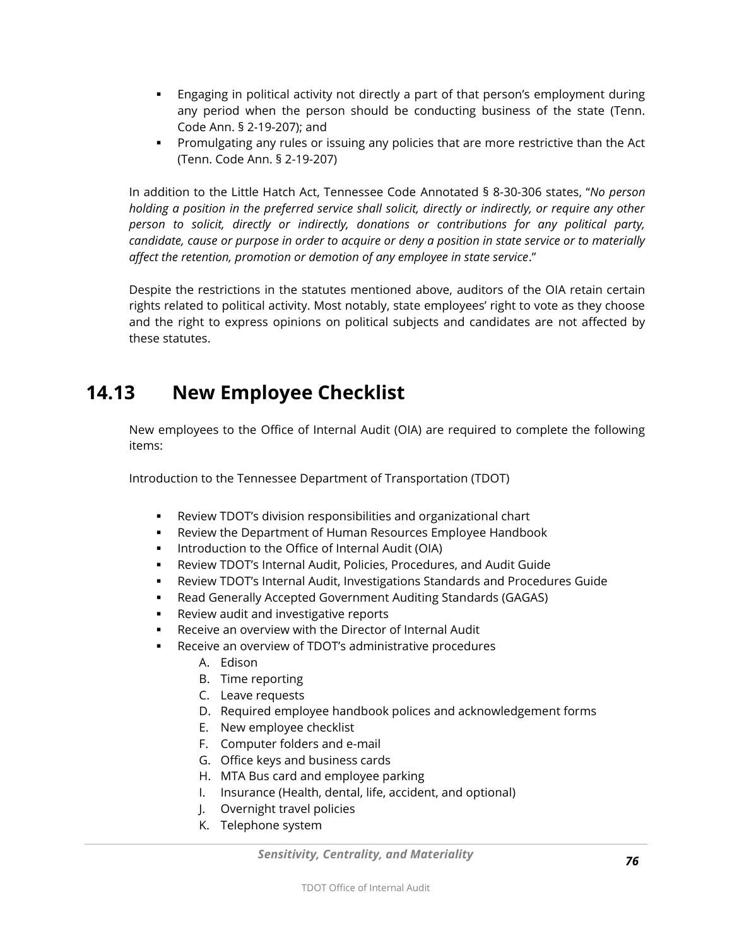- Engaging in political activity not directly a part of that person's employment during any period when the person should be conducting business of the state (Tenn. Code Ann. § 2-19-207); and
- **Promulgating any rules or issuing any policies that are more restrictive than the Act** (Tenn. Code Ann. § 2-19-207)

In addition to the Little Hatch Act, Tennessee Code Annotated § 8-30-306 states, "*No person holding a position in the preferred service shall solicit, directly or indirectly, or require any other person to solicit, directly or indirectly, donations or contributions for any political party, candidate, cause or purpose in order to acquire or deny a position in state service or to materially affect the retention, promotion or demotion of any employee in state service*."

Despite the restrictions in the statutes mentioned above, auditors of the OIA retain certain rights related to political activity. Most notably, state employees' right to vote as they choose and the right to express opinions on political subjects and candidates are not affected by these statutes.

# **14.13 New Employee Checklist**

New employees to the Office of Internal Audit (OIA) are required to complete the following items:

Introduction to the Tennessee Department of Transportation (TDOT)

- Review TDOT's division responsibilities and organizational chart
- Review the Department of Human Resources Employee Handbook
- **IDED** Introduction to the Office of Internal Audit (OIA)
- Review TDOT's Internal Audit, Policies, Procedures, and Audit Guide
- Review TDOT's Internal Audit, Investigations Standards and Procedures Guide
- Read Generally Accepted Government Auditing Standards (GAGAS)
- **Review audit and investigative reports**
- Receive an overview with the Director of Internal Audit
- Receive an overview of TDOT's administrative procedures
	- A. Edison
	- B. Time reporting
	- C. Leave requests
	- D. Required employee handbook polices and acknowledgement forms
	- E. New employee checklist
	- F. Computer folders and e-mail
	- G. Office keys and business cards
	- H. MTA Bus card and employee parking
	- I. Insurance (Health, dental, life, accident, and optional)
	- J. Overnight travel policies
	- K. Telephone system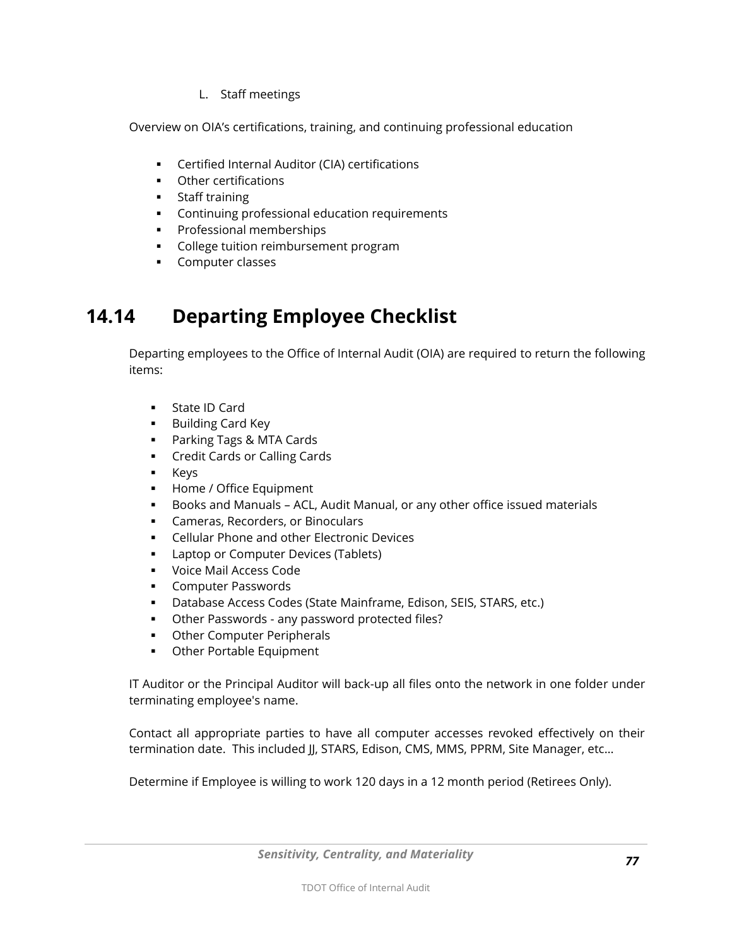L. Staff meetings

Overview on OIA's certifications, training, and continuing professional education

- **EXEC** Certified Internal Auditor (CIA) certifications
- **•** Other certifications
- **Staff training**
- **Continuing professional education requirements**
- **Professional memberships**
- **College tuition reimbursement program**
- **Computer classes**

# **14.14 Departing Employee Checklist**

Departing employees to the Office of Internal Audit (OIA) are required to return the following items:

- State ID Card
- **Building Card Key**
- **Parking Tags & MTA Cards**
- **Credit Cards or Calling Cards**
- **E** Keys
- **Home / Office Equipment**
- Books and Manuals ACL, Audit Manual, or any other office issued materials
- **Cameras, Recorders, or Binoculars**
- **EXECELLER FILM CELLET A** Cellular Phone and other Electronic Devices
- **Laptop or Computer Devices (Tablets)**
- **Voice Mail Access Code**
- **Computer Passwords**
- Database Access Codes (State Mainframe, Edison, SEIS, STARS, etc.)
- Other Passwords any password protected files?
- **Other Computer Peripherals**
- **•** Other Portable Equipment

IT Auditor or the Principal Auditor will back-up all files onto the network in one folder under terminating employee's name.

Contact all appropriate parties to have all computer accesses revoked effectively on their termination date. This included JJ, STARS, Edison, CMS, MMS, PPRM, Site Manager, etc...

Determine if Employee is willing to work 120 days in a 12 month period (Retirees Only).

*Sensitivity, Centrality, and Materiality*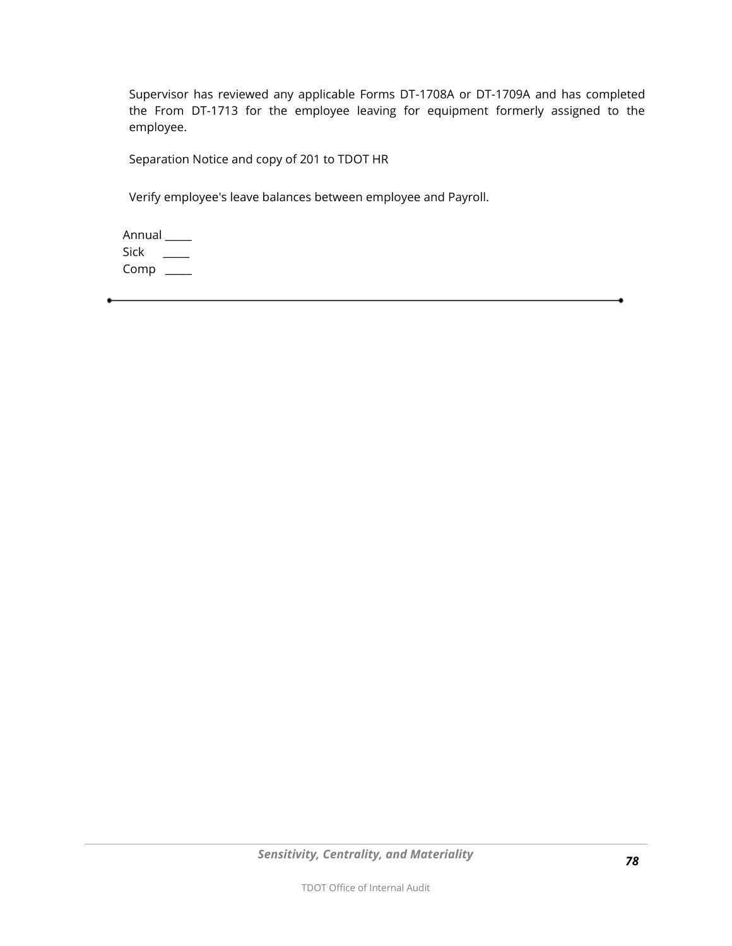Supervisor has reviewed any applicable Forms DT-1708A or DT-1709A and has completed the From DT-1713 for the employee leaving for equipment formerly assigned to the employee.

Separation Notice and copy of 201 to TDOT HR

Verify employee's leave balances between employee and Payroll.

 Annual \_\_\_\_\_ Sick  $\_\_$ Comp \_\_\_\_\_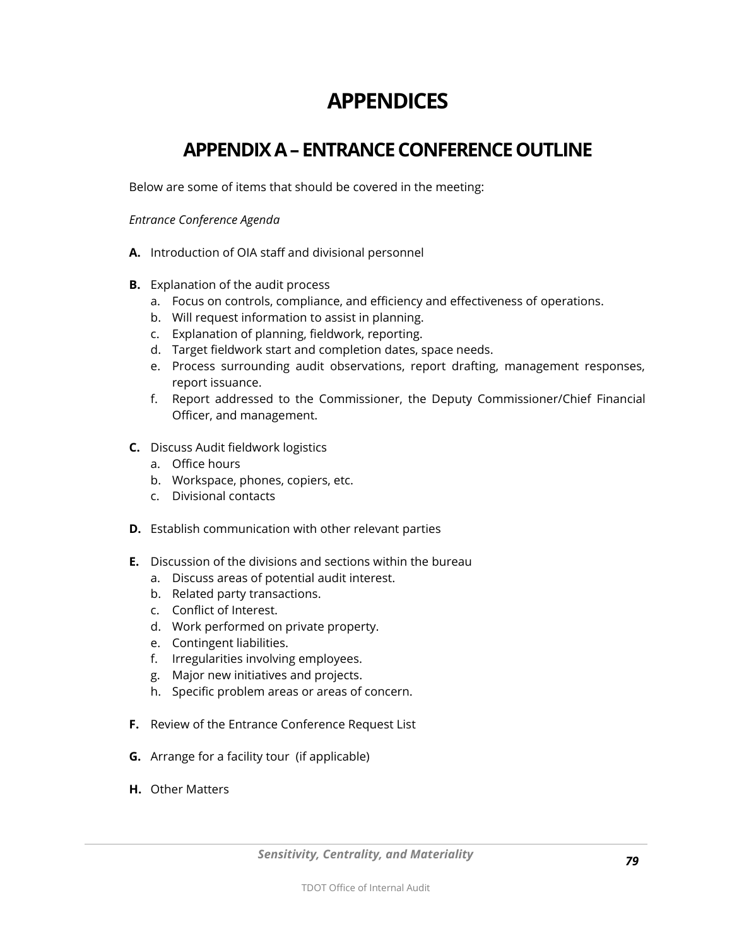# **APPENDICES**

## **APPENDIX A – ENTRANCE CONFERENCE OUTLINE**

Below are some of items that should be covered in the meeting:

#### *Entrance Conference Agenda*

- **A.** Introduction of OIA staff and divisional personnel
- **B.** Explanation of the audit process
	- a. Focus on controls, compliance, and efficiency and effectiveness of operations.
	- b. Will request information to assist in planning.
	- c. Explanation of planning, fieldwork, reporting.
	- d. Target fieldwork start and completion dates, space needs.
	- e. Process surrounding audit observations, report drafting, management responses, report issuance.
	- f. Report addressed to the Commissioner, the Deputy Commissioner/Chief Financial Officer, and management.
- **C.** Discuss Audit fieldwork logistics
	- a. Office hours
	- b. Workspace, phones, copiers, etc.
	- c. Divisional contacts
- **D.** Establish communication with other relevant parties
- **E.** Discussion of the divisions and sections within the bureau
	- a. Discuss areas of potential audit interest.
	- b. Related party transactions.
	- c. Conflict of Interest.
	- d. Work performed on private property.
	- e. Contingent liabilities.
	- f. Irregularities involving employees.
	- g. Major new initiatives and projects.
	- h. Specific problem areas or areas of concern.
- **F.** Review of the Entrance Conference Request List
- **G.** Arrange for a facility tour (if applicable)
- **H.** Other Matters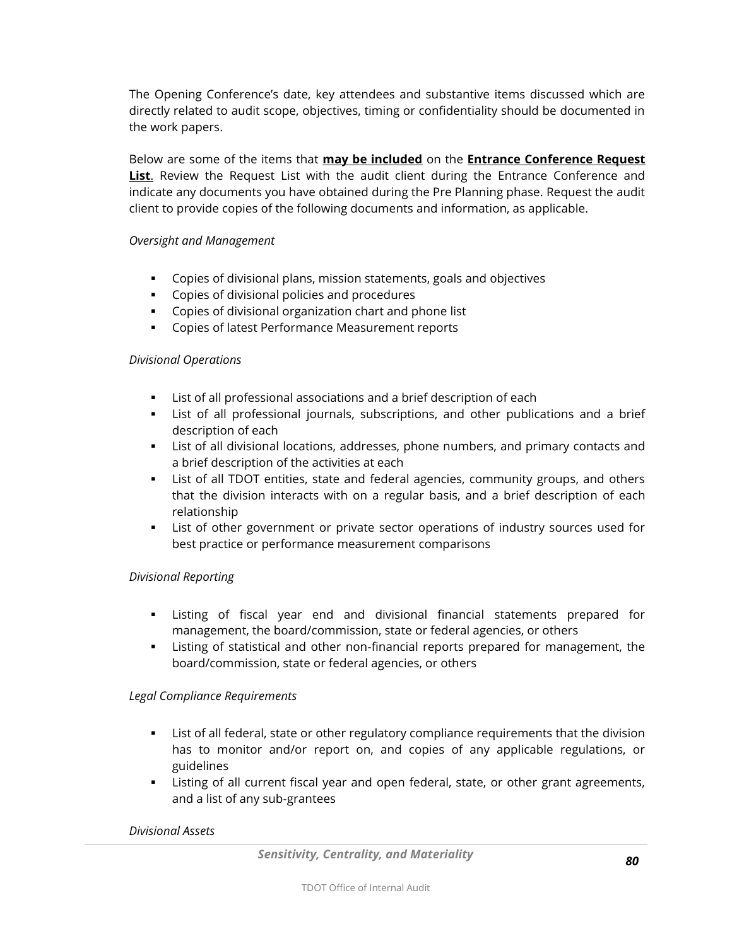The Opening Conference's date, key attendees and substantive items discussed which are directly related to audit scope, objectives, timing or confidentiality should be documented in the work papers.

Below are some of the items that **may be included** on the **Entrance Conference Request List**. Review the Request List with the audit client during the Entrance Conference and indicate any documents you have obtained during the Pre Planning phase. Request the audit client to provide copies of the following documents and information, as applicable.

#### *Oversight and Management*

- Copies of divisional plans, mission statements, goals and objectives
- **Copies of divisional policies and procedures**
- Copies of divisional organization chart and phone list
- **EXECOPIES OF Latest Performance Measurement reports**

#### *Divisional Operations*

- List of all professional associations and a brief description of each
- List of all professional journals, subscriptions, and other publications and a brief description of each
- List of all divisional locations, addresses, phone numbers, and primary contacts and a brief description of the activities at each
- List of all TDOT entities, state and federal agencies, community groups, and others that the division interacts with on a regular basis, and a brief description of each relationship
- List of other government or private sector operations of industry sources used for best practice or performance measurement comparisons

#### *Divisional Reporting*

- Listing of fiscal year end and divisional financial statements prepared for management, the board/commission, state or federal agencies, or others
- Listing of statistical and other non-financial reports prepared for management, the board/commission, state or federal agencies, or others

#### *Legal Compliance Requirements*

- List of all federal, state or other regulatory compliance requirements that the division has to monitor and/or report on, and copies of any applicable regulations, or guidelines
- Listing of all current fiscal year and open federal, state, or other grant agreements, and a list of any sub-grantees

#### *Divisional Assets*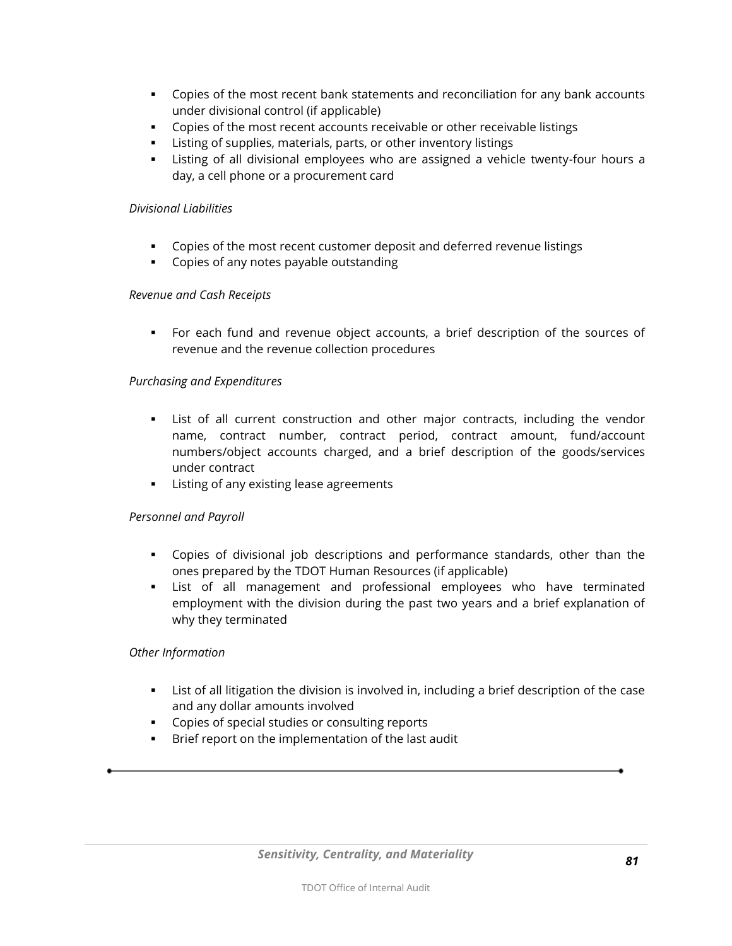- Copies of the most recent bank statements and reconciliation for any bank accounts under divisional control (if applicable)
- Copies of the most recent accounts receivable or other receivable listings
- Listing of supplies, materials, parts, or other inventory listings
- Listing of all divisional employees who are assigned a vehicle twenty-four hours a day, a cell phone or a procurement card

#### *Divisional Liabilities*

- Copies of the most recent customer deposit and deferred revenue listings
- **•** Copies of any notes payable outstanding

#### *Revenue and Cash Receipts*

 For each fund and revenue object accounts, a brief description of the sources of revenue and the revenue collection procedures

#### *Purchasing and Expenditures*

- List of all current construction and other major contracts, including the vendor name, contract number, contract period, contract amount, fund/account numbers/object accounts charged, and a brief description of the goods/services under contract
- **EXTE:** Listing of any existing lease agreements

#### *Personnel and Payroll*

- Copies of divisional job descriptions and performance standards, other than the ones prepared by the TDOT Human Resources (if applicable)
- List of all management and professional employees who have terminated employment with the division during the past two years and a brief explanation of why they terminated

#### *Other Information*

- List of all litigation the division is involved in, including a brief description of the case and any dollar amounts involved
- **Copies of special studies or consulting reports**
- Brief report on the implementation of the last audit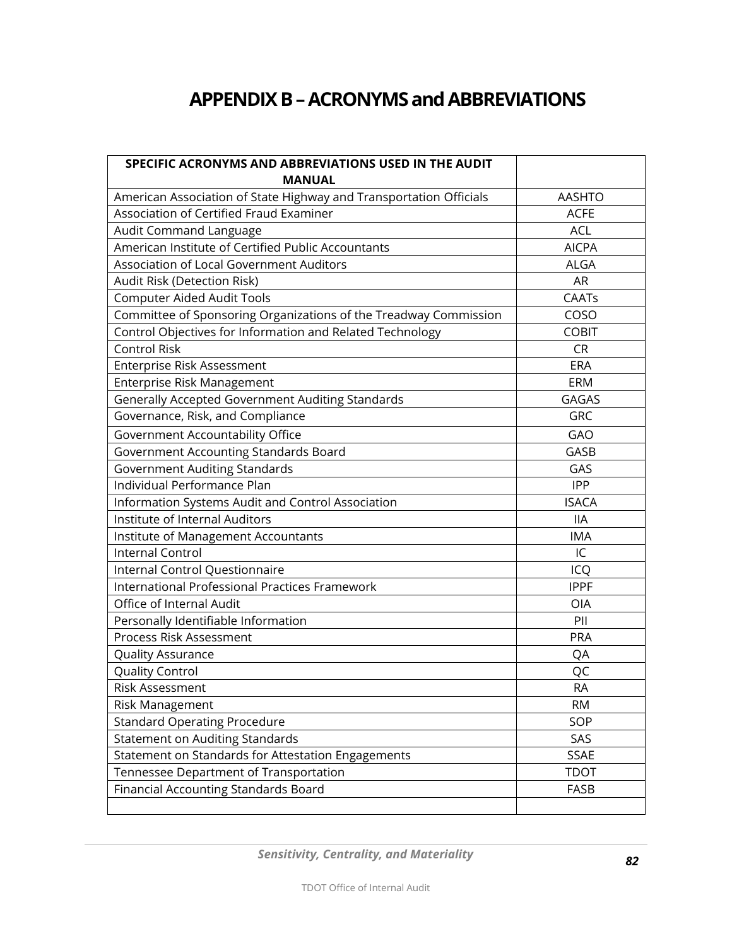# **APPENDIX B –ACRONYMS and ABBREVIATIONS**

| SPECIFIC ACRONYMS AND ABBREVIATIONS USED IN THE AUDIT              |               |
|--------------------------------------------------------------------|---------------|
| <b>MANUAL</b>                                                      |               |
| American Association of State Highway and Transportation Officials | <b>AASHTO</b> |
| Association of Certified Fraud Examiner                            | <b>ACFE</b>   |
| Audit Command Language                                             | <b>ACL</b>    |
| American Institute of Certified Public Accountants                 | <b>AICPA</b>  |
| Association of Local Government Auditors                           | <b>ALGA</b>   |
| Audit Risk (Detection Risk)                                        | <b>AR</b>     |
| <b>Computer Aided Audit Tools</b>                                  | CAATs         |
| Committee of Sponsoring Organizations of the Treadway Commission   | COSO          |
| Control Objectives for Information and Related Technology          | <b>COBIT</b>  |
| <b>Control Risk</b>                                                | <b>CR</b>     |
| Enterprise Risk Assessment                                         | <b>ERA</b>    |
| Enterprise Risk Management                                         | ERM           |
| Generally Accepted Government Auditing Standards                   | <b>GAGAS</b>  |
| Governance, Risk, and Compliance                                   | GRC           |
| Government Accountability Office                                   | GAO           |
| Government Accounting Standards Board                              | GASB          |
| <b>Government Auditing Standards</b>                               | GAS           |
| Individual Performance Plan                                        | <b>IPP</b>    |
| Information Systems Audit and Control Association                  | <b>ISACA</b>  |
| Institute of Internal Auditors                                     | <b>IIA</b>    |
| Institute of Management Accountants                                | <b>IMA</b>    |
| <b>Internal Control</b>                                            | IC            |
| Internal Control Questionnaire                                     | ICQ           |
| <b>International Professional Practices Framework</b>              | <b>IPPF</b>   |
| Office of Internal Audit                                           | OIA           |
| Personally Identifiable Information                                | PII           |
| Process Risk Assessment                                            | PRA           |
| Quality Assurance                                                  | QA            |
| Quality Control                                                    | QC            |
| Risk Assessment                                                    | RA            |
| Risk Management                                                    | <b>RM</b>     |
| <b>Standard Operating Procedure</b>                                | SOP           |
| <b>Statement on Auditing Standards</b>                             | SAS           |
| Statement on Standards for Attestation Engagements                 | <b>SSAE</b>   |
| Tennessee Department of Transportation                             | <b>TDOT</b>   |
| Financial Accounting Standards Board                               | FASB          |
|                                                                    |               |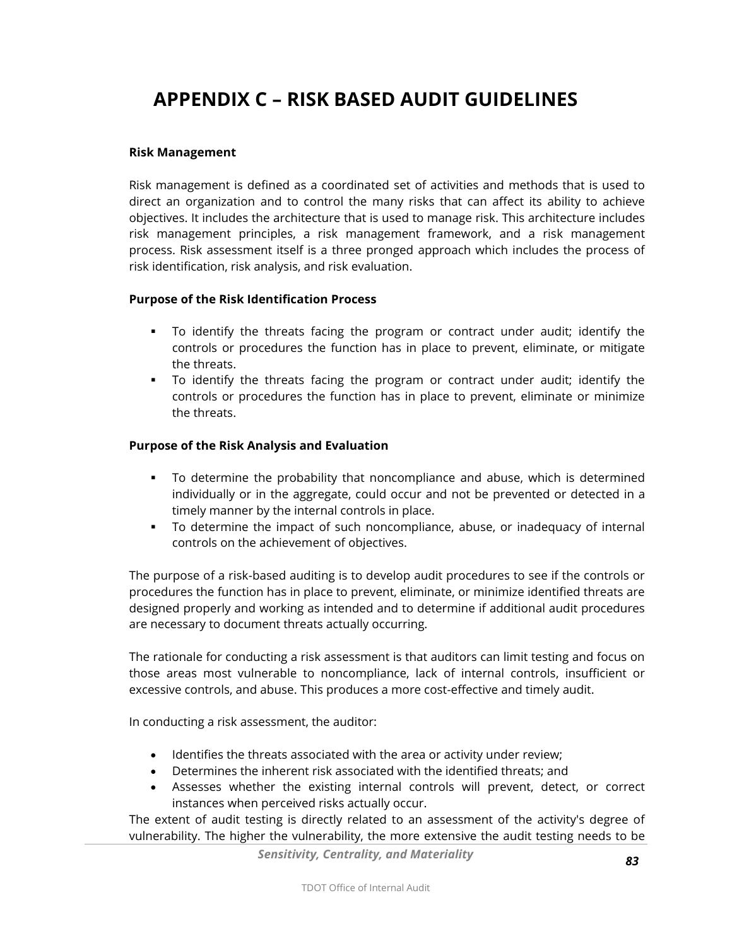# **APPENDIX C – RISK BASED AUDIT GUIDELINES**

#### **Risk Management**

Risk management is defined as a coordinated set of activities and methods that is used to direct an organization and to control the many risks that can affect its ability to achieve objectives. It includes the architecture that is used to manage risk. This architecture includes risk management principles, a risk management framework, and a risk management process. Risk assessment itself is a three pronged approach which includes the process of risk identification, risk analysis, and risk evaluation.

#### **Purpose of the Risk Identification Process**

- To identify the threats facing the program or contract under audit; identify the controls or procedures the function has in place to prevent, eliminate, or mitigate the threats.
- To identify the threats facing the program or contract under audit; identify the controls or procedures the function has in place to prevent, eliminate or minimize the threats.

#### **Purpose of the Risk Analysis and Evaluation**

- To determine the probability that noncompliance and abuse, which is determined individually or in the aggregate, could occur and not be prevented or detected in a timely manner by the internal controls in place.
- To determine the impact of such noncompliance, abuse, or inadequacy of internal controls on the achievement of objectives.

The purpose of a risk-based auditing is to develop audit procedures to see if the controls or procedures the function has in place to prevent, eliminate, or minimize identified threats are designed properly and working as intended and to determine if additional audit procedures are necessary to document threats actually occurring.

The rationale for conducting a risk assessment is that auditors can limit testing and focus on those areas most vulnerable to noncompliance, lack of internal controls, insufficient or excessive controls, and abuse. This produces a more cost-effective and timely audit.

In conducting a risk assessment, the auditor:

- Identifies the threats associated with the area or activity under review;
- Determines the inherent risk associated with the identified threats; and
- Assesses whether the existing internal controls will prevent, detect, or correct instances when perceived risks actually occur.

The extent of audit testing is directly related to an assessment of the activity's degree of vulnerability. The higher the vulnerability, the more extensive the audit testing needs to be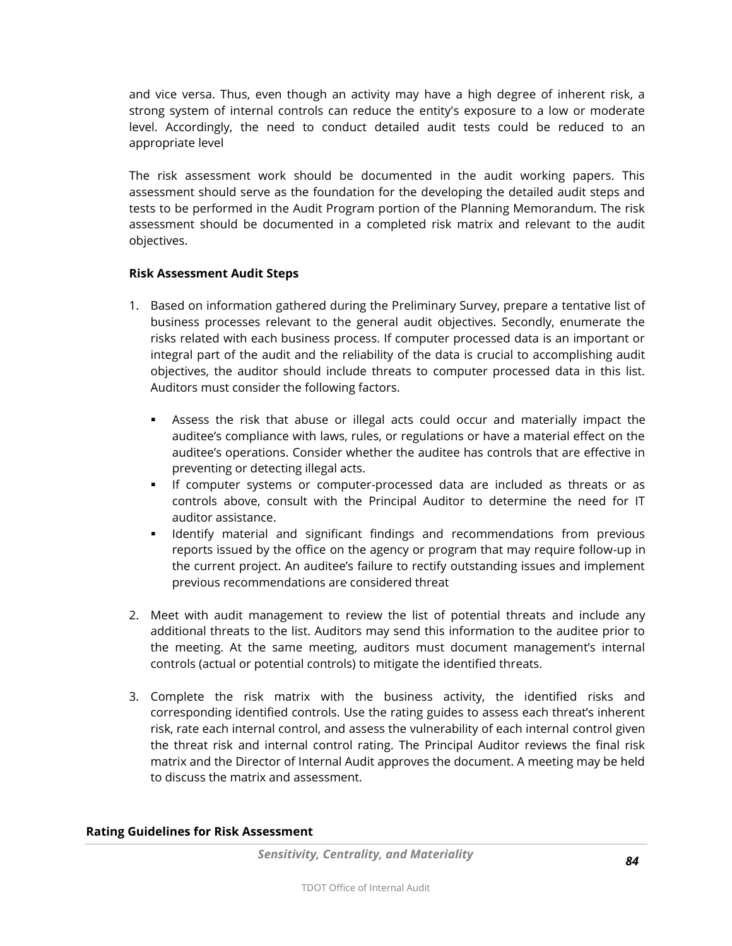and vice versa. Thus, even though an activity may have a high degree of inherent risk, a strong system of internal controls can reduce the entity's exposure to a low or moderate level. Accordingly, the need to conduct detailed audit tests could be reduced to an appropriate level

The risk assessment work should be documented in the audit working papers. This assessment should serve as the foundation for the developing the detailed audit steps and tests to be performed in the Audit Program portion of the Planning Memorandum. The risk assessment should be documented in a completed risk matrix and relevant to the audit objectives.

#### **Risk Assessment Audit Steps**

- 1. Based on information gathered during the Preliminary Survey, prepare a tentative list of business processes relevant to the general audit objectives. Secondly, enumerate the risks related with each business process. If computer processed data is an important or integral part of the audit and the reliability of the data is crucial to accomplishing audit objectives, the auditor should include threats to computer processed data in this list. Auditors must consider the following factors.
	- Assess the risk that abuse or illegal acts could occur and materially impact the auditee's compliance with laws, rules, or regulations or have a material effect on the auditee's operations. Consider whether the auditee has controls that are effective in preventing or detecting illegal acts.
	- If computer systems or computer-processed data are included as threats or as controls above, consult with the Principal Auditor to determine the need for IT auditor assistance.
	- **I** Identify material and significant findings and recommendations from previous reports issued by the office on the agency or program that may require follow-up in the current project. An auditee's failure to rectify outstanding issues and implement previous recommendations are considered threat
- 2. Meet with audit management to review the list of potential threats and include any additional threats to the list. Auditors may send this information to the auditee prior to the meeting. At the same meeting, auditors must document management's internal controls (actual or potential controls) to mitigate the identified threats.
- 3. Complete the risk matrix with the business activity, the identified risks and corresponding identified controls. Use the rating guides to assess each threat's inherent risk, rate each internal control, and assess the vulnerability of each internal control given the threat risk and internal control rating. The Principal Auditor reviews the final risk matrix and the Director of Internal Audit approves the document. A meeting may be held to discuss the matrix and assessment.

#### **Rating Guidelines for Risk Assessment**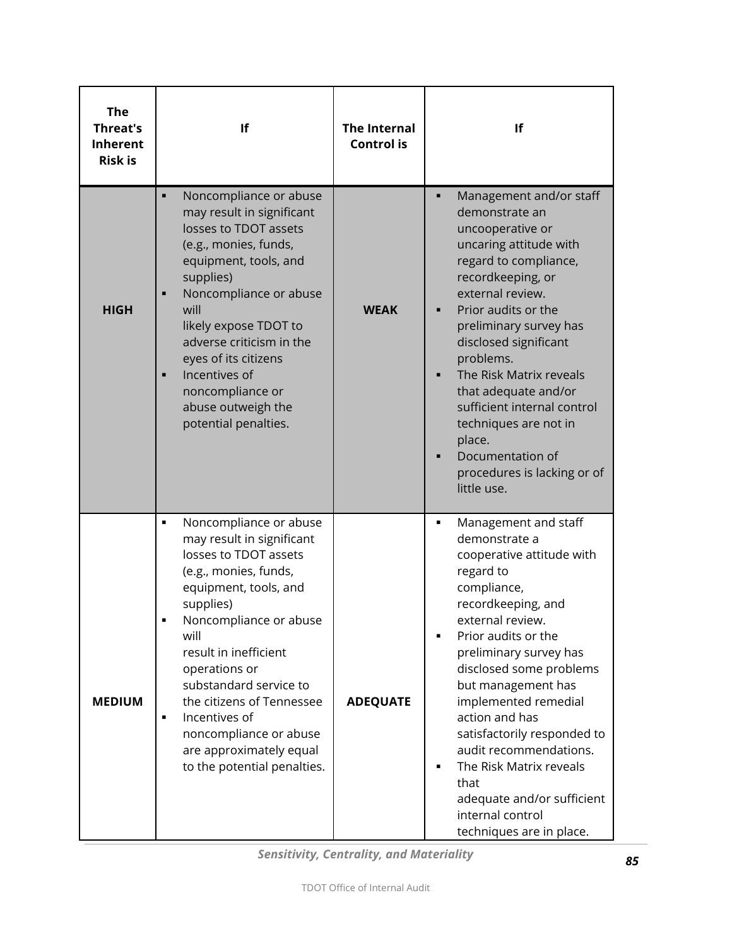| <b>The</b><br><b>Threat's</b><br><b>Inherent</b><br><b>Risk is</b> | If                                                                                                                                                                                                                                                                                                                                                                                                         | <b>The Internal</b><br><b>Control is</b> | If                                                                                                                                                                                                                                                                                                                                                                                                                                                                  |
|--------------------------------------------------------------------|------------------------------------------------------------------------------------------------------------------------------------------------------------------------------------------------------------------------------------------------------------------------------------------------------------------------------------------------------------------------------------------------------------|------------------------------------------|---------------------------------------------------------------------------------------------------------------------------------------------------------------------------------------------------------------------------------------------------------------------------------------------------------------------------------------------------------------------------------------------------------------------------------------------------------------------|
| <b>HIGH</b>                                                        | Noncompliance or abuse<br>$\blacksquare$<br>may result in significant<br>losses to TDOT assets<br>(e.g., monies, funds,<br>equipment, tools, and<br>supplies)<br>Noncompliance or abuse<br>will<br>likely expose TDOT to<br>adverse criticism in the<br>eyes of its citizens<br>Incentives of<br>$\blacksquare$<br>noncompliance or<br>abuse outweigh the<br>potential penalties.                          | <b>WEAK</b>                              | Management and/or staff<br>п<br>demonstrate an<br>uncooperative or<br>uncaring attitude with<br>regard to compliance,<br>recordkeeping, or<br>external review.<br>Prior audits or the<br>preliminary survey has<br>disclosed significant<br>problems.<br>The Risk Matrix reveals<br>that adequate and/or<br>sufficient internal control<br>techniques are not in<br>place.<br>Documentation of<br>procedures is lacking or of<br>little use.                        |
| <b>MEDIUM</b>                                                      | Noncompliance or abuse<br>٠<br>may result in significant<br>losses to TDOT assets<br>(e.g., monies, funds,<br>equipment, tools, and<br>supplies)<br>Noncompliance or abuse<br>will<br>result in inefficient<br>operations or<br>substandard service to<br>the citizens of Tennessee<br>Incentives of<br>$\blacksquare$<br>noncompliance or abuse<br>are approximately equal<br>to the potential penalties. | <b>ADEQUATE</b>                          | Management and staff<br>٠<br>demonstrate a<br>cooperative attitude with<br>regard to<br>compliance,<br>recordkeeping, and<br>external review.<br>Prior audits or the<br>preliminary survey has<br>disclosed some problems<br>but management has<br>implemented remedial<br>action and has<br>satisfactorily responded to<br>audit recommendations.<br>The Risk Matrix reveals<br>that<br>adequate and/or sufficient<br>internal control<br>techniques are in place. |

*Sensitivity, Centrality, and Materiality*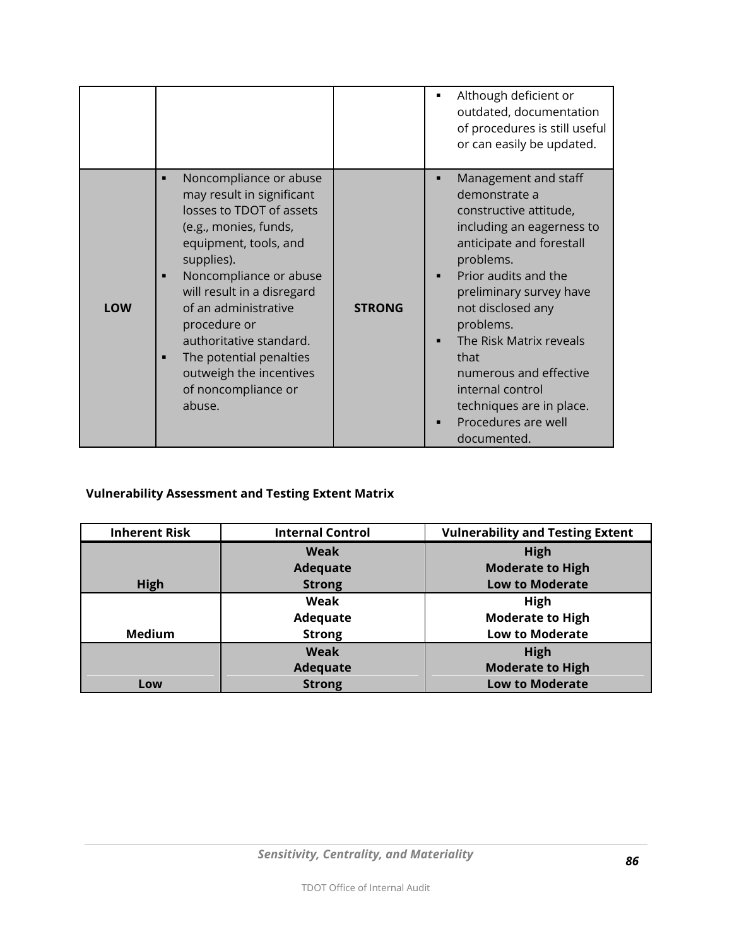|     |                                                                                                                                                                                                                                                                                                                                                                                  |               | Although deficient or<br>outdated, documentation<br>of procedures is still useful<br>or can easily be updated.                                                                                                                                                                                                                                                                               |
|-----|----------------------------------------------------------------------------------------------------------------------------------------------------------------------------------------------------------------------------------------------------------------------------------------------------------------------------------------------------------------------------------|---------------|----------------------------------------------------------------------------------------------------------------------------------------------------------------------------------------------------------------------------------------------------------------------------------------------------------------------------------------------------------------------------------------------|
| LOW | Noncompliance or abuse<br>■<br>may result in significant<br>losses to TDOT of assets<br>(e.g., monies, funds,<br>equipment, tools, and<br>supplies).<br>Noncompliance or abuse<br>■<br>will result in a disregard<br>of an administrative<br>procedure or<br>authoritative standard.<br>The potential penalties<br>■<br>outweigh the incentives<br>of noncompliance or<br>abuse. | <b>STRONG</b> | Management and staff<br>п<br>demonstrate a<br>constructive attitude,<br>including an eagerness to<br>anticipate and forestall<br>problems.<br>Prior audits and the<br>п<br>preliminary survey have<br>not disclosed any<br>problems.<br>The Risk Matrix reveals<br>that<br>numerous and effective<br>internal control<br>techniques are in place.<br>Procedures are well<br>п<br>documented. |

## **Vulnerability Assessment and Testing Extent Matrix**

| <b>Inherent Risk</b> | <b>Internal Control</b> | <b>Vulnerability and Testing Extent</b> |
|----------------------|-------------------------|-----------------------------------------|
|                      | <b>Weak</b>             | <b>High</b>                             |
|                      | <b>Adequate</b>         | <b>Moderate to High</b>                 |
| High                 | <b>Strong</b>           | <b>Low to Moderate</b>                  |
|                      | Weak                    | High                                    |
|                      | Adequate                | <b>Moderate to High</b>                 |
| <b>Medium</b>        | <b>Strong</b>           | <b>Low to Moderate</b>                  |
|                      | <b>Weak</b>             | <b>High</b>                             |
|                      | <b>Adequate</b>         | <b>Moderate to High</b>                 |
| Low                  | <b>Strong</b>           | <b>Low to Moderate</b>                  |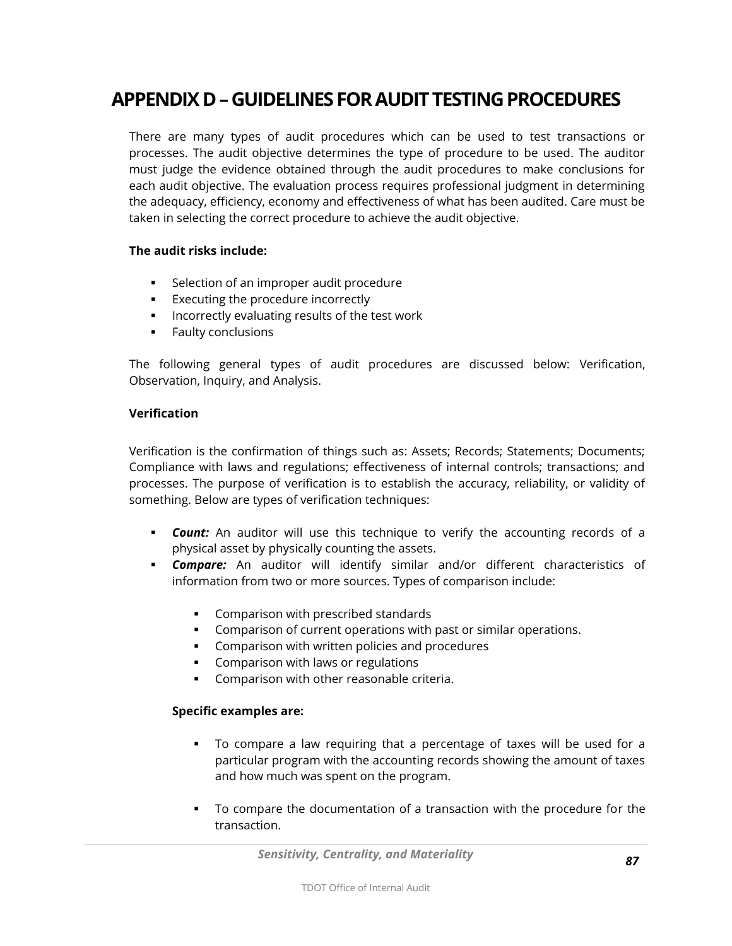# **APPENDIX D –GUIDELINES FORAUDIT TESTING PROCEDURES**

There are many types of audit procedures which can be used to test transactions or processes. The audit objective determines the type of procedure to be used. The auditor must judge the evidence obtained through the audit procedures to make conclusions for each audit objective. The evaluation process requires professional judgment in determining the adequacy, efficiency, economy and effectiveness of what has been audited. Care must be taken in selecting the correct procedure to achieve the audit objective.

#### **The audit risks include:**

- **Selection of an improper audit procedure**
- **Executing the procedure incorrectly**
- **Incorrectly evaluating results of the test work**
- **Faulty conclusions**

The following general types of audit procedures are discussed below: Verification, Observation, Inquiry, and Analysis.

#### **Verification**

Verification is the confirmation of things such as: Assets; Records; Statements; Documents; Compliance with laws and regulations; effectiveness of internal controls; transactions; and processes. The purpose of verification is to establish the accuracy, reliability, or validity of something. Below are types of verification techniques:

- *Count:* An auditor will use this technique to verify the accounting records of a physical asset by physically counting the assets.
- *Compare:* An auditor will identify similar and/or different characteristics of information from two or more sources. Types of comparison include:
	- **Comparison with prescribed standards**
	- Comparison of current operations with past or similar operations.
	- **Comparison with written policies and procedures**
	- **Comparison with laws or regulations**
	- **Comparison with other reasonable criteria.**

#### **Specific examples are:**

- To compare a law requiring that a percentage of taxes will be used for a particular program with the accounting records showing the amount of taxes and how much was spent on the program.
- To compare the documentation of a transaction with the procedure for the transaction.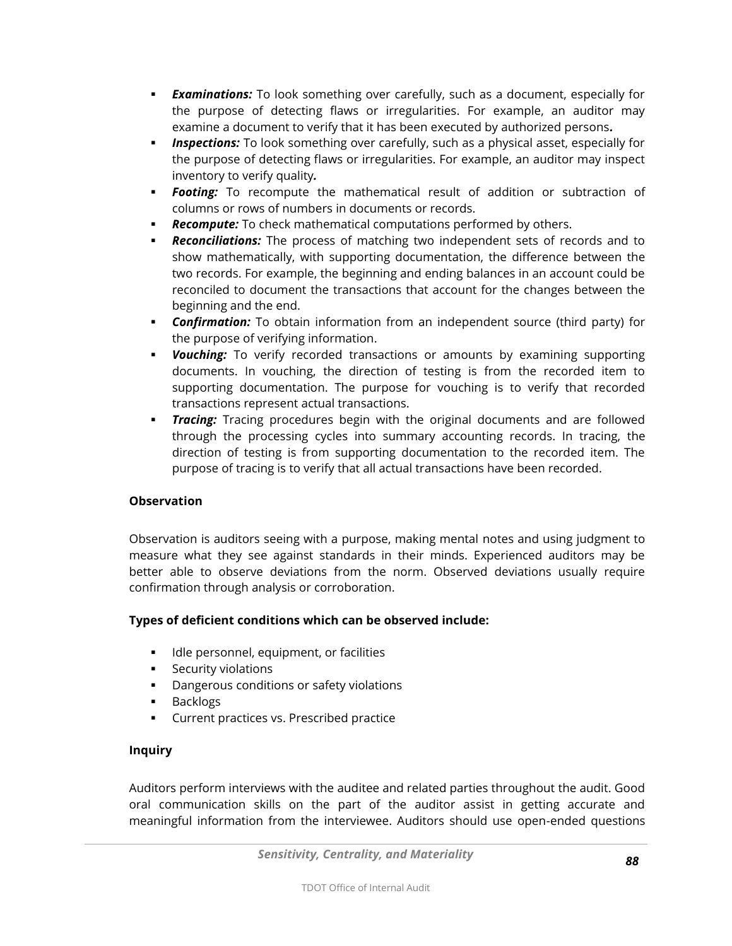- *Examinations:* To look something over carefully, such as a document, especially for the purpose of detecting flaws or irregularities. For example, an auditor may examine a document to verify that it has been executed by authorized persons*.*
- *Inspections:* To look something over carefully, such as a physical asset, especially for the purpose of detecting flaws or irregularities. For example, an auditor may inspect inventory to verify quality*.*
- *Footing:* To recompute the mathematical result of addition or subtraction of columns or rows of numbers in documents or records.
- *Recompute:* To check mathematical computations performed by others.
- *Reconciliations:* The process of matching two independent sets of records and to show mathematically, with supporting documentation, the difference between the two records. For example, the beginning and ending balances in an account could be reconciled to document the transactions that account for the changes between the beginning and the end.
- *Confirmation:* To obtain information from an independent source (third party) for the purpose of verifying information.
- *Vouching:* To verify recorded transactions or amounts by examining supporting documents. In vouching, the direction of testing is from the recorded item to supporting documentation. The purpose for vouching is to verify that recorded transactions represent actual transactions.
- *Tracing:* Tracing procedures begin with the original documents and are followed through the processing cycles into summary accounting records. In tracing, the direction of testing is from supporting documentation to the recorded item. The purpose of tracing is to verify that all actual transactions have been recorded.

### **Observation**

Observation is auditors seeing with a purpose, making mental notes and using judgment to measure what they see against standards in their minds. Experienced auditors may be better able to observe deviations from the norm. Observed deviations usually require confirmation through analysis or corroboration.

## **Types of deficient conditions which can be observed include:**

- **IDLE** Idle personnel, equipment, or facilities
- **Security violations**
- **•** Dangerous conditions or safety violations
- **Backlogs**
- **Current practices vs. Prescribed practice**

### **Inquiry**

Auditors perform interviews with the auditee and related parties throughout the audit. Good oral communication skills on the part of the auditor assist in getting accurate and meaningful information from the interviewee. Auditors should use open-ended questions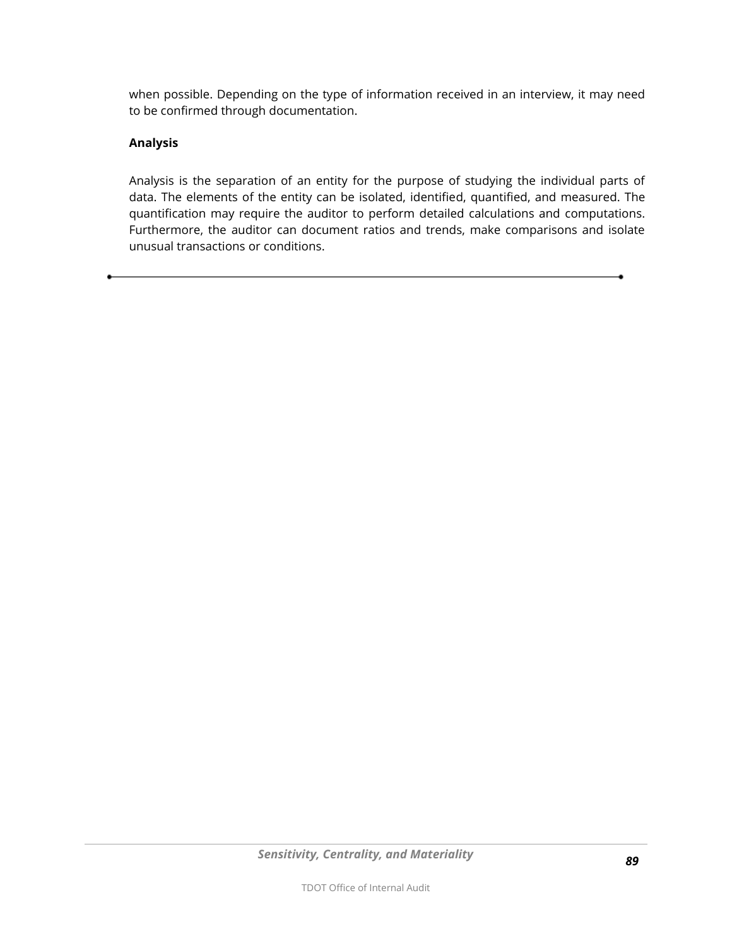when possible. Depending on the type of information received in an interview, it may need to be confirmed through documentation.

#### **Analysis**

Analysis is the separation of an entity for the purpose of studying the individual parts of data. The elements of the entity can be isolated, identified, quantified, and measured. The quantification may require the auditor to perform detailed calculations and computations. Furthermore, the auditor can document ratios and trends, make comparisons and isolate unusual transactions or conditions.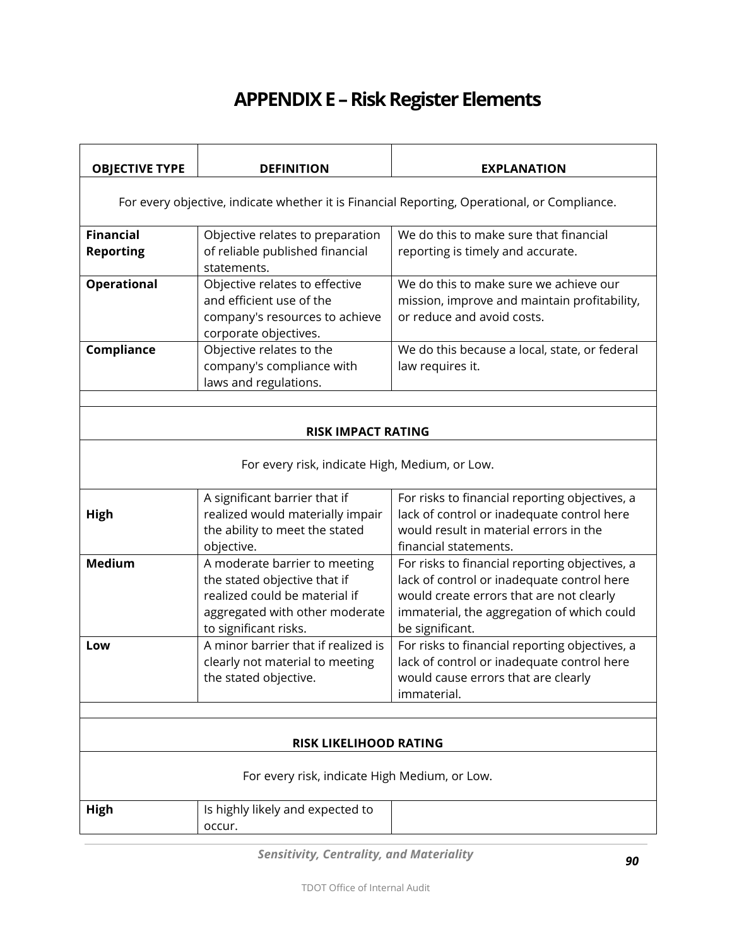# **APPENDIX E –Risk Register Elements**

| <b>OBJECTIVE TYPE</b>                                                                        | <b>DEFINITION</b>                                                                                                                                         | <b>EXPLANATION</b>                                                                                                                                                                                        |
|----------------------------------------------------------------------------------------------|-----------------------------------------------------------------------------------------------------------------------------------------------------------|-----------------------------------------------------------------------------------------------------------------------------------------------------------------------------------------------------------|
| For every objective, indicate whether it is Financial Reporting, Operational, or Compliance. |                                                                                                                                                           |                                                                                                                                                                                                           |
| <b>Financial</b><br><b>Reporting</b>                                                         | Objective relates to preparation<br>of reliable published financial<br>statements.                                                                        | We do this to make sure that financial<br>reporting is timely and accurate.                                                                                                                               |
| <b>Operational</b>                                                                           | Objective relates to effective<br>and efficient use of the<br>company's resources to achieve<br>corporate objectives.                                     | We do this to make sure we achieve our<br>mission, improve and maintain profitability,<br>or reduce and avoid costs.                                                                                      |
| Compliance                                                                                   | Objective relates to the<br>company's compliance with<br>laws and regulations.                                                                            | We do this because a local, state, or federal<br>law requires it.                                                                                                                                         |
|                                                                                              | <b>RISK IMPACT RATING</b>                                                                                                                                 |                                                                                                                                                                                                           |
| For every risk, indicate High, Medium, or Low.                                               |                                                                                                                                                           |                                                                                                                                                                                                           |
| High                                                                                         | A significant barrier that if<br>realized would materially impair<br>the ability to meet the stated<br>objective.                                         | For risks to financial reporting objectives, a<br>lack of control or inadequate control here<br>would result in material errors in the<br>financial statements.                                           |
| <b>Medium</b>                                                                                | A moderate barrier to meeting<br>the stated objective that if<br>realized could be material if<br>aggregated with other moderate<br>to significant risks. | For risks to financial reporting objectives, a<br>lack of control or inadequate control here<br>would create errors that are not clearly<br>immaterial, the aggregation of which could<br>be significant. |
| Low                                                                                          | A minor barrier that if realized is<br>clearly not material to meeting<br>the stated objective.                                                           | For risks to financial reporting objectives, a<br>lack of control or inadequate control here<br>would cause errors that are clearly<br>immaterial.                                                        |
|                                                                                              |                                                                                                                                                           |                                                                                                                                                                                                           |
| <b>RISK LIKELIHOOD RATING</b><br>For every risk, indicate High Medium, or Low.               |                                                                                                                                                           |                                                                                                                                                                                                           |
| High                                                                                         | Is highly likely and expected to<br>occur.                                                                                                                |                                                                                                                                                                                                           |

*Sensitivity, Centrality, and Materiality*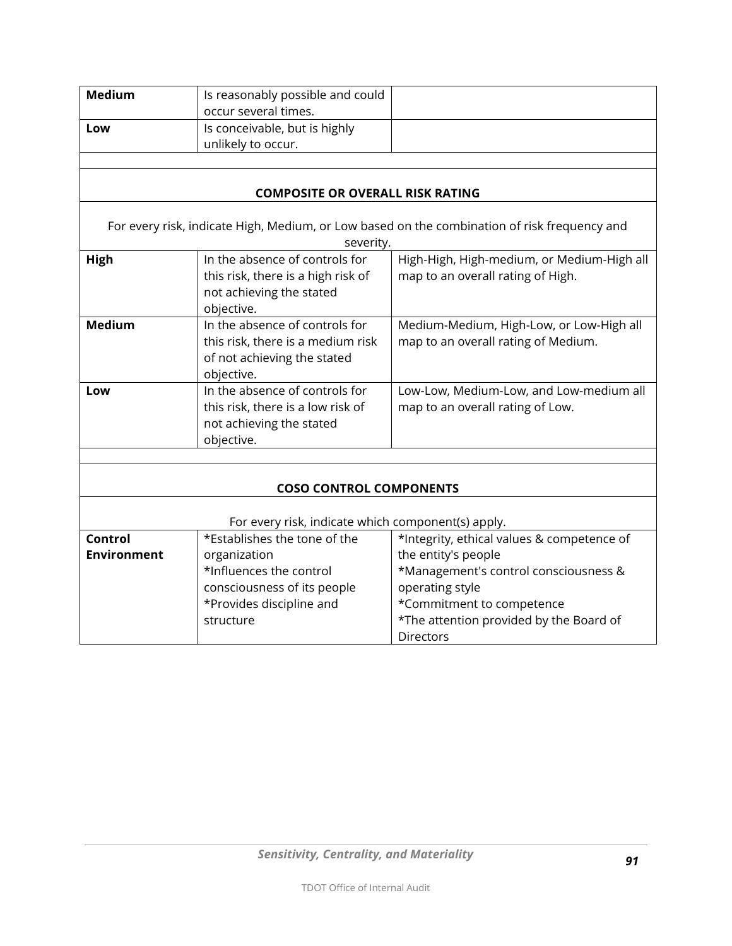| <b>Medium</b>                  | Is reasonably possible and could                                                   |                                                                                              |  |
|--------------------------------|------------------------------------------------------------------------------------|----------------------------------------------------------------------------------------------|--|
|                                | occur several times.                                                               |                                                                                              |  |
| Low                            | Is conceivable, but is highly                                                      |                                                                                              |  |
|                                | unlikely to occur.                                                                 |                                                                                              |  |
|                                |                                                                                    |                                                                                              |  |
|                                | <b>COMPOSITE OR OVERALL RISK RATING</b>                                            |                                                                                              |  |
|                                |                                                                                    | For every risk, indicate High, Medium, or Low based on the combination of risk frequency and |  |
|                                | severity.                                                                          |                                                                                              |  |
| High                           | In the absence of controls for                                                     | High-High, High-medium, or Medium-High all                                                   |  |
|                                | this risk, there is a high risk of                                                 | map to an overall rating of High.                                                            |  |
|                                | not achieving the stated                                                           |                                                                                              |  |
|                                | objective.                                                                         |                                                                                              |  |
| <b>Medium</b>                  | In the absence of controls for                                                     | Medium-Medium, High-Low, or Low-High all                                                     |  |
|                                | this risk, there is a medium risk                                                  | map to an overall rating of Medium.                                                          |  |
|                                | of not achieving the stated                                                        |                                                                                              |  |
|                                | objective.                                                                         |                                                                                              |  |
| Low                            | In the absence of controls for                                                     | Low-Low, Medium-Low, and Low-medium all                                                      |  |
|                                | this risk, there is a low risk of                                                  | map to an overall rating of Low.                                                             |  |
|                                | not achieving the stated                                                           |                                                                                              |  |
|                                | objective.                                                                         |                                                                                              |  |
|                                |                                                                                    |                                                                                              |  |
|                                |                                                                                    |                                                                                              |  |
| <b>COSO CONTROL COMPONENTS</b> |                                                                                    |                                                                                              |  |
|                                |                                                                                    |                                                                                              |  |
| <b>Control</b>                 | For every risk, indicate which component(s) apply.<br>*Establishes the tone of the |                                                                                              |  |
|                                |                                                                                    | *Integrity, ethical values & competence of                                                   |  |
| <b>Environment</b>             | organization<br>*Influences the control                                            | the entity's people                                                                          |  |
|                                |                                                                                    | *Management's control consciousness &                                                        |  |
|                                | consciousness of its people                                                        | operating style                                                                              |  |
|                                | *Provides discipline and<br>structure                                              | *Commitment to competence                                                                    |  |
|                                |                                                                                    | *The attention provided by the Board of                                                      |  |
|                                |                                                                                    | Directors                                                                                    |  |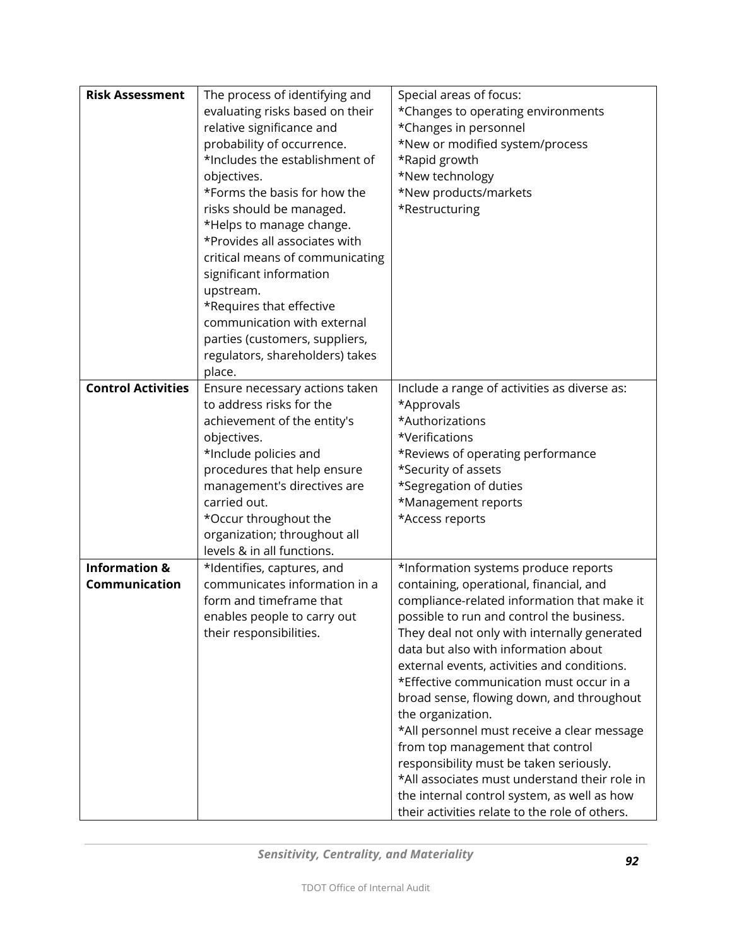| <b>Risk Assessment</b>    | The process of identifying and  | Special areas of focus:                        |
|---------------------------|---------------------------------|------------------------------------------------|
|                           | evaluating risks based on their | *Changes to operating environments             |
|                           | relative significance and       | *Changes in personnel                          |
|                           | probability of occurrence.      | *New or modified system/process                |
|                           | *Includes the establishment of  | *Rapid growth                                  |
|                           | objectives.                     | *New technology                                |
|                           | *Forms the basis for how the    | *New products/markets                          |
|                           | risks should be managed.        | *Restructuring                                 |
|                           | *Helps to manage change.        |                                                |
|                           | *Provides all associates with   |                                                |
|                           | critical means of communicating |                                                |
|                           | significant information         |                                                |
|                           | upstream.                       |                                                |
|                           | *Requires that effective        |                                                |
|                           | communication with external     |                                                |
|                           | parties (customers, suppliers,  |                                                |
|                           | regulators, shareholders) takes |                                                |
|                           | place.                          |                                                |
| <b>Control Activities</b> | Ensure necessary actions taken  | Include a range of activities as diverse as:   |
|                           | to address risks for the        | *Approvals                                     |
|                           | achievement of the entity's     | *Authorizations                                |
|                           | objectives.                     | *Verifications                                 |
|                           | *Include policies and           | *Reviews of operating performance              |
|                           | procedures that help ensure     | *Security of assets                            |
|                           | management's directives are     | *Segregation of duties                         |
|                           | carried out.                    | *Management reports                            |
|                           | *Occur throughout the           | *Access reports                                |
|                           | organization; throughout all    |                                                |
|                           | levels & in all functions.      |                                                |
| <b>Information &amp;</b>  | *Identifies, captures, and      | *Information systems produce reports           |
| Communication             | communicates information in a   | containing, operational, financial, and        |
|                           | form and timeframe that         | compliance-related information that make it    |
|                           | enables people to carry out     | possible to run and control the business       |
|                           | their responsibilities.         | They deal not only with internally generated   |
|                           |                                 | data but also with information about           |
|                           |                                 | external events, activities and conditions.    |
|                           |                                 | *Effective communication must occur in a       |
|                           |                                 | broad sense, flowing down, and throughout      |
|                           |                                 | the organization.                              |
|                           |                                 | *All personnel must receive a clear message    |
|                           |                                 | from top management that control               |
|                           |                                 | responsibility must be taken seriously.        |
|                           |                                 | *All associates must understand their role in  |
|                           |                                 | the internal control system, as well as how    |
|                           |                                 | their activities relate to the role of others. |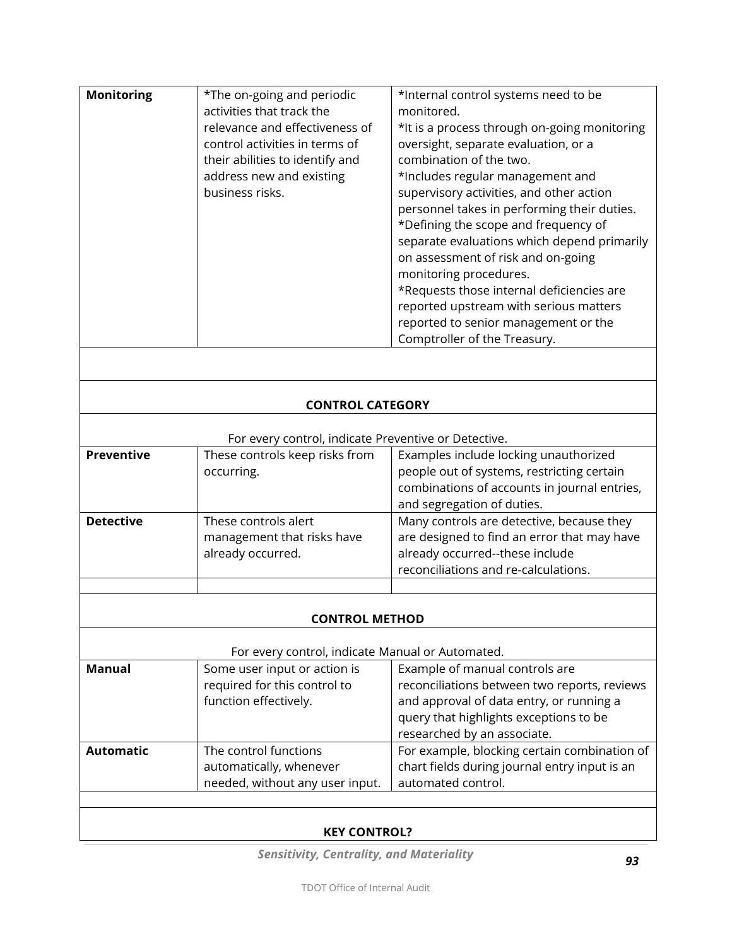| <b>Monitoring</b> | *The on-going and periodic      | *Internal control systems need to be         |
|-------------------|---------------------------------|----------------------------------------------|
|                   | activities that track the       | monitored.                                   |
|                   | relevance and effectiveness of  | *It is a process through on-going monitoring |
|                   | control activities in terms of  | oversight, separate evaluation, or a         |
|                   | their abilities to identify and | combination of the two.                      |
|                   | address new and existing        | *Includes regular management and             |
|                   | business risks.                 | supervisory activities, and other action     |
|                   |                                 | personnel takes in performing their duties.  |
|                   |                                 | *Defining the scope and frequency of         |
|                   |                                 | separate evaluations which depend primarily  |
|                   |                                 | on assessment of risk and on-going           |
|                   |                                 | monitoring procedures.                       |
|                   |                                 | *Requests those internal deficiencies are    |
|                   |                                 | reported upstream with serious matters       |
|                   |                                 | reported to senior management or the         |
|                   |                                 | Comptroller of the Treasury.                 |
|                   |                                 |                                              |

### **CONTROL CATEGORY**

| These controls keep risks from<br>Examples include locking unauthorized<br>people out of systems, restricting certain<br>combinations of accounts in journal entries,<br>and segregation of duties. |
|-----------------------------------------------------------------------------------------------------------------------------------------------------------------------------------------------------|
| Many controls are detective, because they<br>are designed to find an error that may have<br>management that risks have<br>already occurred--these include<br>reconciliations and re-calculations.   |
|                                                                                                                                                                                                     |

#### **CONTROL METHOD**

| Manual           | Some user input or action is    | Example of manual controls are                |
|------------------|---------------------------------|-----------------------------------------------|
|                  | required for this control to    | reconciliations between two reports, reviews  |
|                  | function effectively.           | and approval of data entry, or running a      |
|                  |                                 | query that highlights exceptions to be        |
|                  |                                 | researched by an associate.                   |
| <b>Automatic</b> | The control functions           | For example, blocking certain combination of  |
|                  | automatically, whenever         | chart fields during journal entry input is an |
|                  | needed, without any user input. | automated control.                            |

## **KEY CONTROL?**

*Sensitivity, Centrality, and Materiality*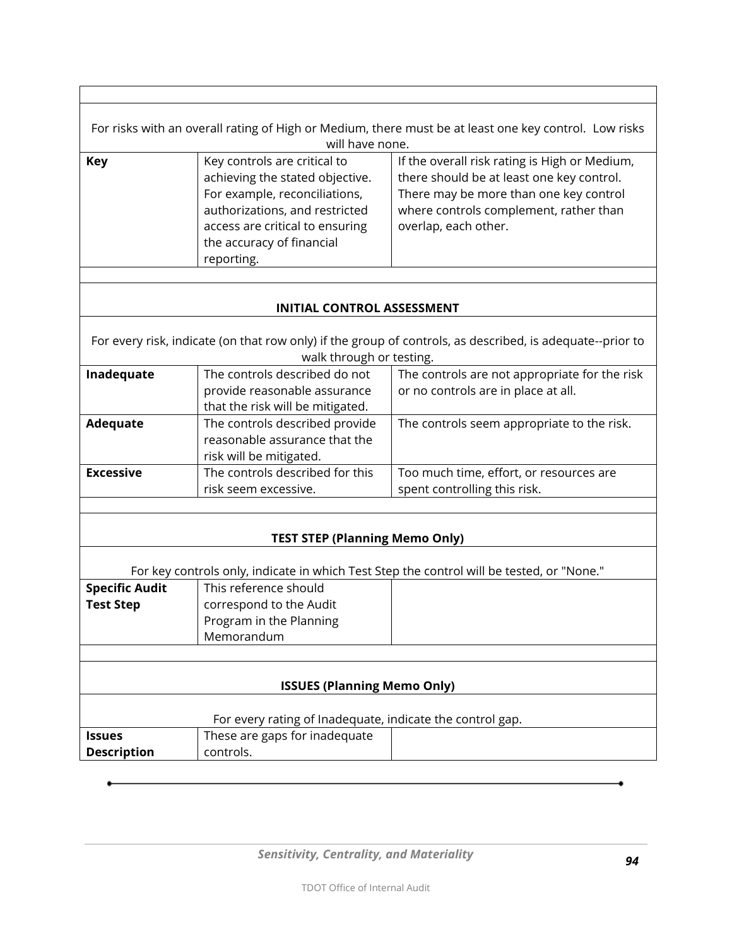| For risks with an overall rating of High or Medium, there must be at least one key control. Low risks<br>will have none. |                                                                                                                                                                                                                  |                                                                                                                                                                                                        |  |
|--------------------------------------------------------------------------------------------------------------------------|------------------------------------------------------------------------------------------------------------------------------------------------------------------------------------------------------------------|--------------------------------------------------------------------------------------------------------------------------------------------------------------------------------------------------------|--|
| Key                                                                                                                      | Key controls are critical to<br>achieving the stated objective.<br>For example, reconciliations,<br>authorizations, and restricted<br>access are critical to ensuring<br>the accuracy of financial<br>reporting. | If the overall risk rating is High or Medium,<br>there should be at least one key control.<br>There may be more than one key control<br>where controls complement, rather than<br>overlap, each other. |  |

Г

### **INITIAL CONTROL ASSESSMENT**

For every risk, indicate (on that row only) if the group of controls, as described, is adequate--prior to walk through or testing.

| Inadequate       | The controls described do not    | The controls are not appropriate for the risk |
|------------------|----------------------------------|-----------------------------------------------|
|                  | provide reasonable assurance     | or no controls are in place at all.           |
|                  | that the risk will be mitigated. |                                               |
| <b>Adequate</b>  | The controls described provide   | The controls seem appropriate to the risk.    |
|                  | reasonable assurance that the    |                                               |
|                  | risk will be mitigated.          |                                               |
| <b>Excessive</b> | The controls described for this  | Too much time, effort, or resources are       |
|                  | risk seem excessive.             | spent controlling this risk.                  |
|                  |                                  |                                               |

### **TEST STEP (Planning Memo Only)**

For key controls only, indicate in which Test Step the control will be tested, or "None."

| <b>Specific Audit</b> | This reference should   |  |
|-----------------------|-------------------------|--|
| <b>Test Step</b>      | correspond to the Audit |  |
|                       | Program in the Planning |  |
|                       | Memorandum              |  |
|                       |                         |  |

#### **ISSUES (Planning Memo Only)**

| For every rating of Inadequate, indicate the control gap. |                               |  |  |
|-----------------------------------------------------------|-------------------------------|--|--|
| <b>Issues</b>                                             | These are gaps for inadequate |  |  |
| <b>Description</b>                                        | controls.                     |  |  |

٦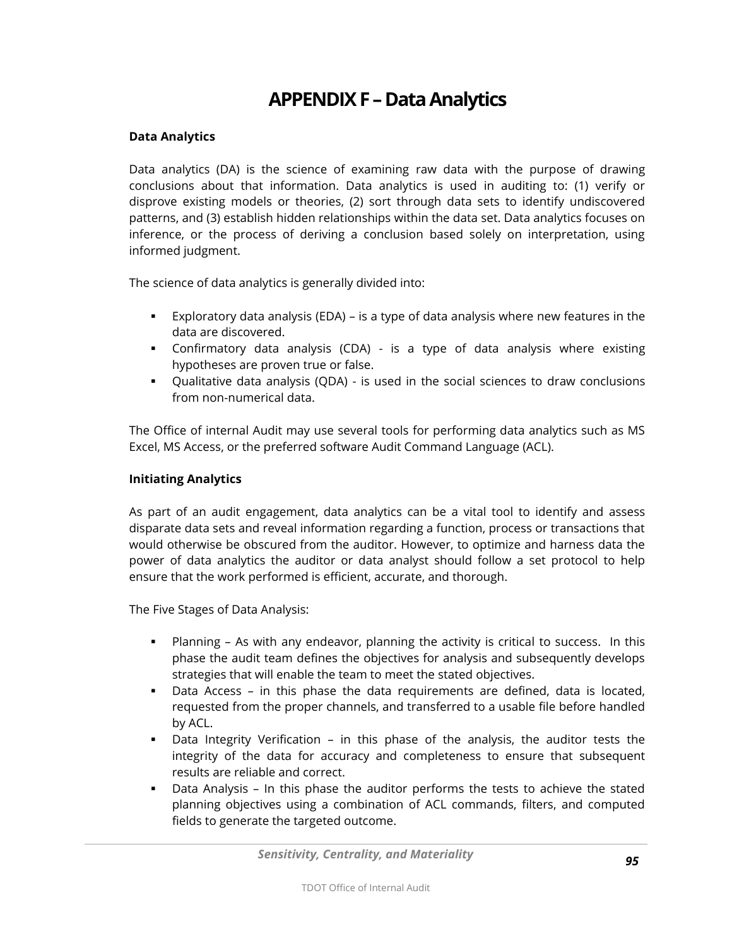# **APPENDIX F –Data Analytics**

#### **Data Analytics**

Data analytics (DA) is the science of examining raw data with the purpose of drawing conclusions about that information. Data analytics is used in auditing to: (1) verify or disprove existing models or theories, (2) sort through data sets to identify undiscovered patterns, and (3) establish hidden relationships within the data set. Data analytics focuses on inference, or the process of deriving a conclusion based solely on interpretation, using informed judgment.

The science of data analytics is generally divided into:

- Exploratory data analysis (EDA) is a type of data analysis where new features in the data are discovered.
- Confirmatory data analysis (CDA) is a type of data analysis where existing hypotheses are proven true or false.
- Qualitative data analysis (QDA) is used in the social sciences to draw conclusions from non-numerical data.

The Office of internal Audit may use several tools for performing data analytics such as MS Excel, MS Access, or the preferred software Audit Command Language (ACL).

#### **Initiating Analytics**

As part of an audit engagement, data analytics can be a vital tool to identify and assess disparate data sets and reveal information regarding a function, process or transactions that would otherwise be obscured from the auditor. However, to optimize and harness data the power of data analytics the auditor or data analyst should follow a set protocol to help ensure that the work performed is efficient, accurate, and thorough.

The Five Stages of Data Analysis:

- Planning As with any endeavor, planning the activity is critical to success. In this phase the audit team defines the objectives for analysis and subsequently develops strategies that will enable the team to meet the stated objectives.
- Data Access in this phase the data requirements are defined, data is located, requested from the proper channels, and transferred to a usable file before handled by ACL.
- Data Integrity Verification in this phase of the analysis, the auditor tests the integrity of the data for accuracy and completeness to ensure that subsequent results are reliable and correct.
- Data Analysis In this phase the auditor performs the tests to achieve the stated planning objectives using a combination of ACL commands, filters, and computed fields to generate the targeted outcome.